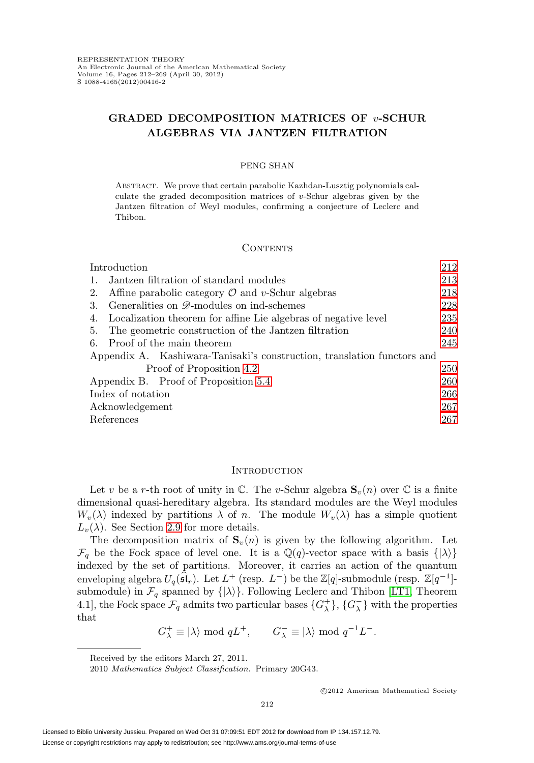# **GRADED DECOMPOSITION MATRICES OF** v**-SCHUR ALGEBRAS VIA JANTZEN FILTRATION**

### PENG SHAN

Abstract. We prove that certain parabolic Kazhdan-Lusztig polynomials calculate the graded decomposition matrices of  $v$ -Schur algebras given by the Jantzen filtration of Weyl modules, confirming a conjecture of Leclerc and Thibon.

### CONTENTS

| Introduction                                                            | 212 |
|-------------------------------------------------------------------------|-----|
| Jantzen filtration of standard modules<br>-1.                           | 213 |
| Affine parabolic category $\mathcal O$ and v-Schur algebras<br>2.       | 218 |
| Generalities on <i>D</i> -modules on ind-schemes<br>3.                  | 228 |
| Localization theorem for affine Lie algebras of negative level<br>4.    | 235 |
| The geometric construction of the Jantzen filtration<br>5.              | 240 |
| Proof of the main theorem<br>6.                                         | 245 |
| Appendix A. Kashiwara-Tanisaki's construction, translation functors and |     |
| Proof of Proposition 4.2                                                | 250 |
| Appendix B. Proof of Proposition 5.4                                    | 260 |
| Index of notation                                                       | 266 |
| Acknowledgement                                                         | 267 |
| References                                                              | 267 |

### <span id="page-0-0"></span>**INTRODUCTION**

Let v be a r-th root of unity in  $\mathbb{C}$ . The v-Schur algebra  $\mathbf{S}_v(n)$  over  $\mathbb{C}$  is a finite dimensional quasi-hereditary algebra. Its standard modules are the Weyl modules  $W_v(\lambda)$  indexed by partitions  $\lambda$  of n. The module  $W_v(\lambda)$  has a simple quotient  $L_v(\lambda)$ . See Section [2.9](#page-12-0) for more details.

The decomposition matrix of  $\mathbf{S}_v(n)$  is given by the following algorithm. Let  $\mathcal{F}_q$  be the Fock space of level one. It is a  $\mathbb{Q}(q)$ -vector space with a basis  $\{|\lambda\rangle\}$ indexed by the set of partitions. Moreover, it carries an action of the quantum enveloping algebra  $U_q(\widehat{\mathfrak{sl}}_r)$ . Let  $L^+$  (resp.  $L^-$ ) be the  $\mathbb{Z}[q]$ -submodule (resp.  $\mathbb{Z}[q^{-1}]$ submodule) in  $\mathcal{F}_q$  spanned by  $\{|\lambda\rangle\}$ . Following Leclerc and Thibon [\[LT1,](#page-56-0) Theorem 4.1], the Fock space  $\mathcal{F}_q$  admits two particular bases  $\{G_\lambda^+\}$ ,  $\{G_\lambda^-\}$  with the properties that

$$
G_\lambda^+\equiv|\lambda\rangle\bmod qL^+,\qquad G_\lambda^-\equiv|\lambda\rangle\bmod q^{-1}L^-.
$$

Received by the editors March 27, 2011.

<sup>2010</sup> Mathematics Subject Classification. Primary 20G43.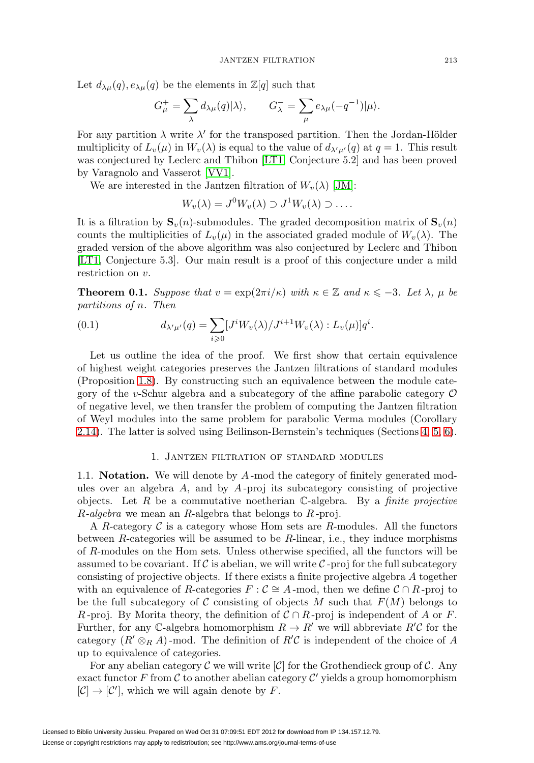Let  $d_{\lambda\mu}(q), e_{\lambda\mu}(q)$  be the elements in  $\mathbb{Z}[q]$  such that

$$
G^+_\mu = \sum_\lambda d_{\lambda\mu}(q) |\lambda\rangle, \qquad G^-_\lambda = \sum_\mu e_{\lambda\mu}(-q^{-1}) |\mu\rangle.
$$

For any partition  $\lambda$  write  $\lambda'$  for the transposed partition. Then the Jordan-Hölder multiplicity of  $L_v(\mu)$  in  $W_v(\lambda)$  is equal to the value of  $d_{\lambda'\mu'}(q)$  at  $q=1$ . This result was conjectured by Leclerc and Thibon [\[LT1,](#page-56-0) Conjecture 5.2] and has been proved by Varagnolo and Vasserot [\[VV1\]](#page-57-0).

We are interested in the Jantzen filtration of  $W_v(\lambda)$  [\[JM\]](#page-56-1):

$$
W_v(\lambda) = J^0 W_v(\lambda) \supset J^1 W_v(\lambda) \supset \dots
$$

It is a filtration by  $\mathbf{S}_v(n)$ -submodules. The graded decomposition matrix of  $\mathbf{S}_v(n)$ counts the multiplicities of  $L_v(\mu)$  in the associated graded module of  $W_v(\lambda)$ . The graded version of the above algorithm was also conjectured by Leclerc and Thibon [\[LT1,](#page-56-0) Conjecture 5.3]. Our main result is a proof of this conjecture under a mild restriction on v.

<span id="page-1-1"></span>**Theorem 0.1.** Suppose that  $v = \exp(2\pi i/\kappa)$  with  $\kappa \in \mathbb{Z}$  and  $\kappa \leq -3$ . Let  $\lambda$ ,  $\mu$  be partitions of n. Then

(0.1) 
$$
d_{\lambda'\mu'}(q) = \sum_{i\geqslant 0} [J^i W_v(\lambda)/J^{i+1} W_v(\lambda) : L_v(\mu)] q^i.
$$

Let us outline the idea of the proof. We first show that certain equivalence of highest weight categories preserves the Jantzen filtrations of standard modules (Proposition [1.8\)](#page-5-0). By constructing such an equivalence between the module category of the v-Schur algebra and a subcategory of the affine parabolic category  $\mathcal O$ of negative level, we then transfer the problem of computing the Jantzen filtration of Weyl modules into the same problem for parabolic Verma modules (Corollary [2.14\)](#page-16-1). The latter is solved using Beilinson-Bernstein's techniques (Sections [4,](#page-23-0) [5,](#page-28-0) [6\)](#page-33-0).

### 1. Jantzen filtration of standard modules

<span id="page-1-0"></span>1.1. **Notation.** We will denote by A -mod the category of finitely generated modules over an algebra  $A$ , and by  $A$ -proj its subcategory consisting of projective objects. Let R be a commutative noetherian  $\mathbb{C}\text{-algebra}$ . By a *finite projective*  $R$ -algebra we mean an  $R$ -algebra that belongs to  $R$ -proj.

A R-category  $\mathcal C$  is a category whose Hom sets are R-modules. All the functors between  $R$ -categories will be assumed to be  $R$ -linear, i.e., they induce morphisms of R-modules on the Hom sets. Unless otherwise specified, all the functors will be assumed to be covariant. If  $\mathcal C$  is abelian, we will write  $\mathcal C$ -proj for the full subcategory consisting of projective objects. If there exists a finite projective algebra A together with an equivalence of R-categories  $F : \mathcal{C} \cong A$ -mod, then we define  $\mathcal{C} \cap R$ -proj to be the full subcategory of C consisting of objects M such that  $F(M)$  belongs to R-proj. By Morita theory, the definition of  $C \cap R$ -proj is independent of A or F. Further, for any C-algebra homomorphism  $R \to R'$  we will abbreviate  $R'C$  for the category  $(R' \otimes_R A)$ -mod. The definition of  $R'C$  is independent of the choice of A up to equivalence of categories.

For any abelian category  $\mathcal C$  we will write  $[\mathcal C]$  for the Grothendieck group of  $\mathcal C$ . Any exact functor F from C to another abelian category  $\mathcal{C}'$  yields a group homomorphism  $[\mathcal{C}] \to [\mathcal{C}']$ , which we will again denote by F.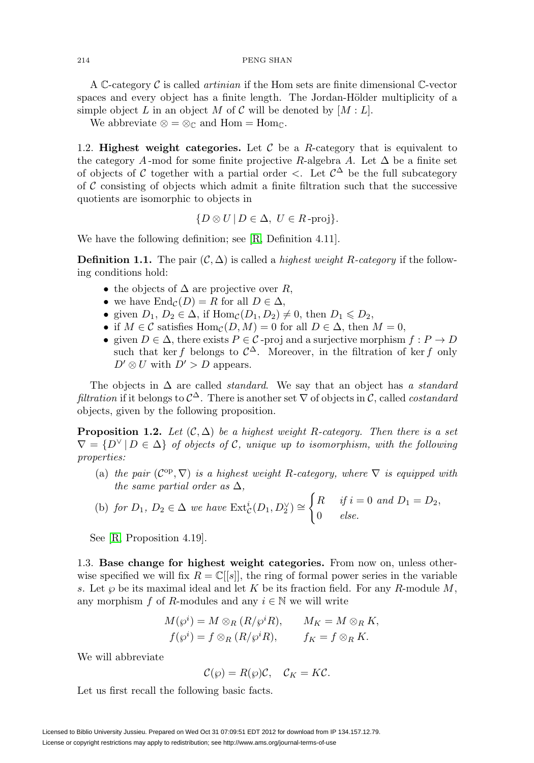A C-category C is called *artinian* if the Hom sets are finite dimensional C-vector spaces and every object has a finite length. The Jordan-Hölder multiplicity of a simple object L in an object M of C will be denoted by  $[M: L]$ .

We abbreviate  $\otimes = \otimes_{\mathbb{C}}$  and  $\text{Hom} = \text{Hom}_{\mathbb{C}}$ .

1.2. **Highest weight categories.** Let  $\mathcal{C}$  be a R-category that is equivalent to the category A-mod for some finite projective R-algebra A. Let  $\Delta$  be a finite set of objects of C together with a partial order  $\langle$ . Let  $\mathcal{C}^{\Delta}$  be the full subcategory of  $\mathcal C$  consisting of objects which admit a finite filtration such that the successive quotients are isomorphic to objects in

$$
{D \otimes U \mid D \in \Delta, U \in R\text{-proj}}.
$$

We have the following definition; see [\[R,](#page-56-2) Definition 4.11].

**Definition 1.1.** The pair  $(C, \Delta)$  is called a *highest weight R-category* if the following conditions hold:

- the objects of  $\Delta$  are projective over R,
- we have  $\text{End}_{\mathcal{C}}(D) = R$  for all  $D \in \Delta$ ,
- given  $D_1, D_2 \in \Delta$ , if  $\text{Hom}_{\mathcal{C}}(D_1, D_2) \neq 0$ , then  $D_1 \leq D_2$ ,
- if  $M \in \mathcal{C}$  satisfies  $\text{Hom}_{\mathcal{C}}(D, M) = 0$  for all  $D \in \Delta$ , then  $M = 0$ ,
- given  $D \in \Delta$ , there exists  $P \in \mathcal{C}$ -proj and a surjective morphism  $f : P \to D$ such that ker f belongs to  $\mathcal{C}^{\Delta}$ . Moreover, in the filtration of ker f only  $D' \otimes U$  with  $D' > D$  appears.

The objects in  $\Delta$  are called *standard*. We say that an object has a *standard* filtration if it belongs to  $\mathcal{C}^{\Delta}$ . There is another set  $\nabla$  of objects in  $\mathcal{C}$ , called *costandard* objects, given by the following proposition.

<span id="page-2-0"></span>**Proposition 1.2.** Let  $(C, \Delta)$  be a highest weight R-category. Then there is a set  $\nabla = \{D^{\vee} | D \in \Delta\}$  of objects of C, unique up to isomorphism, with the following properties:

(a) the pair  $(\mathcal{C}^{op}, \nabla)$  is a highest weight R-category, where  $\nabla$  is equipped with the same partial order as  $\Delta$ ,

(b) for 
$$
D_1
$$
,  $D_2 \in \Delta$  we have  $Ext_{\mathcal{C}}^i(D_1, D_2^{\vee}) \cong \begin{cases} R & \text{if } i = 0 \text{ and } D_1 = D_2, \\ 0 & \text{else.} \end{cases}$ 

See [\[R,](#page-56-2) Proposition 4.19].

1.3. **Base change for highest weight categories.** From now on, unless otherwise specified we will fix  $R = \mathbb{C}[[s]]$ , the ring of formal power series in the variable s. Let  $\wp$  be its maximal ideal and let K be its fraction field. For any R-module M, any morphism f of R-modules and any  $i \in \mathbb{N}$  we will write

$$
M(\wp^i) = M \otimes_R (R/\wp^i R), \qquad M_K = M \otimes_R K,
$$
  

$$
f(\wp^i) = f \otimes_R (R/\wp^i R), \qquad f_K = f \otimes_R K.
$$

We will abbreviate

$$
\mathcal{C}(\wp) = R(\wp)\mathcal{C}, \quad \mathcal{C}_K = K\mathcal{C}.
$$

Let us first recall the following basic facts.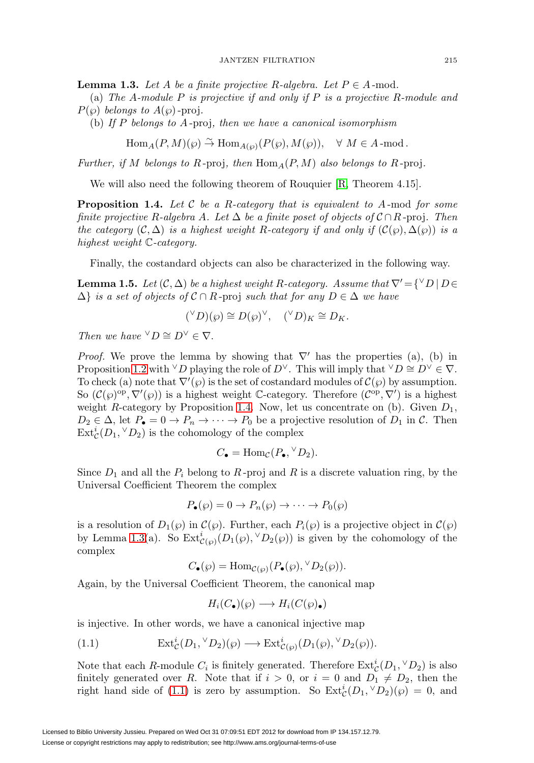<span id="page-3-1"></span>**Lemma 1.3.** Let A be a finite projective R-algebra. Let  $P \in A$ -mod.

(a) The A-module P is projective if and only if P is a projective R-module and  $P(\varphi)$  belongs to  $A(\varphi)$ -proj.

(b) If P belongs to A -proj, then we have a canonical isomorphism

$$
\text{Hom}_A(P, M)(\wp) \overset{\sim}{\to} \text{Hom}_{A(\wp)}(P(\wp), M(\wp)), \quad \forall M \in A
$$
-mod.

Further, if M belongs to R-proj, then  $\text{Hom}_A(P, M)$  also belongs to R-proj.

We will also need the following theorem of Rouquier [\[R,](#page-56-2) Theorem 4.15].

<span id="page-3-0"></span>**Proposition 1.4.** Let  $\mathcal{C}$  be a R-category that is equivalent to A-mod for some finite projective R-algebra A. Let  $\Delta$  be a finite poset of objects of  $C \cap R$ -proj. Then the category  $(C, \Delta)$  is a highest weight R-category if and only if  $(C(\wp), \Delta(\wp))$  is a highest weight C-category.

Finally, the costandard objects can also be characterized in the following way.

<span id="page-3-3"></span>**Lemma 1.5.** Let  $(\mathcal{C}, \Delta)$  be a highest weight R-category. Assume that  $\nabla' = \{\forall D \, | \, D \in$  $\Delta$ } is a set of objects of  $\mathcal{C} \cap R$ -proj such that for any  $D \in \Delta$  we have

$$
({}^{\vee}D)(\wp) \cong D(\wp)^{\vee}, \quad ({}^{\vee}D)_K \cong D_K.
$$

Then we have  $\forall D \cong D^{\vee} \in \nabla$ .

*Proof.* We prove the lemma by showing that  $\nabla'$  has the properties (a), (b) in Proposition [1.2](#page-2-0) with <sup>∨</sup>D playing the role of  $D^{\vee}$ . This will imply that <sup>∨</sup>D ≅  $D^{\vee} \in \nabla$ . To check (a) note that  $\nabla'(\wp)$  is the set of costandard modules of  $\mathcal{C}(\wp)$  by assumption. So  $(\mathcal{C}(\wp)^{\text{op}}, \nabla'(\wp))$  is a highest weight C-category. Therefore  $(\mathcal{C}^{\text{op}}, \nabla')$  is a highest weight R-category by Proposition [1.4.](#page-3-0) Now, let us concentrate on (b). Given  $D_1$ ,  $D_2 \in \Delta$ , let  $P_{\bullet} = 0 \rightarrow P_n \rightarrow \cdots \rightarrow P_0$  be a projective resolution of  $D_1$  in C. Then  $\mathrm{Ext}^i_{\mathcal{C}}(D_1,{}^{\vee}D_2)$  is the cohomology of the complex

$$
C_{\bullet} = \text{Hom}_{\mathcal{C}}(P_{\bullet}, {}^{\vee}D_2).
$$

Since  $D_1$  and all the  $P_i$  belong to R-proj and R is a discrete valuation ring, by the Universal Coefficient Theorem the complex

$$
P_{\bullet}(\wp) = 0 \to P_n(\wp) \to \cdots \to P_0(\wp)
$$

is a resolution of  $D_1(\wp)$  in  $\mathcal{C}(\wp)$ . Further, each  $P_i(\wp)$  is a projective object in  $\mathcal{C}(\wp)$ by Lemma [1.3\(](#page-3-1)a). So  $\mathrm{Ext}^i_{\mathcal{C}(\wp)}(D_1(\wp),^{\vee}D_2(\wp))$  is given by the cohomology of the complex

$$
C_{\bullet}(\wp) = \text{Hom}_{\mathcal{C}(\wp)}(P_{\bullet}(\wp), {}^{\vee}D_2(\wp)).
$$

Again, by the Universal Coefficient Theorem, the canonical map

$$
H_i(C_{\bullet})(\wp) \longrightarrow H_i(C(\wp)_{\bullet})
$$

is injective. In other words, we have a canonical injective map

<span id="page-3-2"></span>(1.1) 
$$
\operatorname{Ext}^i_{\mathcal{C}}(D_1, {}^{\vee}D_2)(\wp) \longrightarrow \operatorname{Ext}^i_{\mathcal{C}(\wp)}(D_1(\wp), {}^{\vee}D_2(\wp)).
$$

Note that each R-module  $C_i$  is finitely generated. Therefore  $\operatorname{Ext}^i_{\mathcal{C}}(D_1,{}^{\vee}D_2)$  is also finitely generated over R. Note that if  $i > 0$ , or  $i = 0$  and  $D_1 \neq D_2$ , then the right hand side of [\(1.1\)](#page-3-2) is zero by assumption. So  $\text{Ext}^i_{\mathcal{C}}(D_1,^{\vee}D_2)(\varphi) = 0$ , and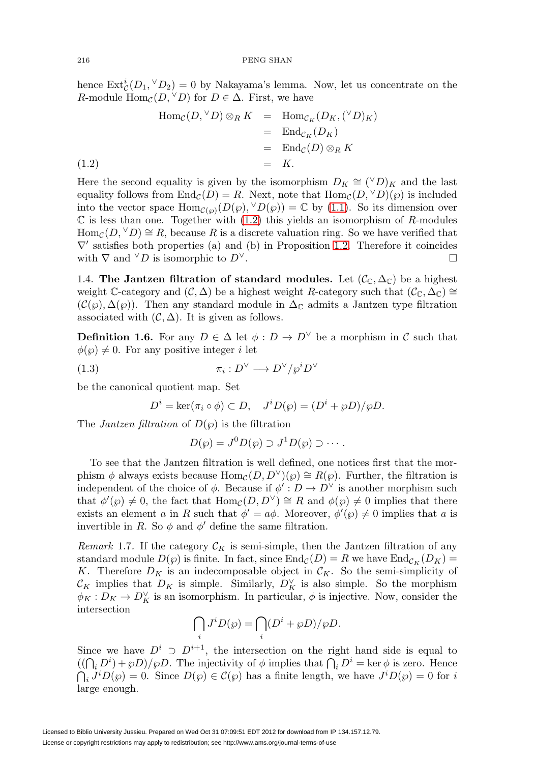hence  $\text{Ext}^i_{\mathcal{C}}(D_1, \vee D_2) = 0$  by Nakayama's lemma. Now, let us concentrate on the R-module  $\text{Hom}_{\mathcal{C}}(D, {}^{\vee}D)$  for  $D \in \Delta$ . First, we have

<span id="page-4-0"></span>
$$
\begin{aligned}\n\operatorname{Hom}_{\mathcal{C}}(D, {}^{\vee}D) \otimes_{R} K &= \operatorname{Hom}_{\mathcal{C}_{K}}(D_{K}, {}^{\vee}D)_{K} \\
&= \operatorname{End}_{\mathcal{C}_{K}}(D_{K}) \\
&= \operatorname{End}_{\mathcal{C}}(D) \otimes_{R} K \\
(1.2) &= K.\n\end{aligned}
$$

Here the second equality is given by the isomorphism  $D_K \cong ({}^{\vee}D)_K$  and the last equality follows from  $\text{End}_{\mathcal{C}}(D) = R$ . Next, note that  $\text{Hom}_{\mathcal{C}}(D, {}^{\vee}D)(\varphi)$  is included into the vector space  $\text{Hom}_{\mathcal{C}(\wp)}(D(\wp),^{\vee}D(\wp)) = \mathbb{C}$  by [\(1.1\)](#page-3-2). So its dimension over  $\mathbb C$  is less than one. Together with [\(1.2\)](#page-4-0) this yields an isomorphism of R-modules  $\text{Hom}_{\mathcal{C}}(D, {}^{\vee}D) \cong R$ , because R is a discrete valuation ring. So we have verified that  $\nabla'$  satisfies both properties (a) and (b) in Proposition [1.2.](#page-2-0) Therefore it coincides with  $\nabla$  and  $\vee D$  is isomorphic to  $D^{\vee}$ .

1.4. **The Jantzen filtration of standard modules.** Let  $(C_{\mathbb{C}}, \Delta_{\mathbb{C}})$  be a highest weight C-category and  $(C, \Delta)$  be a highest weight R-category such that  $(C_{\mathbb{C}}, \Delta_{\mathbb{C}}) \cong$  $(C(\varphi), \Delta(\varphi))$ . Then any standard module in  $\Delta_{\mathbb{C}}$  admits a Jantzen type filtration associated with  $(C, \Delta)$ . It is given as follows.

<span id="page-4-1"></span>**Definition 1.6.** For any  $D \in \Delta$  let  $\phi : D \to D^{\vee}$  be a morphism in C such that  $\phi(\varphi) \neq 0$ . For any positive integer *i* let

(1.3) 
$$
\pi_i: D^{\vee} \longrightarrow D^{\vee}/\wp^i D^{\vee}
$$

be the canonical quotient map. Set

$$
D^i = \ker(\pi_i \circ \phi) \subset D, \quad J^i D(\wp) = (D^i + \wp D)/\wp D.
$$

The *Jantzen filtration* of  $D(\varphi)$  is the filtration

$$
D(\wp) = J^0 D(\wp) \supset J^1 D(\wp) \supset \cdots.
$$

To see that the Jantzen filtration is well defined, one notices first that the morphism  $\phi$  always exists because  $\text{Hom}_{\mathcal{C}}(D, D^{\vee})(\varphi) \cong R(\varphi)$ . Further, the filtration is independent of the choice of  $\phi$ . Because if  $\phi' : D \to D^{\vee}$  is another morphism such that  $\phi'(\wp) \neq 0$ , the fact that  $\text{Hom}_{\mathcal{C}}(D, D^{\vee}) \cong R$  and  $\phi(\wp) \neq 0$  implies that there exists an element a in R such that  $\phi' = a\phi$ . Moreover,  $\phi'(\wp) \neq 0$  implies that a is invertible in R. So  $\phi$  and  $\phi'$  define the same filtration.

<span id="page-4-2"></span>Remark 1.7. If the category  $\mathcal{C}_K$  is semi-simple, then the Jantzen filtration of any standard module  $D(\wp)$  is finite. In fact, since  $\text{End}_{\mathcal{C}}(D) = R$  we have  $\text{End}_{\mathcal{C}_K}(D_K) =$ K. Therefore  $D_K$  is an indecomposable object in  $\mathcal{C}_K$ . So the semi-simplicity of  $\mathcal{C}_K$  implies that  $D_K$  is simple. Similarly,  $D_K^{\vee}$  is also simple. So the morphism  $\phi_K : D_K \to D_K^{\vee}$  is an isomorphism. In particular,  $\phi$  is injective. Now, consider the intersection

$$
\bigcap_i J^i D(\wp) = \bigcap_i (D^i + \wp D)/\wp D.
$$

Since we have  $D^i \supset D^{i+1}$ , the intersection on the right hand side is equal to  $((\bigcap_i D^i) + \varphi D)/\varphi D$ . The injectivity of  $\phi$  implies that  $\bigcap_i D^i = \ker \phi$  is zero. Hence  $\bigcap_i J^i D(\wp) = 0$ . Since  $D(\wp) \in \mathcal{C}(\wp)$  has a finite length, we have  $J^i D(\wp) = 0$  for i large enough.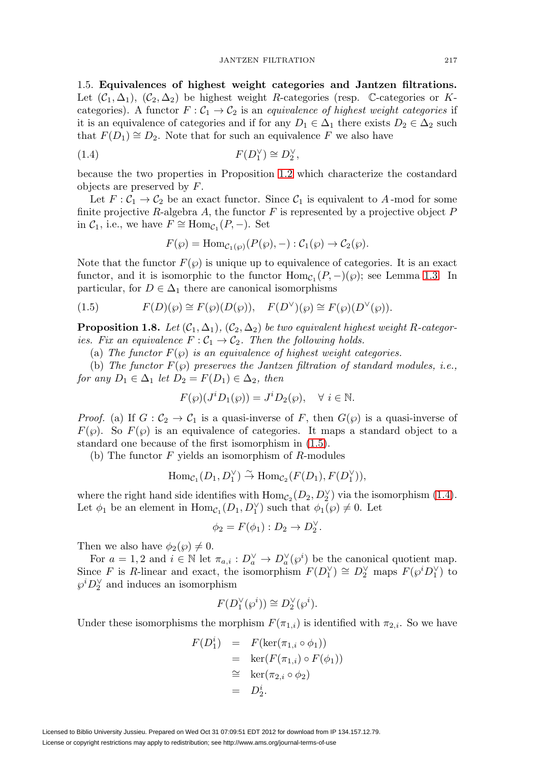1.5. **Equivalences of highest weight categories and Jantzen filtrations.** Let  $(C_1, \Delta_1)$ ,  $(C_2, \Delta_2)$  be highest weight R-categories (resp. C-categories or Kcategories). A functor  $F: \mathcal{C}_1 \to \mathcal{C}_2$  is an equivalence of highest weight categories if it is an equivalence of categories and if for any  $D_1 \in \Delta_1$  there exists  $D_2 \in \Delta_2$  such that  $F(D_1) \cong D_2$ . Note that for such an equivalence F we also have

<span id="page-5-2"></span>
$$
(1.4) \tF(D_1^{\vee}) \cong D_2^{\vee},
$$

because the two properties in Proposition [1.2](#page-2-0) which characterize the costandard objects are preserved by F.

Let  $F: \mathcal{C}_1 \to \mathcal{C}_2$  be an exact functor. Since  $\mathcal{C}_1$  is equivalent to A-mod for some finite projective  $R$ -algebra  $A$ , the functor  $F$  is represented by a projective object  $P$ in  $C_1$ , i.e., we have  $F \cong \text{Hom}_{C_1}(P, -)$ . Set

$$
F(\wp) = \text{Hom}_{\mathcal{C}_1(\wp)}(P(\wp), -) : \mathcal{C}_1(\wp) \to \mathcal{C}_2(\wp).
$$

Note that the functor  $F(\varphi)$  is unique up to equivalence of categories. It is an exact functor, and it is isomorphic to the functor  $\text{Hom}_{\mathcal{C}_1}(P,-)(\wp)$ ; see Lemma [1.3.](#page-3-1) In particular, for  $D \in \Delta_1$  there are canonical isomorphisms

<span id="page-5-1"></span>(1.5) 
$$
F(D)(\wp) \cong F(\wp)(D(\wp)), \quad F(D^{\vee})(\wp) \cong F(\wp)(D^{\vee}(\wp)).
$$

<span id="page-5-0"></span>**Proposition 1.8.** Let  $(C_1, \Delta_1)$ ,  $(C_2, \Delta_2)$  be two equivalent highest weight R-categories. Fix an equivalence  $F: \mathcal{C}_1 \to \mathcal{C}_2$ . Then the following holds.

(a) The functor  $F(\varphi)$  is an equivalence of highest weight categories.

(b) The functor  $F(\varphi)$  preserves the Jantzen filtration of standard modules, i.e., for any  $D_1 \in \Delta_1$  let  $D_2 = F(D_1) \in \Delta_2$ , then

$$
F(\wp)(J^i D_1(\wp)) = J^i D_2(\wp), \quad \forall \ i \in \mathbb{N}.
$$

*Proof.* (a) If  $G: C_2 \to C_1$  is a quasi-inverse of F, then  $G(\wp)$  is a quasi-inverse of  $F(\varphi)$ . So  $F(\varphi)$  is an equivalence of categories. It maps a standard object to a standard one because of the first isomorphism in [\(1.5\)](#page-5-1).

(b) The functor  $F$  yields an isomorphism of  $R$ -modules

$$
\text{Hom}_{\mathcal{C}_1}(D_1, D_1^{\vee}) \stackrel{\sim}{\to} \text{Hom}_{\mathcal{C}_2}(F(D_1), F(D_1^{\vee})),
$$

where the right hand side identifies with  $\text{Hom}_{\mathcal{C}_2}(D_2, D_2^{\vee})$  via the isomorphism [\(1.4\)](#page-5-2). Let  $\phi_1$  be an element in  $\text{Hom}_{\mathcal{C}_1}(D_1, D_1^{\vee})$  such that  $\phi_1(\wp) \neq 0$ . Let

$$
\phi_2 = F(\phi_1) : D_2 \to D_2^{\vee}.
$$

Then we also have  $\phi_2(\wp) \neq 0$ .

For  $a = 1, 2$  and  $i \in \mathbb{N}$  let  $\pi_{a,i}: D_a^{\vee} \to D_a^{\vee}(\wp^i)$  be the canonical quotient map. Since F is R-linear and exact, the isomorphism  $F(D_1^{\vee}) \cong D_2^{\vee}$  maps  $F(\wp^i D_1^{\vee})$  to  $\wp^iD_2^{\vee}$  and induces an isomorphism

$$
F(D_1^{\vee}(\wp^i)) \cong D_2^{\vee}(\wp^i).
$$

Under these isomorphisms the morphism  $F(\pi_{1,i})$  is identified with  $\pi_{2,i}$ . So we have

$$
F(D_1^i) = F(\ker(\pi_{1,i} \circ \phi_1))
$$
  
=  $\ker(F(\pi_{1,i}) \circ F(\phi_1))$   
 $\cong \ker(\pi_{2,i} \circ \phi_2)$   
=  $D_2^i$ .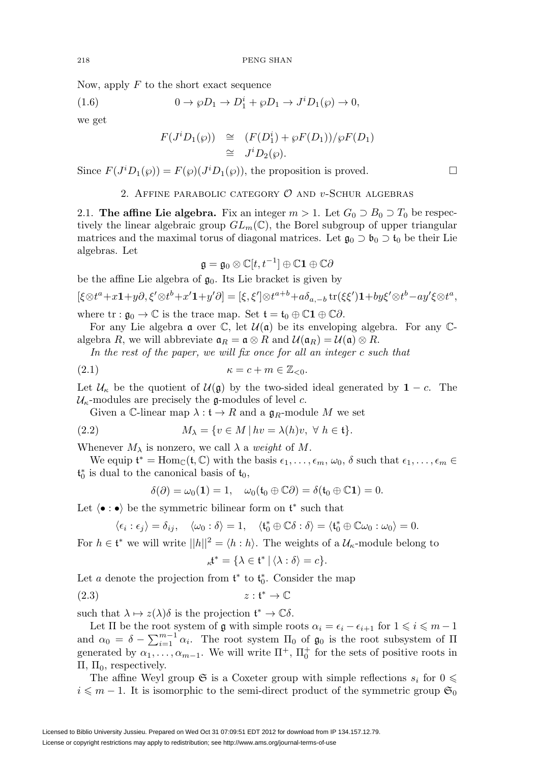Now, apply  $F$  to the short exact sequence

(1.6) 
$$
0 \to \wp D_1 \to D_1^i + \wp D_1 \to J^i D_1(\wp) \to 0,
$$

we get

$$
F(J^{i}D_{1}(\wp)) \cong (F(D_{1}^{i}) + \wp F(D_{1})) / \wp F(D_{1})
$$
  
\n
$$
\cong J^{i}D_{2}(\wp).
$$

<span id="page-6-0"></span>Since  $F(J^iD_1(\wp)) = F(\wp)(J^iD_1(\wp))$ , the proposition is proved.

# 2. AFFINE PARABOLIC CATEGORY  $\mathcal O$  and v-Schur algebras

2.1. **The affine Lie algebra.** Fix an integer  $m > 1$ . Let  $G_0 \supseteq B_0 \supseteq T_0$  be respectively the linear algebraic group  $GL_m(\mathbb{C})$ , the Borel subgroup of upper triangular matrices and the maximal torus of diagonal matrices. Let  $\mathfrak{g}_0 \supset \mathfrak{b}_0 \supset \mathfrak{t}_0$  be their Lie algebras. Let

$$
\mathfrak{g}=\mathfrak{g}_0\otimes \mathbb{C}[t,t^{-1}]\oplus \mathbb{C}\mathbf{1}\oplus \mathbb{C}\partial
$$

be the affine Lie algebra of  $\mathfrak{g}_0$ . Its Lie bracket is given by

$$
[\xi \otimes t^a + x\mathbf{1} + y\partial, \xi' \otimes t^b + x'\mathbf{1} + y'\partial] = [\xi, \xi'] \otimes t^{a+b} + a\delta_{a,-b} \operatorname{tr}(\xi \xi')\mathbf{1} + by \xi' \otimes t^b - ay'\xi \otimes t^a,
$$

where  $\text{tr}: \mathfrak{g}_0 \to \mathbb{C}$  is the trace map. Set  $\mathfrak{t} = \mathfrak{t}_0 \oplus \mathbb{C}1 \oplus \mathbb{C}0$ .

For any Lie algebra  $\alpha$  over  $\mathbb{C}$ , let  $\mathcal{U}(\alpha)$  be its enveloping algebra. For any  $\mathbb{C}$ algebra R, we will abbreviate  $\mathfrak{a}_R = \mathfrak{a} \otimes R$  and  $\mathcal{U}(\mathfrak{a}_R) = \mathcal{U}(\mathfrak{a}) \otimes R$ .

In the rest of the paper, we will fix once for all an integer c such that

$$
(2.1) \t\t \t\t \t\t \kappa = c + m \in \mathbb{Z}_{< 0}.
$$

Let  $\mathcal{U}_{\kappa}$  be the quotient of  $\mathcal{U}(\mathfrak{g})$  by the two-sided ideal generated by  $\mathbf{1} - c$ . The  $\mathcal{U}_{\kappa}$ -modules are precisely the g-modules of level c.

Given a C-linear map  $\lambda : \mathfrak{t} \to R$  and a  $\mathfrak{g}_R$ -module M we set

<span id="page-6-2"></span>(2.2) 
$$
M_{\lambda} = \{v \in M \mid hv = \lambda(h)v, \ \forall \ h \in \mathfrak{t}\}.
$$

Whenever  $M_{\lambda}$  is nonzero, we call  $\lambda$  a *weight* of M.

We equip  $\mathfrak{t}^* = \text{Hom}_{\mathbb{C}}(\mathfrak{t}, \mathbb{C})$  with the basis  $\epsilon_1, \ldots, \epsilon_m, \omega_0, \delta$  such that  $\epsilon_1, \ldots, \epsilon_m \in$  $\mathfrak{t}_0^*$  is dual to the canonical basis of  $\mathfrak{t}_0$ ,

$$
\delta(\partial) = \omega_0(\mathbf{1}) = 1, \quad \omega_0(\mathfrak{t}_0 \oplus \mathbb{C}\partial) = \delta(\mathfrak{t}_0 \oplus \mathbb{C}\mathbf{1}) = 0.
$$

Let  $\langle \bullet : \bullet \rangle$  be the symmetric bilinear form on  $\mathfrak{t}^*$  such that

$$
\langle \epsilon_i : \epsilon_j \rangle = \delta_{ij}, \quad \langle \omega_0 : \delta \rangle = 1, \quad \langle \mathfrak{t}_0^* \oplus \mathbb{C} \delta : \delta \rangle = \langle \mathfrak{t}_0^* \oplus \mathbb{C} \omega_0 : \omega_0 \rangle = 0.
$$

For  $h \in \mathfrak{t}^*$  we will write  $||h||^2 = \langle h : h \rangle$ . The weights of a  $\mathcal{U}_\kappa$ -module belong to

$$
{}_{\kappa}\mathfrak{t}^* = \{\lambda \in \mathfrak{t}^* \mid \langle \lambda : \delta \rangle = c\}.
$$

Let a denote the projection from  $\mathfrak{t}^*$  to  $\mathfrak{t}_0^*$ . Consider the map

<span id="page-6-1"></span>
$$
(2.3) \t\t z: \mathfrak{t}^* \to \mathbb{C}
$$

such that  $\lambda \mapsto z(\lambda)\delta$  is the projection  $\mathfrak{t}^* \to \mathbb{C}\delta$ .

Let  $\Pi$  be the root system of  $\mathfrak g$  with simple roots  $\alpha_i = \epsilon_i - \epsilon_{i+1}$  for  $1 \leq i \leq m-1$ and  $\alpha_0 = \delta - \sum_{i=1}^{m-1} \alpha_i$ . The root system  $\Pi_0$  of  $\mathfrak{g}_0$  is the root subsystem of  $\Pi$ generated by  $\alpha_1, \ldots, \alpha_{m-1}$ . We will write  $\Pi^+$ ,  $\Pi_0^+$  for the sets of positive roots in  $\Pi$ ,  $\Pi$ <sub>0</sub>, respectively.

The affine Weyl group  $\mathfrak S$  is a Coxeter group with simple reflections  $s_i$  for  $0 \leq$  $i \leq m - 1$ . It is isomorphic to the semi-direct product of the symmetric group  $\mathfrak{S}_0$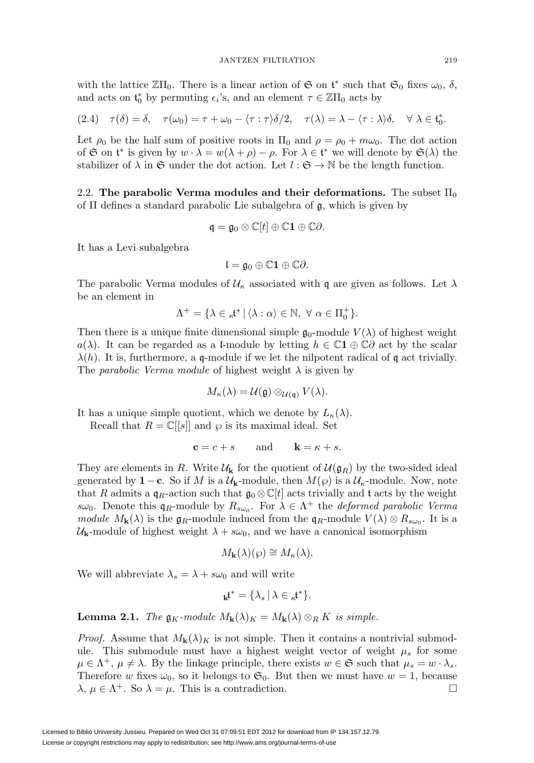with the lattice  $\mathbb{Z}\Pi_0$ . There is a linear action of  $\mathfrak{S}$  on  $\mathfrak{t}^*$  such that  $\mathfrak{S}_0$  fixes  $\omega_0$ ,  $\delta$ , and acts on  $\mathfrak{t}_0^*$  by permuting  $\epsilon_i$ 's, and an element  $\tau \in \mathbb{Z} \Pi_0$  acts by

<span id="page-7-0"></span>(2.4) 
$$
\tau(\delta) = \delta
$$
,  $\tau(\omega_0) = \tau + \omega_0 - \langle \tau : \tau \rangle \delta/2$ ,  $\tau(\lambda) = \lambda - \langle \tau : \lambda \rangle \delta$ ,  $\forall \lambda \in \mathfrak{t}_0^*$ .

Let  $\rho_0$  be the half sum of positive roots in  $\Pi_0$  and  $\rho = \rho_0 + m\omega_0$ . The dot action of  $\mathfrak S$  on  $\mathfrak t^*$  is given by  $w \cdot \lambda = w(\lambda + \rho) - \rho$ . For  $\lambda \in \mathfrak t^*$  we will denote by  $\mathfrak S(\lambda)$  the stabilizer of  $\lambda$  in G under the dot action. Let  $l : \mathfrak{S} \to \mathbb{N}$  be the length function.

2.2. **The parabolic Verma modules and their deformations.** The subset  $\Pi_0$ of Π defines a standard parabolic Lie subalgebra of g, which is given by

$$
\mathfrak{q} = \mathfrak{g}_0 \otimes \mathbb{C}[t] \oplus \mathbb{C}1 \oplus \mathbb{C}\partial.
$$

It has a Levi subalgebra

$$
\mathfrak{l}=\mathfrak{g}_0\oplus\mathbb{C}\mathbf{1}\oplus\mathbb{C}\partial.
$$

The parabolic Verma modules of  $\mathcal{U}_{\kappa}$  associated with q are given as follows. Let  $\lambda$ be an element in

$$
\Lambda^+ = \{ \lambda \in \mathcal{A}^* \mid \langle \lambda : \alpha \rangle \in \mathbb{N}, \ \forall \ \alpha \in \Pi_0^+ \}.
$$

Then there is a unique finite dimensional simple  $\mathfrak{g}_0$ -module  $V(\lambda)$  of highest weight a( $\lambda$ ). It can be regarded as a l-module by letting  $h \in \mathbb{C}1 \oplus \mathbb{C}\partial$  act by the scalar  $\lambda(h)$ . It is, furthermore, a q-module if we let the nilpotent radical of q act trivially. The *parabolic Verma module* of highest weight  $\lambda$  is given by

$$
M_{\kappa}(\lambda) = \mathcal{U}(\mathfrak{g}) \otimes_{\mathcal{U}(\mathfrak{q})} V(\lambda).
$$

It has a unique simple quotient, which we denote by  $L_{\kappa}(\lambda)$ .

Recall that  $R = \mathbb{C}[[s]]$  and  $\wp$  is its maximal ideal. Set

$$
\mathbf{c} = c + s \qquad \text{and} \qquad \mathbf{k} = \kappa + s.
$$

They are elements in R. Write  $\mathcal{U}_k$  for the quotient of  $\mathcal{U}(\mathfrak{g}_R)$  by the two-sided ideal generated by **1**−**c**. So if M is a  $U_k$ -module, then  $M(\wp)$  is a  $U_k$ -module. Now, note that R admits a  $q_R$ -action such that  $\mathfrak{g}_0 \otimes \mathbb{C}[t]$  acts trivially and t acts by the weight  $s\omega_0$ . Denote this  $\mathfrak{q}_R$ -module by  $R_{s\omega_0}$ . For  $\lambda \in \Lambda^+$  the *deformed parabolic Verma* module  $M_{\mathbf{k}}(\lambda)$  is the  $\mathfrak{g}_R$ -module induced from the  $\mathfrak{q}_R$ -module  $V(\lambda) \otimes R_{s\omega_0}$ . It is a  $U_{\mathbf{k}}$ -module of highest weight  $\lambda + s\omega_0$ , and we have a canonical isomorphism

$$
M_{\mathbf{k}}(\lambda)(\wp) \cong M_{\kappa}(\lambda).
$$

We will abbreviate  $\lambda_s = \lambda + s\omega_0$  and will write

$$
k^* = \{\lambda_s \, | \, \lambda \in k^*\}.
$$

<span id="page-7-1"></span>**Lemma 2.1.** The  $\mathfrak{g}_K$ -module  $M_{\mathbf{k}}(\lambda)_K = M_{\mathbf{k}}(\lambda) \otimes_R K$  is simple.

*Proof.* Assume that  $M_{\mathbf{k}}(\lambda)_K$  is not simple. Then it contains a nontrivial submodule. This submodule must have a highest weight vector of weight  $\mu_s$  for some  $\mu \in \Lambda^+$ ,  $\mu \neq \lambda$ . By the linkage principle, there exists  $w \in \mathfrak{S}$  such that  $\mu_s = w \cdot \lambda_s$ . Therefore w fixes  $\omega_0$ , so it belongs to  $\mathfrak{S}_0$ . But then we must have  $w = 1$ , because  $\lambda, \mu \in \Lambda^+$ . So  $\lambda = \mu$ . This is a contradiction.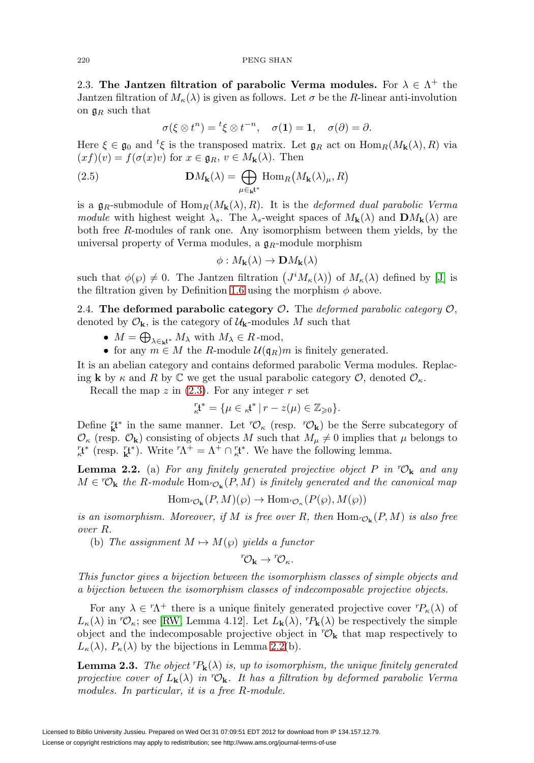#### <span id="page-8-2"></span>220 PENG SHAN

2.3. **The Jantzen filtration of parabolic Verma modules.** For  $\lambda \in \Lambda^+$  the Jantzen filtration of  $M_{\kappa}(\lambda)$  is given as follows. Let  $\sigma$  be the R-linear anti-involution on  $\mathfrak{g}_R$  such that

$$
\sigma(\xi \otimes t^n) = {}^t \xi \otimes t^{-n}, \quad \sigma(\mathbf{1}) = \mathbf{1}, \quad \sigma(\partial) = \partial.
$$

Here  $\xi \in \mathfrak{g}_0$  and  ${}^t\xi$  is the transposed matrix. Let  $\mathfrak{g}_R$  act on  $\text{Hom}_R(M_{\mathbf{k}}(\lambda), R)$  via  $(xf)(v) = f(\sigma(x)v)$  for  $x \in \mathfrak{g}_R$ ,  $v \in M_{\mathbf{k}}(\lambda)$ . Then

<span id="page-8-3"></span>(2.5) 
$$
\mathbf{D}M_{\mathbf{k}}(\lambda) = \bigoplus_{\mu \in \mathbf{k}^*} \text{Hom}_R(M_{\mathbf{k}}(\lambda)_{\mu}, R)
$$

is a  $\mathfrak{g}_R$ -submodule of  $\text{Hom}_R(M_{\mathbf{k}}(\lambda), R)$ . It is the *deformed dual parabolic Verma* module with highest weight  $\lambda_s$ . The  $\lambda_s$ -weight spaces of  $M_{\mathbf{k}}(\lambda)$  and  $\mathbf{D}M_{\mathbf{k}}(\lambda)$  are both free R-modules of rank one. Any isomorphism between them yields, by the universal property of Verma modules, a  $\mathfrak{g}_R$ -module morphism

$$
\phi: M_{\mathbf{k}}(\lambda) \to \mathbf{D}M_{\mathbf{k}}(\lambda)
$$

such that  $\phi(\varphi) \neq 0$ . The Jantzen filtration  $(J^i M_{\kappa}(\lambda))$  of  $M_{\kappa}(\lambda)$  defined by [\[J\]](#page-56-3) is the filtration given by Definition [1.6](#page-4-1) using the morphism  $\phi$  above.

2.4. **The deformed parabolic category** O**.** The deformed parabolic category O, denoted by  $\mathcal{O}_{\mathbf{k}}$ , is the category of  $\mathcal{U}_{\mathbf{k}}$ -modules M such that

- $M = \bigoplus_{\lambda \in \mathbf{k}^{t^*}} M_{\lambda}$  with  $M_{\lambda} \in R$ -mod,
- for any  $m \in M$  the R-module  $\mathcal{U}(\mathfrak{q}_R)m$  is finitely generated.

It is an abelian category and contains deformed parabolic Verma modules. Replacing **k** by  $\kappa$  and R by C we get the usual parabolic category  $\mathcal{O}$ , denoted  $\mathcal{O}_{\kappa}$ .

Recall the map  $z$  in  $(2.3)$ . For any integer  $r$  set

$$
{}_{\kappa}^r \mathfrak{t}^* = \{ \mu \in {}_{\kappa} \mathfrak{t}^* \, | \, r - z(\mu) \in \mathbb{Z}_{\geqslant 0} \}.
$$

Define  ${}_{\mathbf{k}}^{r}$ <sup>*t*</sup> in the same manner. Let  ${}^{r}\mathcal{O}_{\kappa}$  (resp.  ${}^{r}\mathcal{O}_{\mathbf{k}}$ ) be the Serre subcategory of  $\mathcal{O}_{\kappa}$  (resp.  $\mathcal{O}_{\mathbf{k}}$ ) consisting of objects M such that  $M_{\mu} \neq 0$  implies that  $\mu$  belongs to <sup>*r*</sup><sub>*k*</sub><sup>\*</sup> (resp. *r*<sub>*k*</sub><sup>\*</sup>). Write  ${}^r\Lambda^+ = \Lambda^+ \cap {}^r_k\mathfrak{t}^*$ . We have the following lemma.

<span id="page-8-0"></span>**Lemma 2.2.** (a) For any finitely generated projective object  $P$  in  ${}^{\mathsf{r}}\mathcal{O}_{\mathbf{k}}$  and any  $M \in {}^{r}\mathcal{O}_{k}$  the R-module Hom<sub>r $\mathcal{O}_{k}(P, M)$  is finitely generated and the canonical map</sub>

$$
\mathrm{Hom}_{{}^n\mathcal{O}_{\mathbf{k}}}(P,M)(\wp) \to \mathrm{Hom}_{{}^n\mathcal{O}_{\kappa}}(P(\wp),M(\wp))
$$

is an isomorphism. Moreover, if M is free over R, then  $Hom_{C_1}(P,M)$  is also free over R.

(b) The assignment  $M \mapsto M(\wp)$  yields a functor

$$
{}^r\!{\mathcal O}_{\bf k} \to {}^r\!{\mathcal O}_\kappa.
$$

This functor gives a bijection between the isomorphism classes of simple objects and a bijection between the isomorphism classes of indecomposable projective objects.

For any  $\lambda \in {}^{r}\Lambda^{+}$  there is a unique finitely generated projective cover  ${}^{r}P_{\kappa}(\lambda)$  of  $L_{\kappa}(\lambda)$  in  ${}^{\tau}\mathcal{O}_{\kappa}$ ; see [\[RW,](#page-56-4) Lemma 4.12]. Let  $L_{\mathbf{k}}(\lambda)$ ,  ${}^{\tau}P_{\mathbf{k}}(\lambda)$  be respectively the simple object and the indecomposable projective object in  ${}^r\mathcal{O}_{\mathbf{k}}$  that map respectively to  $L_{\kappa}(\lambda)$ ,  $P_{\kappa}(\lambda)$  by the bijections in Lemma [2.2\(](#page-8-0)b).

<span id="page-8-1"></span>**Lemma 2.3.** The object  ${}^{r}P_{k}(\lambda)$  is, up to isomorphism, the unique finitely generated projective cover of  $L_{\mathbf{k}}(\lambda)$  in  ${}^{\mathbf{r}}\mathcal{O}_{\mathbf{k}}$ . It has a filtration by deformed parabolic Verma modules. In particular, it is a free R-module.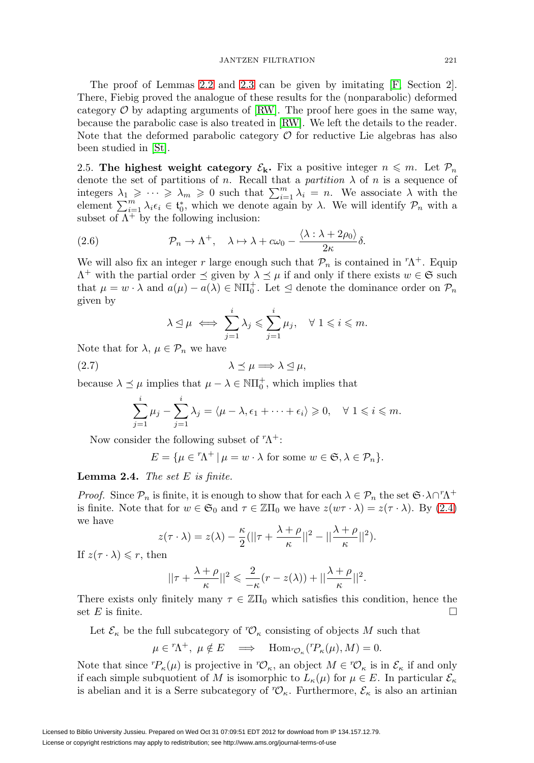The proof of Lemmas [2.2](#page-8-0) and [2.3](#page-8-1) can be given by imitating [\[F,](#page-55-2) Section 2]. There, Fiebig proved the analogue of these results for the (nonparabolic) deformed category  $\mathcal O$  by adapting arguments of [\[RW\]](#page-56-4). The proof here goes in the same way, because the parabolic case is also treated in [\[RW\]](#page-56-4). We left the details to the reader. Note that the deformed parabolic category  $\mathcal O$  for reductive Lie algebras has also been studied in [\[St\]](#page-56-5).

2.5. **The highest weight category**  $\mathcal{E}_{\mathbf{k}}$ . Fix a positive integer  $n \leq m$ . Let  $\mathcal{P}_n$ denote the set of partitions of n. Recall that a *partition*  $\lambda$  of n is a sequence of integers  $\lambda_1 \geqslant \cdots \geqslant \lambda_m \geqslant 0$  such that  $\sum_{i=1}^m \lambda_i = n$ . We associate  $\lambda$  with the element  $\sum_{i=1}^m \lambda_i \epsilon_i \in \mathfrak{t}_0^*$ , which we denote again by  $\lambda$ . We will identify  $\mathcal{P}_n$  with a subset of  $\Lambda^+$  by the following inclusion:

<span id="page-9-1"></span>(2.6) 
$$
\mathcal{P}_n \to \Lambda^+, \quad \lambda \mapsto \lambda + c\omega_0 - \frac{\langle \lambda : \lambda + 2\rho_0 \rangle}{2\kappa} \delta.
$$

We will also fix an integer r large enough such that  $\mathcal{P}_n$  is contained in  ${}^r\Lambda^+$ . Equip  $\Lambda^+$  with the partial order  $\preceq$  given by  $\lambda \preceq \mu$  if and only if there exists  $w \in \mathfrak{S}$  such that  $\mu = w \cdot \lambda$  and  $a(\mu) - a(\lambda) \in \overline{NI}_0^+$ . Let  $\Delta$  denote the dominance order on  $\mathcal{P}_n$ given by

$$
\lambda \leq \mu \iff \sum_{j=1}^i \lambda_j \leqslant \sum_{j=1}^i \mu_j, \quad \forall \ 1 \leqslant i \leqslant m.
$$

Note that for  $\lambda, \mu \in \mathcal{P}_n$  we have

<span id="page-9-0"></span>
$$
\lambda \preceq \mu \Longrightarrow \lambda \trianglelefteq \mu,
$$

because  $\lambda \preceq \mu$  implies that  $\mu - \lambda \in \mathbb{N}$  $\Pi_0^+$ , which implies that

$$
\sum_{j=1}^i \mu_j - \sum_{j=1}^i \lambda_j = \langle \mu - \lambda, \epsilon_1 + \dots + \epsilon_i \rangle \geqslant 0, \quad \forall \ 1 \leqslant i \leqslant m.
$$

Now consider the following subset of  ${}^{r}\Lambda^{+}$ :

$$
E = \{ \mu \in {}^{r}\Lambda^{+} \mid \mu = w \cdot \lambda \text{ for some } w \in \mathfrak{S}, \lambda \in \mathcal{P}_n \}.
$$

**Lemma 2.4.** The set E is finite.

*Proof.* Since  $\mathcal{P}_n$  is finite, it is enough to show that for each  $\lambda \in \mathcal{P}_n$  the set  $\mathfrak{S} \cdot \lambda \cap^r \Lambda^+$ is finite. Note that for  $w \in \mathfrak{S}_0$  and  $\tau \in \mathbb{Z}\Pi_0$  we have  $z(w\tau \cdot \lambda) = z(\tau \cdot \lambda)$ . By [\(2.4\)](#page-7-0) we have

$$
z(\tau \cdot \lambda) = z(\lambda) - \frac{\kappa}{2} (||\tau + \frac{\lambda + \rho}{\kappa}||^2 - ||\frac{\lambda + \rho}{\kappa}||^2).
$$

If  $z(\tau \cdot \lambda) \leqslant r$ , then

$$
||\tau + \frac{\lambda + \rho}{\kappa}||^2 \leqslant \frac{2}{-\kappa}(r - z(\lambda)) + ||\frac{\lambda + \rho}{\kappa}||^2.
$$

There exists only finitely many  $\tau \in \mathbb{Z}[\Pi_0]$  which satisfies this condition, hence the set E is finite.  $\square$ 

Let  $\mathcal{E}_{\kappa}$  be the full subcategory of  ${}^r\mathcal{O}_{\kappa}$  consisting of objects M such that

 $\mu \in {}^{r}\! \Lambda^{+}, \ \mu \notin E \implies \text{Hom}_{{}^{r}\! \mathcal{O}_{\kappa}}({}^{r}\! P_{\kappa}(\mu), M) = 0.$ 

Note that since  ${}^{r}P_{\kappa}(\mu)$  is projective in  ${}^{r}\mathcal{O}_{\kappa}$ , an object  $M \in {}^{r}\mathcal{O}_{\kappa}$  is in  $\mathcal{E}_{\kappa}$  if and only if each simple subquotient of M is isomorphic to  $L_{\kappa}(\mu)$  for  $\mu \in E$ . In particular  $\mathcal{E}_{\kappa}$ is abelian and it is a Serre subcategory of  ${}^r\mathcal{O}_\kappa$ . Furthermore,  $\mathcal{E}_\kappa$  is also an artinian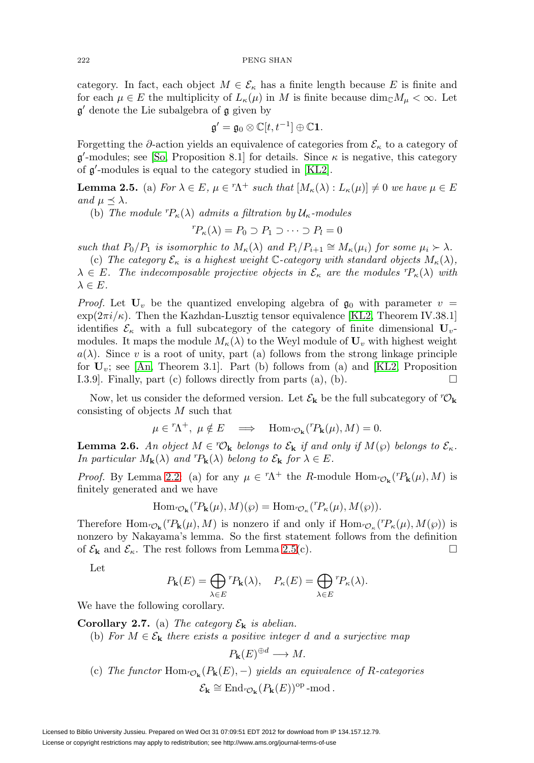category. In fact, each object  $M \in \mathcal{E}_{\kappa}$  has a finite length because E is finite and for each  $\mu \in E$  the multiplicity of  $L_{\kappa}(\mu)$  in M is finite because  $\dim_{\mathbb{C}} M_{\mu} < \infty$ . Let  $\mathfrak{g}'$  denote the Lie subalgebra of  $\mathfrak{g}$  given by

$$
\mathfrak{g}' = \mathfrak{g}_0 \otimes \mathbb{C}[t, t^{-1}] \oplus \mathbb{C} \mathbf{1}.
$$

Forgetting the ∂-action yields an equivalence of categories from  $\mathcal{E}_{\kappa}$  to a category of  $\mathfrak{g}'$ -modules; see [\[So,](#page-56-6) Proposition 8.1] for details. Since  $\kappa$  is negative, this category of  $\mathfrak{g}'$ -modules is equal to the category studied in [\[KL2\]](#page-56-7).

<span id="page-10-0"></span>**Lemma 2.5.** (a) For  $\lambda \in E$ ,  $\mu \in {}^{r}\!{\Lambda}^{+}$  such that  $[M_{\kappa}(\lambda) : L_{\kappa}(\mu)] \neq 0$  we have  $\mu \in E$ and  $\mu \prec \lambda$ .

(b) The module  ${}^{r}P_{\kappa}(\lambda)$  admits a filtration by  $\mathcal{U}_{\kappa}$ -modules

$$
{}^{r}P_{\kappa}(\lambda) = P_0 \supset P_1 \supset \cdots \supset P_l = 0
$$

such that  $P_0/P_1$  is isomorphic to  $M_{\kappa}(\lambda)$  and  $P_i/P_{i+1} \cong M_{\kappa}(\mu_i)$  for some  $\mu_i \succ \lambda$ .

(c) The category  $\mathcal{E}_{\kappa}$  is a highest weight C-category with standard objects  $M_{\kappa}(\lambda)$ ,  $\lambda \in E$ . The indecomposable projective objects in  $\mathcal{E}_{\kappa}$  are the modules  ${}^{r}P_{\kappa}(\lambda)$  with  $\lambda \in E$ .

*Proof.* Let  $\mathbf{U}_v$  be the quantized enveloping algebra of  $\mathfrak{g}_0$  with parameter  $v =$  $\exp(2\pi i/\kappa)$ . Then the Kazhdan-Lusztig tensor equivalence [\[KL2,](#page-56-7) Theorem IV.38.1] identifies  $\mathcal{E}_{\kappa}$  with a full subcategory of the category of finite dimensional  $\mathbf{U}_{v}$ modules. It maps the module  $M_{\kappa}(\lambda)$  to the Weyl module of  $U_{\nu}$  with highest weight  $a(\lambda)$ . Since v is a root of unity, part (a) follows from the strong linkage principle for  $U_v$ ; see [\[An,](#page-55-3) Theorem 3.1]. Part (b) follows from (a) and [\[KL2,](#page-56-7) Proposition I.3.9. Finally, part (c) follows directly from parts (a), (b).  $\Box$ 

Now, let us consider the deformed version. Let  $\mathcal{E}_{\mathbf{k}}$  be the full subcategory of  ${}^{\tau}\mathcal{O}_{\mathbf{k}}$ consisting of objects M such that

$$
\mu \in {}^{r}\Lambda^{+}, \ \mu \notin E \quad \Longrightarrow \quad \mathrm{Hom}_{{}^{r}\mathcal{O}_{\mathbf{k}}}({}^{r}P_{\mathbf{k}}(\mu), M) = 0.
$$

<span id="page-10-1"></span>**Lemma 2.6.** An object  $M \in {}^r\mathcal{O}_k$  belongs to  $\mathcal{E}_k$  if and only if  $M(\wp)$  belongs to  $\mathcal{E}_k$ . In particular  $M_{\mathbf{k}}(\lambda)$  and  ${}^{r}P_{\mathbf{k}}(\lambda)$  belong to  $\mathcal{E}_{\mathbf{k}}$  for  $\lambda \in E$ .

*Proof.* By Lemma [2.2:](#page-8-0) (a) for any  $\mu \in {}^{r}\Lambda^{+}$  the R-module Hom ${}_{r\mathcal{O}_{\mathbf{k}}}({}^{r}P_{\mathbf{k}}(\mu), M)$  is finitely generated and we have

$$
\mathrm{Hom}_{^r\mathcal{O}_\mathbf{k}}({^r\!P_\mathbf{k}}(\mu),M)(\wp)=\mathrm{Hom}_{^r\mathcal{O}_\kappa}({^r\!P_\kappa}(\mu),M(\wp)).
$$

Therefore  $\text{Hom}_{{}^n\mathcal{O}_k}({}^rP_k(\mu),M)$  is nonzero if and only if  $\text{Hom}_{{}^n\mathcal{O}_k}({}^rP_k(\mu),M(\wp))$  is nonzero by Nakayama's lemma. So the first statement follows from the definition of  $\mathcal{E}_{\mathbf{k}}$  and  $\mathcal{E}_{\kappa}$ . The rest follows from Lemma [2.5\(](#page-10-0)c).

Let

$$
P_{\mathbf{k}}(E) = \bigoplus_{\lambda \in E} {}^{r}P_{\mathbf{k}}(\lambda), \quad P_{\kappa}(E) = \bigoplus_{\lambda \in E} {}^{r}P_{\kappa}(\lambda).
$$

We have the following corollary.

**Corollary 2.7.** (a) The category  $\mathcal{E}_{\mathbf{k}}$  is abelian.

(b) For  $M \in \mathcal{E}_{\mathbf{k}}$  there exists a positive integer d and a surjective map

$$
P_{\mathbf{k}}(E)^{\oplus d} \longrightarrow M.
$$

(c) The functor  $\text{Hom}_{^{\tau}\mathcal{O}_{\mathbf{k}}}(P_{\mathbf{k}}(E),-)$  yields an equivalence of R-categories  $\mathcal{E}_{\mathbf{k}} \cong \text{End}_{{}^r\mathcal{O}_{\mathbf{k}}}(P_{\mathbf{k}}(E))^{\text{op}}$ -mod .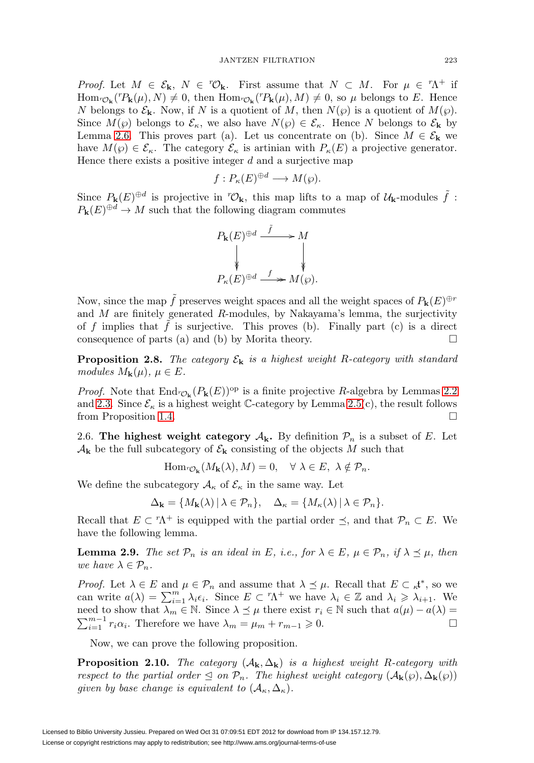Proof. Let  $M \in \mathcal{E}_{k}$ ,  $N \in {}^r\mathcal{O}_{k}$ . First assume that  $N \subset M$ . For  $\mu \in {}^r\Lambda^+$  if  $\text{Hom}_{^{\text{P}}\mathcal{O}_{\mathbf{k}}}(^{r}P_{\mathbf{k}}(\mu), N) \neq 0$ , then  $\text{Hom}_{^{\text{P}}\mathcal{O}_{\mathbf{k}}}(^{r}P_{\mathbf{k}}(\mu), M) \neq 0$ , so  $\mu$  belongs to E. Hence N belongs to  $\mathcal{E}_k$ . Now, if N is a quotient of M, then  $N(\wp)$  is a quotient of  $M(\wp)$ . Since  $M(\wp)$  belongs to  $\mathcal{E}_{\kappa}$ , we also have  $N(\wp) \in \mathcal{E}_{\kappa}$ . Hence N belongs to  $\mathcal{E}_{\mathbf{k}}$  by Lemma [2.6.](#page-10-1) This proves part (a). Let us concentrate on (b). Since  $M \in \mathcal{E}_{\mathbf{k}}$  we have  $M(\wp) \in \mathcal{E}_{\kappa}$ . The category  $\mathcal{E}_{\kappa}$  is artinian with  $P_{\kappa}(E)$  a projective generator. Hence there exists a positive integer  $d$  and a surjective map

$$
f: P_{\kappa}(E)^{\oplus d} \longrightarrow M(\wp).
$$

Since  $P_{\mathbf{k}}(E)^{\oplus d}$  is projective in  ${}^r\mathcal{O}_{\mathbf{k}}$ , this map lifts to a map of  $\mathcal{U}_{\mathbf{k}}$ -modules  $\tilde{f}$ :  $P_k(E)^{\oplus d} \to M$  such that the following diagram commutes



Now, since the map  $\tilde{f}$  preserves weight spaces and all the weight spaces of  $P_{\mathbf{k}}(E)^{\oplus r}$ and  $M$  are finitely generated  $R$ -modules, by Nakayama's lemma, the surjectivity of f implies that  $\tilde{f}$  is surjective. This proves (b). Finally part (c) is a direct consequence of parts (a) and (b) by Morita theory.  $\Box$ 

**Proposition 2.8.** The category  $\mathcal{E}_{\mathbf{k}}$  is a highest weight R-category with standard modules  $M_{\mathbf{k}}(\mu)$ ,  $\mu \in E$ .

*Proof.* Note that  $\text{End}_{\mathcal{O}_k}(P_k(E))^{\text{op}}$  is a finite projective R-algebra by Lemmas [2.2](#page-8-0) and [2.3.](#page-8-1) Since  $\mathcal{E}_{\kappa}$  is a highest weight C-category by Lemma [2.5\(](#page-10-0)c), the result follows from Proposition [1.4.](#page-3-0)

2.6. **The highest weight category**  $A_k$ . By definition  $\mathcal{P}_n$  is a subset of E. Let  $\mathcal{A}_{\mathbf{k}}$  be the full subcategory of  $\mathcal{E}_{\mathbf{k}}$  consisting of the objects M such that

$$
\mathrm{Hom}_{{}^n\mathcal{O}_{\mathbf{k}}}(M_{\mathbf{k}}(\lambda), M) = 0, \quad \forall \ \lambda \in E, \ \lambda \notin \mathcal{P}_n.
$$

We define the subcategory  $\mathcal{A}_{\kappa}$  of  $\mathcal{E}_{\kappa}$  in the same way. Let

$$
\Delta_{\mathbf{k}} = \{ M_{\mathbf{k}}(\lambda) \, | \, \lambda \in \mathcal{P}_n \}, \quad \Delta_{\kappa} = \{ M_{\kappa}(\lambda) \, | \, \lambda \in \mathcal{P}_n \}.
$$

Recall that  $E \subset \Lambda^+$  is equipped with the partial order  $\preceq$ , and that  $\mathcal{P}_n \subset E$ . We have the following lemma.

**Lemma 2.9.** The set  $\mathcal{P}_n$  is an ideal in E, i.e., for  $\lambda \in E$ ,  $\mu \in \mathcal{P}_n$ , if  $\lambda \preceq \mu$ , then we have  $\lambda \in \mathcal{P}_n$ .

*Proof.* Let  $\lambda \in E$  and  $\mu \in \mathcal{P}_n$  and assume that  $\lambda \preceq \mu$ . Recall that  $E \subset \kappa^{*}$ , so we can write  $a(\lambda) = \sum_{i=1}^{m} \lambda_i \epsilon_i$ . Since  $E \subset {}^{r}\Lambda^{+}$  we have  $\lambda_i \in \mathbb{Z}$  and  $\lambda_i \geq \lambda_{i+1}$ . We need to show that  $\lambda_m \in \mathbb{N}$ . Since  $\lambda \leq \mu$  there exist  $r_i \in \mathbb{N}$  such that  $a(\mu) - a(\lambda) =$  $\sum_{i=1}^{m-1} r_i \alpha_i$ . Therefore we have  $\lambda_m = \mu_m + r_{m-1} \geq 0$ .

Now, we can prove the following proposition.

**Proposition 2.10.** The category  $(A_k, \Delta_k)$  is a highest weight R-category with respect to the partial order  $\leq$  on  $\mathcal{P}_n$ . The highest weight category  $(\mathcal{A}_{\mathbf{k}}(\wp), \Delta_{\mathbf{k}}(\wp))$ given by base change is equivalent to  $(\mathcal{A}_{\kappa}, \Delta_{\kappa}).$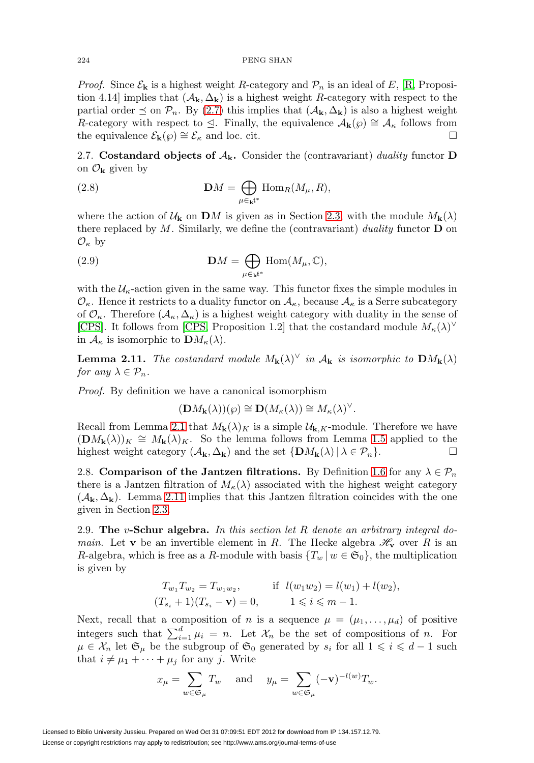*Proof.* Since  $\mathcal{E}_{\mathbf{k}}$  is a highest weight R-category and  $\mathcal{P}_n$  is an ideal of E, [\[R,](#page-56-2) Proposition 4.14] implies that  $(A_k, \Delta_k)$  is a highest weight R-category with respect to the partial order  $\leq$  on  $\mathcal{P}_n$ . By [\(2.7\)](#page-9-0) this implies that  $(\mathcal{A}_k, \Delta_k)$  is also a highest weight R-category with respect to  $\leq$ . Finally, the equivalence  $\mathcal{A}_{\mathbf{k}}(\varphi) \cong \mathcal{A}_{\kappa}$  follows from the equivalence  $\mathcal{E}_{\mathbf{k}}(\wp) \cong \mathcal{E}_{\kappa}$  and loc. cit. □

2.7. **Costandard objects of**  $A_k$ **.** Consider the (contravariant) duality functor **D** on  $\mathcal{O}_{\mathbf{k}}$  given by

(2.8) 
$$
\mathbf{D}M = \bigoplus_{\mu \in \mathbf{k}^{*}} \text{Hom}_{R}(M_{\mu}, R),
$$

where the action of  $U_{\mathbf{k}}$  on  $\mathbf{D}M$  is given as in Section [2.3,](#page-8-2) with the module  $M_{\mathbf{k}}(\lambda)$ there replaced by  $M$ . Similarly, we define the (contravariant) *duality* functor  $\bf{D}$  on  $\mathcal{O}_{\kappa}$  by

(2.9) 
$$
\mathbf{D}M = \bigoplus_{\mu \in \mathbf{k}^{\mathbf{t}^*}} \text{Hom}(M_{\mu}, \mathbb{C}),
$$

with the  $\mathcal{U}_{\kappa}$ -action given in the same way. This functor fixes the simple modules in  $\mathcal{O}_{\kappa}$ . Hence it restricts to a duality functor on  $\mathcal{A}_{\kappa}$ , because  $\mathcal{A}_{\kappa}$  is a Serre subcategory of  $\mathcal{O}_{\kappa}$ . Therefore  $(\mathcal{A}_{\kappa}, \Delta_{\kappa})$  is a highest weight category with duality in the sense of [\[CPS\]](#page-55-4). It follows from [\[CPS,](#page-55-4) Proposition 1.2] that the costandard module  $M_{\kappa}(\lambda)^{\vee}$ in  $\mathcal{A}_{\kappa}$  is isomorphic to  $\mathbf{D}M_{\kappa}(\lambda)$ .

<span id="page-12-1"></span>**Lemma 2.11.** The costandard module  $M_{\mathbf{k}}(\lambda)^{\vee}$  in  $\mathcal{A}_{\mathbf{k}}$  is isomorphic to  $\mathbf{D}M_{\mathbf{k}}(\lambda)$ for any  $\lambda \in \mathcal{P}_n$ .

Proof. By definition we have a canonical isomorphism

$$
(\mathbf{D}M_{\mathbf{k}}(\lambda))(\wp) \cong \mathbf{D}(M_{\kappa}(\lambda)) \cong M_{\kappa}(\lambda)^{\vee}.
$$

Recall from Lemma [2.1](#page-7-1) that  $M_{\mathbf{k}}(\lambda)_{K}$  is a simple  $\mathcal{U}_{\mathbf{k},K}$ -module. Therefore we have  $(\mathbf{D}M_{\mathbf{k}}(\lambda))_K \cong M_{\mathbf{k}}(\lambda)_K$ . So the lemma follows from Lemma [1.5](#page-3-3) applied to the highest weight category  $(A_{\mathbf{k}}, \Delta_{\mathbf{k}})$  and the set  $\{ \mathbf{D}M_{\mathbf{k}}(\lambda) | \lambda \in \mathcal{P}_n \}$ .

2.8. **Comparison of the Jantzen filtrations.** By Definition [1.6](#page-4-1) for any  $\lambda \in \mathcal{P}_n$ there is a Jantzen filtration of  $M_{\kappa}(\lambda)$  associated with the highest weight category  $(\mathcal{A}_k, \Delta_k)$ . Lemma [2.11](#page-12-1) implies that this Jantzen filtration coincides with the one given in Section [2.3.](#page-8-2)

<span id="page-12-0"></span>2.9. **The** v**-Schur algebra.** In this section let R denote an arbitrary integral do*main.* Let **v** be an invertible element in R. The Hecke algebra  $\mathcal{H}_{\mathbf{v}}$  over R is an R-algebra, which is free as a R-module with basis  $\{T_w | w \in \mathfrak{S}_0\}$ , the multiplication is given by

$$
T_{w_1}T_{w_2} = T_{w_1w_2},
$$
 if  $l(w_1w_2) = l(w_1) + l(w_2),$   
\n $(T_{s_i} + 1)(T_{s_i} - \mathbf{v}) = 0,$   $1 \le i \le m - 1.$ 

Next, recall that a composition of n is a sequence  $\mu = (\mu_1, \ldots, \mu_d)$  of positive integers such that  $\sum_{i=1}^d \mu_i = n$ . Let  $\mathcal{X}_n$  be the set of compositions of n. For  $\mu \in \mathcal{X}_n$  let  $\mathfrak{S}_{\mu}$  be the subgroup of  $\mathfrak{S}_0$  generated by  $s_i$  for all  $1 \leq i \leq d-1$  such that  $i \neq \mu_1 + \cdots + \mu_j$  for any j. Write

$$
x_{\mu} = \sum_{w \in \mathfrak{S}_{\mu}} T_w
$$
 and  $y_{\mu} = \sum_{w \in \mathfrak{S}_{\mu}} (-\mathbf{v})^{-l(w)} T_w$ .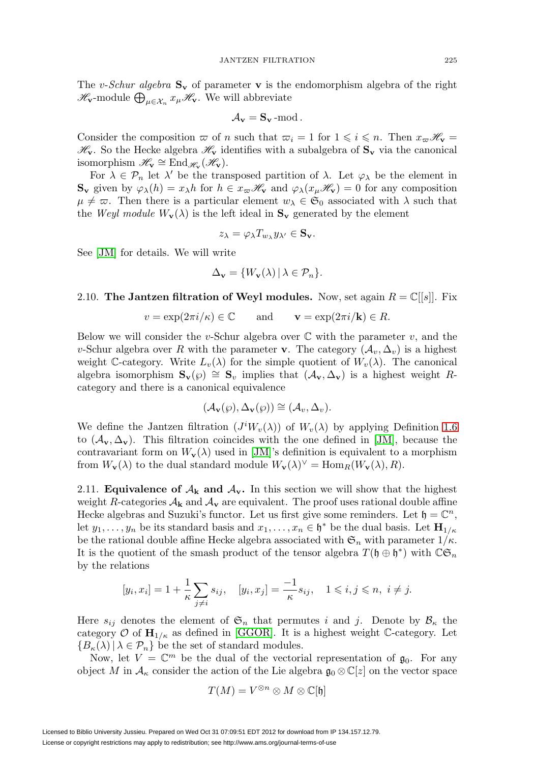The v-Schur algebra  $S_v$  of parameter **v** is the endomorphism algebra of the right  $\mathscr{H}_{\mathbf{v}}$ -module  $\bigoplus_{\mu \in \mathcal{X}_n} x_{\mu} \mathscr{H}_{\mathbf{v}}$ . We will abbreviate

$$
\mathcal{A}_{\mathbf{v}} = \mathbf{S}_{\mathbf{v}} \text{-mod}.
$$

Consider the composition  $\varpi$  of n such that  $\varpi_i = 1$  for  $1 \leq i \leq n$ . Then  $x_{\varpi} \mathscr{H}_{\mathbf{v}} =$  $\mathcal{H}_{\mathbf{v}}$ . So the Hecke algebra  $\mathcal{H}_{\mathbf{v}}$  identifies with a subalgebra of  $\mathbf{S}_{\mathbf{v}}$  via the canonical isomorphism  $\mathscr{H}_{\mathbf{v}} \cong \text{End}_{\mathscr{H}_{\mathbf{v}}}(\mathscr{H}_{\mathbf{v}}).$ 

For  $\lambda \in \mathcal{P}_n$  let  $\lambda'$  be the transposed partition of  $\lambda$ . Let  $\varphi_\lambda$  be the element in **Sv** given by  $\varphi_{\lambda}(h) = x_{\lambda}h$  for  $h \in x_{\varpi} \mathcal{H}_{\mathbf{v}}$  and  $\varphi_{\lambda}(x_{\mu} \mathcal{H}_{\mathbf{v}}) = 0$  for any composition  $\mu \neq \varpi$ . Then there is a particular element  $w_{\lambda} \in \mathfrak{S}_0$  associated with  $\lambda$  such that the Weyl module  $W_{\mathbf{v}}(\lambda)$  is the left ideal in  $\mathbf{S}_{\mathbf{v}}$  generated by the element

$$
z_{\lambda} = \varphi_{\lambda} T_{w_{\lambda}} y_{\lambda'} \in \mathbf{S}_{\mathbf{v}}.
$$

See [\[JM\]](#page-56-1) for details. We will write

$$
\Delta_{\mathbf{v}} = \{W_{\mathbf{v}}(\lambda) \, | \, \lambda \in \mathcal{P}_n\}.
$$

## 2.10. **The Jantzen filtration of Weyl modules.** Now, set again  $R = \mathbb{C}[[s]]$ . Fix

$$
v = \exp(2\pi i/\kappa) \in \mathbb{C}
$$
 and  $\mathbf{v} = \exp(2\pi i/\mathbf{k}) \in R$ .

Below we will consider the v-Schur algebra over  $\mathbb C$  with the parameter v, and the v-Schur algebra over R with the parameter **v**. The category  $(\mathcal{A}_v, \Delta_v)$  is a highest weight C-category. Write  $L_v(\lambda)$  for the simple quotient of  $W_v(\lambda)$ . The canonical algebra isomorphism  $\mathbf{S}_{\mathbf{v}}(\wp) \cong \mathbf{S}_v$  implies that  $(\mathcal{A}_{\mathbf{v}}, \Delta_{\mathbf{v}})$  is a highest weight Rcategory and there is a canonical equivalence

$$
(\mathcal{A}_{\mathbf{v}}(\wp), \Delta_{\mathbf{v}}(\wp)) \cong (\mathcal{A}_{v}, \Delta_{v}).
$$

We define the Jantzen filtration  $(J^iW_v(\lambda))$  of  $W_v(\lambda)$  by applying Definition [1.6](#page-4-1) to  $(\mathcal{A}_{\mathbf{v}}, \Delta_{\mathbf{v}})$ . This filtration coincides with the one defined in [\[JM\]](#page-56-1), because the contravariant form on  $W_{\mathbf{v}}(\lambda)$  used in [\[JM\]](#page-56-1)'s definition is equivalent to a morphism from  $W_{\mathbf{v}}(\lambda)$  to the dual standard module  $W_{\mathbf{v}}(\lambda)^{\vee} = \text{Hom}_{R}(W_{\mathbf{v}}(\lambda), R)$ .

2.11. **Equivalence of**  $A_k$  **and**  $A_v$ **.** In this section we will show that the highest weight R-categories  $A_k$  and  $A_v$  are equivalent. The proof uses rational double affine Hecke algebras and Suzuki's functor. Let us first give some reminders. Let  $\mathfrak{h} = \mathbb{C}^n$ , let  $y_1, \ldots, y_n$  be its standard basis and  $x_1, \ldots, x_n \in \mathfrak{h}^*$  be the dual basis. Let  $\mathbf{H}_{1/\kappa}$ be the rational double affine Hecke algebra associated with  $\mathfrak{S}_n$  with parameter  $1/\kappa$ . It is the quotient of the smash product of the tensor algebra  $T(\mathfrak{h} \oplus \mathfrak{h}^*)$  with  $\mathbb{C} \mathfrak{S}_n$ by the relations

$$
[y_i, x_i] = 1 + \frac{1}{\kappa} \sum_{j \neq i} s_{ij}, \quad [y_i, x_j] = \frac{-1}{\kappa} s_{ij}, \quad 1 \leq i, j \leq n, i \neq j.
$$

Here  $s_{ij}$  denotes the element of  $\mathfrak{S}_n$  that permutes i and j. Denote by  $\mathcal{B}_\kappa$  the category  $\mathcal{O}$  of  $\mathbf{H}_{1/\kappa}$  as defined in [\[GGOR\]](#page-55-5). It is a highest weight C-category. Let  ${B_{\kappa}(\lambda) | \lambda \in \mathcal{P}_n}$  be the set of standard modules.

Now, let  $V = \mathbb{C}^m$  be the dual of the vectorial representation of  $\mathfrak{g}_0$ . For any object M in  $\mathcal{A}_{\kappa}$  consider the action of the Lie algebra  $\mathfrak{g}_0 \otimes \mathbb{C}[z]$  on the vector space

$$
T(M) = V^{\otimes n} \otimes M \otimes \mathbb{C}[\mathfrak{h}]
$$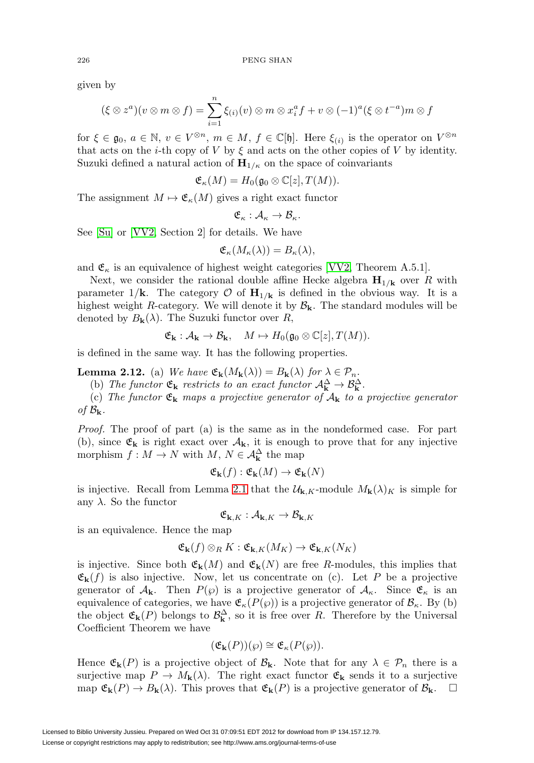given by

$$
(\xi \otimes z^a)(v \otimes m \otimes f) = \sum_{i=1}^n \xi_{(i)}(v) \otimes m \otimes x_i^a f + v \otimes (-1)^a (\xi \otimes t^{-a}) m \otimes f
$$

for  $\xi \in \mathfrak{g}_0, a \in \mathbb{N}, v \in V^{\otimes n}, m \in M, f \in \mathbb{C}[\mathfrak{h}]$ . Here  $\xi_{(i)}$  is the operator on  $V^{\otimes n}$ that acts on the *i*-th copy of V by  $\xi$  and acts on the other copies of V by identity. Suzuki defined a natural action of  $H_{1/\kappa}$  on the space of coinvariants

$$
\mathfrak{E}_{\kappa}(M) = H_0(\mathfrak{g}_0 \otimes \mathbb{C}[z], T(M)).
$$

The assignment  $M \mapsto \mathfrak{E}_{\kappa}(M)$  gives a right exact functor

$$
\mathfrak{E}_{\kappa}:\mathcal{A}_{\kappa}\to\mathcal{B}_{\kappa}.
$$

See [\[Su\]](#page-56-8) or [\[VV2,](#page-57-1) Section 2] for details. We have

$$
\mathfrak{E}_{\kappa}(M_{\kappa}(\lambda))=B_{\kappa}(\lambda),
$$

and  $\mathfrak{E}_{\kappa}$  is an equivalence of highest weight categories [\[VV2,](#page-57-1) Theorem A.5.1].

Next, we consider the rational double affine Hecke algebra  $\mathbf{H}_{1/\mathbf{k}}$  over R with parameter  $1/\mathbf{k}$ . The category  $\mathcal{O}$  of  $\mathbf{H}_{1/\mathbf{k}}$  is defined in the obvious way. It is a highest weight R-category. We will denote it by  $\mathcal{B}_{k}$ . The standard modules will be denoted by  $B_{\mathbf{k}}(\lambda)$ . The Suzuki functor over R,

$$
\mathfrak{E}_{\mathbf{k}}: \mathcal{A}_{\mathbf{k}} \to \mathcal{B}_{\mathbf{k}}, \quad M \mapsto H_0(\mathfrak{g}_0 \otimes \mathbb{C}[z], T(M)).
$$

is defined in the same way. It has the following properties.

<span id="page-14-0"></span>**Lemma 2.12.** (a) We have  $\mathfrak{E}_{\mathbf{k}}(M_{\mathbf{k}}(\lambda)) = B_{\mathbf{k}}(\lambda)$  for  $\lambda \in \mathcal{P}_n$ .

(b) The functor  $\mathfrak{E}_{\mathbf{k}}$  restricts to an exact functor  $\mathcal{A}_{\mathbf{k}}^{\Delta} \to \mathcal{B}_{\mathbf{k}}^{\Delta}$ .

(c) The functor E**<sup>k</sup>** maps a projective generator of A**<sup>k</sup>** to a projective generator of  $\mathcal{B}_k$ .

Proof. The proof of part (a) is the same as in the nondeformed case. For part (b), since  $\mathfrak{E}_{\mathbf{k}}$  is right exact over  $\mathcal{A}_{\mathbf{k}}$ , it is enough to prove that for any injective morphism  $f: M \to N$  with  $M, N \in \mathcal{A}_{\mathbf{k}}^{\Delta}$  the map

$$
\mathfrak{E}_{\mathbf{k}}(f) : \mathfrak{E}_{\mathbf{k}}(M) \to \mathfrak{E}_{\mathbf{k}}(N)
$$

is injective. Recall from Lemma [2.1](#page-7-1) that the  $\mathcal{U}_{\mathbf{k},K}$ -module  $M_{\mathbf{k}}(\lambda)_{K}$  is simple for any  $\lambda$ . So the functor

 $\mathfrak{E}_{\mathbf{k},K} : \mathcal{A}_{\mathbf{k},K} \to \mathcal{B}_{\mathbf{k},K}$ 

is an equivalence. Hence the map

$$
\mathfrak{E}_{\mathbf{k}}(f) \otimes_R K : \mathfrak{E}_{\mathbf{k},K}(M_K) \to \mathfrak{E}_{\mathbf{k},K}(N_K)
$$

is injective. Since both  $\mathfrak{E}_{\mathbf{k}}(M)$  and  $\mathfrak{E}_{\mathbf{k}}(N)$  are free R-modules, this implies that  $\mathfrak{E}_{\mathbf{k}}(f)$  is also injective. Now, let us concentrate on (c). Let P be a projective generator of  $A_k$ . Then  $P(\varphi)$  is a projective generator of  $A_k$ . Since  $\mathfrak{E}_k$  is an equivalence of categories, we have  $\mathfrak{E}_{\kappa}(P(\wp))$  is a projective generator of  $\mathcal{B}_{\kappa}$ . By (b) the object  $\mathfrak{E}_{\mathbf{k}}(P)$  belongs to  $\mathcal{B}_{\mathbf{k}}^{\Delta}$ , so it is free over R. Therefore by the Universal Coefficient Theorem we have

$$
(\mathfrak{E}_{\mathbf{k}}(P))(\wp) \cong \mathfrak{E}_{\kappa}(P(\wp)).
$$

Hence  $\mathfrak{E}_{\mathbf{k}}(P)$  is a projective object of  $\mathcal{B}_{\mathbf{k}}$ . Note that for any  $\lambda \in \mathcal{P}_n$  there is a surjective map  $P \to M_{\mathbf{k}}(\lambda)$ . The right exact functor  $\mathfrak{E}_{\mathbf{k}}$  sends it to a surjective map  $\mathfrak{E}_{\mathbf{k}}(P) \to B_{\mathbf{k}}(\lambda)$ . This proves that  $\mathfrak{E}_{\mathbf{k}}(P)$  is a projective generator of  $\mathcal{B}_{\mathbf{k}}$ .  $\Box$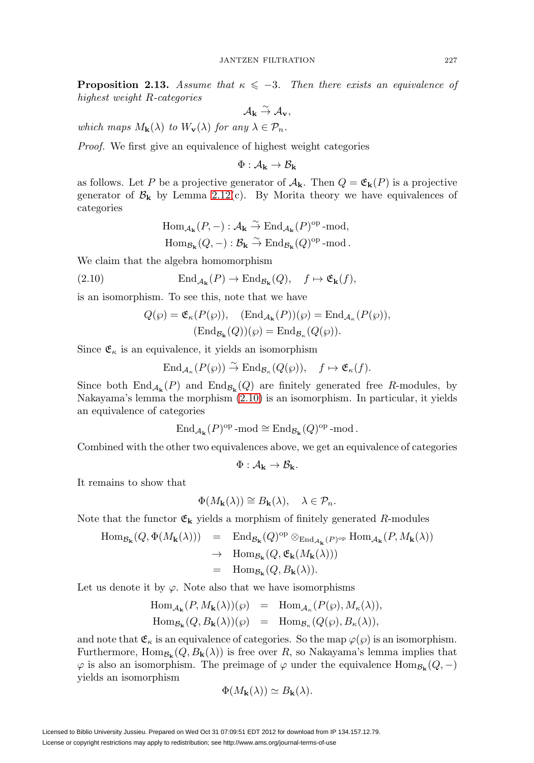<span id="page-15-1"></span>**Proposition 2.13.** Assume that  $\kappa \leq -3$ . Then there exists an equivalence of highest weight R-categories

$$
\mathcal{A}_{\mathbf{k}} \stackrel{\sim}{\rightarrow} \mathcal{A}_{\mathbf{v}},
$$

which maps  $M_{\mathbf{k}}(\lambda)$  to  $W_{\mathbf{v}}(\lambda)$  for any  $\lambda \in \mathcal{P}_n$ .

Proof. We first give an equivalence of highest weight categories

 $\Phi: \mathcal{A}_{\mathbf{k}} \to \mathcal{B}_{\mathbf{k}}$ 

as follows. Let P be a projective generator of  $A_k$ . Then  $Q = \mathfrak{E}_k(P)$  is a projective generator of  $\mathcal{B}_{k}$  by Lemma [2.12\(](#page-14-0)c). By Morita theory we have equivalences of categories

$$
\text{Hom}_{\mathcal{A}_{\mathbf{k}}}(P,-): \mathcal{A}_{\mathbf{k}} \stackrel{\sim}{\to} \text{End}_{\mathcal{A}_{\mathbf{k}}}(P)^{\text{op}} \text{-mod},
$$
  

$$
\text{Hom}_{\mathcal{B}_{\mathbf{k}}}(Q,-): \mathcal{B}_{\mathbf{k}} \stackrel{\sim}{\to} \text{End}_{\mathcal{B}_{\mathbf{k}}}(Q)^{\text{op}} \text{-mod}.
$$

We claim that the algebra homomorphism

<span id="page-15-0"></span>(2.10) 
$$
\text{End}_{\mathcal{A}_{\mathbf{k}}}(P) \to \text{End}_{\mathcal{B}_{\mathbf{k}}}(Q), \quad f \mapsto \mathfrak{E}_{\mathbf{k}}(f),
$$

is an isomorphism. To see this, note that we have

$$
Q(\wp) = \mathfrak{E}_{\kappa}(P(\wp)), \quad (\text{End}_{\mathcal{A}_{\mathbf{k}}}(P))(\wp) = \text{End}_{\mathcal{A}_{\kappa}}(P(\wp)),
$$

$$
(\text{End}_{\mathcal{B}_{\mathbf{k}}}(Q))(\wp) = \text{End}_{\mathcal{B}_{\kappa}}(Q(\wp)).
$$

Since  $\mathfrak{E}_{\kappa}$  is an equivalence, it yields an isomorphism

$$
\operatorname{End}_{\mathcal{A}_{\kappa}}(P(\wp)) \stackrel{\sim}{\to} \operatorname{End}_{\mathcal{B}_{\kappa}}(Q(\wp)), \quad f \mapsto \mathfrak{E}_{\kappa}(f).
$$

Since both  $\text{End}_{\mathcal{A}_{k}}(P)$  and  $\text{End}_{\mathcal{B}_{k}}(Q)$  are finitely generated free R-modules, by Nakayama's lemma the morphism [\(2.10\)](#page-15-0) is an isomorphism. In particular, it yields an equivalence of categories

$$
\mathrm{End}_{\mathcal{A}_{\mathbf{k}}}(P)^{\mathrm{op}}\operatorname{-mod}\nolimits\cong \mathrm{End}_{\mathcal{B}_{\mathbf{k}}}(Q)^{\mathrm{op}}\operatorname{-mod}\nolimits.
$$

Combined with the other two equivalences above, we get an equivalence of categories

$$
\Phi: \mathcal{A}_{\mathbf{k}} \to \mathcal{B}_{\mathbf{k}}.
$$

It remains to show that

$$
\Phi(M_{\mathbf{k}}(\lambda)) \cong B_{\mathbf{k}}(\lambda), \quad \lambda \in \mathcal{P}_n.
$$

Note that the functor  $\mathfrak{E}_k$  yields a morphism of finitely generated R-modules

$$
\begin{array}{lcl} \mathrm{Hom}_{{\mathcal B}_{\mathbf{k}}}(Q, \Phi(M_{\mathbf{k}}(\lambda))) & = & \mathrm{End}_{{\mathcal B}_{\mathbf{k}}}(Q)^{\mathrm{op}} \otimes_{\mathrm{End}_{{\mathcal A}_{\mathbf{k}}}(P)^{\mathrm{op}}} \mathrm{Hom}_{{\mathcal A}_{\mathbf{k}}}(P, M_{\mathbf{k}}(\lambda)) \\ \\ & \to & \mathrm{Hom}_{{\mathcal B}_{\mathbf{k}}}(Q, \mathfrak{E}_{\mathbf{k}}(M_{\mathbf{k}}(\lambda))) \\ & = & \mathrm{Hom}_{{\mathcal B}_{\mathbf{k}}}(Q, B_{\mathbf{k}}(\lambda)). \end{array}
$$

Let us denote it by  $\varphi$ . Note also that we have isomorphisms

$$
\begin{array}{rcl}\n\operatorname{Hom}_{\mathcal{A}_{\mathbf{k}}}(P, M_{\mathbf{k}}(\lambda))(\varphi) & = & \operatorname{Hom}_{\mathcal{A}_{\kappa}}(P(\varphi), M_{\kappa}(\lambda)), \\
\operatorname{Hom}_{\mathcal{B}_{\mathbf{k}}}(Q, B_{\mathbf{k}}(\lambda))(\varphi) & = & \operatorname{Hom}_{\mathcal{B}_{\kappa}}(Q(\varphi), B_{\kappa}(\lambda)),\n\end{array}
$$

and note that  $\mathfrak{E}_{\kappa}$  is an equivalence of categories. So the map  $\varphi(\varphi)$  is an isomorphism. Furthermore,  $\text{Hom}_{\mathcal{B}_{\mathbf{k}}}(Q, B_{\mathbf{k}}(\lambda))$  is free over R, so Nakayama's lemma implies that  $\varphi$  is also an isomorphism. The preimage of  $\varphi$  under the equivalence Hom<sub>Bk</sub>(*Q*, −) yields an isomorphism

$$
\Phi(M_{\mathbf{k}}(\lambda)) \simeq B_{\mathbf{k}}(\lambda).
$$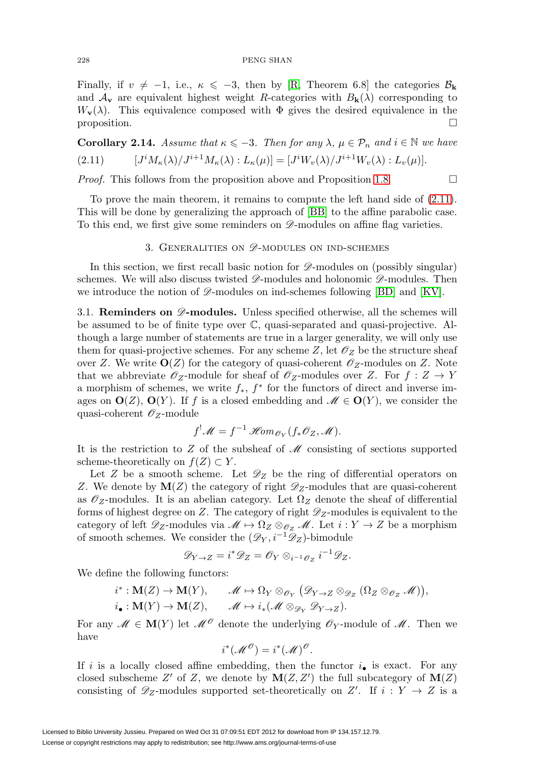Finally, if  $v \neq -1$ , i.e.,  $\kappa \leq -3$ , then by [\[R,](#page-56-2) Theorem 6.8] the categories  $\mathcal{B}_{\mathbf{k}}$ and  $A_{\mathbf{v}}$  are equivalent highest weight R-categories with  $B_{\mathbf{k}}(\lambda)$  corresponding to  $W_{\mathbf{v}}(\lambda)$ . This equivalence composed with  $\Phi$  gives the desired equivalence in the proposition.  $\Box$ 

<span id="page-16-2"></span><span id="page-16-1"></span>**Corollary 2.14.** Assume that  $\kappa \leq -3$ . Then for any  $\lambda, \mu \in \mathcal{P}_n$  and  $i \in \mathbb{N}$  we have  $(2.11)$  $M_{\kappa}(\lambda)/J^{i+1}M_{\kappa}(\lambda): L_{\kappa}(\mu)]=[J^{i}W_{v}(\lambda)/J^{i+1}W_{v}(\lambda): L_{v}(\mu)].$ 

*Proof.* This follows from the proposition above and Proposition [1.8.](#page-5-0)  $\Box$ 

To prove the main theorem, it remains to compute the left hand side of [\(2.11\)](#page-16-2). This will be done by generalizing the approach of [\[BB\]](#page-55-6) to the affine parabolic case. To this end, we first give some reminders on  $\mathscr{D}$ -modules on affine flag varieties.

# 3. GENERALITIES ON  $\mathscr{D}$ -MODULES ON IND-SCHEMES

<span id="page-16-0"></span>In this section, we first recall basic notion for  $\mathscr{D}\text{-modules on (possibly singular)}$ schemes. We will also discuss twisted  $\mathscr{D}$ -modules and holonomic  $\mathscr{D}$ -modules. Then we introduce the notion of  $\mathscr{D}$ -modules on ind-schemes following [\[BD\]](#page-55-7) and [\[KV\]](#page-56-9).

<span id="page-16-3"></span>3.1. **Reminders on**  $\mathscr{D}$ -modules. Unless specified otherwise, all the schemes will be assumed to be of finite type over C, quasi-separated and quasi-projective. Although a large number of statements are true in a larger generality, we will only use them for quasi-projective schemes. For any scheme Z, let  $\mathscr{O}_Z$  be the structure sheaf over Z. We write  $O(Z)$  for the category of quasi-coherent  $\mathscr{O}_Z$ -modules on Z. Note that we abbreviate  $\mathscr{O}_Z$ -module for sheaf of  $\mathscr{O}_Z$ -modules over Z. For  $f: Z \to Y$ a morphism of schemes, we write  $f_*$ ,  $f^*$  for the functors of direct and inverse images on  $\mathbf{O}(Z)$ ,  $\mathbf{O}(Y)$ . If f is a closed embedding and  $\mathscr{M} \in \mathbf{O}(Y)$ , we consider the quasi-coherent  $\mathscr{O}_Z$ -module

$$
f^! \mathscr{M} = f^{-1} \mathscr{H}om_{\mathscr{O}_Y}(f_* \mathscr{O}_Z, \mathscr{M}).
$$

It is the restriction to  $Z$  of the subsheaf of  $\mathcal M$  consisting of sections supported scheme-theoretically on  $f(Z) \subset Y$ .

Let Z be a smooth scheme. Let  $\mathscr{D}_Z$  be the ring of differential operators on Z. We denote by  $\mathbf{M}(Z)$  the category of right  $\mathscr{D}_Z$ -modules that are quasi-coherent as  $\mathscr{O}_Z$ -modules. It is an abelian category. Let  $\Omega_Z$  denote the sheaf of differential forms of highest degree on Z. The category of right  $\mathscr{D}_Z$ -modules is equivalent to the category of left  $\mathscr{D}_Z$ -modules via  $\mathscr{M} \mapsto \Omega_Z \otimes_{\mathscr{O}_Z} \mathscr{M}$ . Let  $i: Y \to Z$  be a morphism of smooth schemes. We consider the  $(\mathscr{D}_Y, i^{-1}\mathscr{D}_Z)$ -bimodule

$$
\mathscr{D}_{Y\to Z}=i^*\mathscr{D}_Z=\mathscr{O}_Y\otimes_{i^{-1}\mathscr{O}_Z}i^{-1}\mathscr{D}_Z.
$$

We define the following functors:

$$
i^*: \mathbf{M}(Z) \to \mathbf{M}(Y), \qquad \mathcal{M} \mapsto \Omega_Y \otimes_{\mathcal{O}_Y} (\mathcal{D}_{Y \to Z} \otimes_{\mathcal{D}_Z} (\Omega_Z \otimes_{\mathcal{O}_Z} \mathcal{M})),
$$
  

$$
i_{\bullet}: \mathbf{M}(Y) \to \mathbf{M}(Z), \qquad \mathcal{M} \mapsto i_*(\mathcal{M} \otimes_{\mathcal{D}_Y} \mathcal{D}_{Y \to Z}).
$$

For any  $\mathcal{M} \in \mathbf{M}(Y)$  let  $\mathcal{M}^{\mathcal{O}}$  denote the underlying  $\mathcal{O}_Y$ -module of  $\mathcal{M}$ . Then we have

$$
i^*(\mathscr{M}^{\mathscr{O}})=i^*(\mathscr{M})^{\mathscr{O}}.
$$

If i is a locally closed affine embedding, then the functor  $i_{\bullet}$  is exact. For any closed subscheme Z' of Z, we denote by  $\mathbf{M}(Z, Z')$  the full subcategory of  $\mathbf{M}(Z)$ consisting of  $\mathscr{D}_Z$ -modules supported set-theoretically on Z'. If  $i: Y \to Z$  is a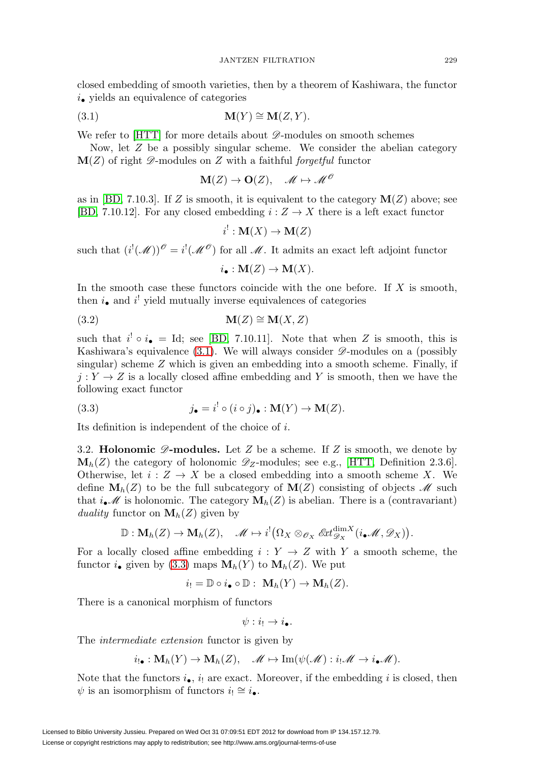closed embedding of smooth varieties, then by a theorem of Kashiwara, the functor  $i_{\bullet}$  yields an equivalence of categories

<span id="page-17-0"></span>
$$
\mathbf{M}(Y) \cong \mathbf{M}(Z, Y).
$$

We refer to  $[HTT]$  for more details about  $\mathscr{D}$ -modules on smooth schemes

Now, let Z be a possibly singular scheme. We consider the abelian category  $\mathbf{M}(Z)$  of right  $\mathscr{D}$ -modules on Z with a faithful *forgetful* functor

$$
\mathbf{M}(Z) \to \mathbf{O}(Z), \quad \mathscr{M} \mapsto \mathscr{M}^{\mathscr{O}}
$$

as in [\[BD,](#page-55-7) 7.10.3]. If Z is smooth, it is equivalent to the category  $\mathbf{M}(Z)$  above; see [\[BD,](#page-55-7) 7.10.12]. For any closed embedding  $i: Z \to X$  there is a left exact functor

$$
i^!: \mathbf{M}(X) \to \mathbf{M}(Z)
$$

such that  $(i^{!}(\mathcal{M}))^{\mathcal{O}}=i^{!}(\mathcal{M}^{\mathcal{O}})$  for all  $\mathcal{M}$ . It admits an exact left adjoint functor

$$
i_{\bullet}: \mathbf{M}(Z) \to \mathbf{M}(X).
$$

In the smooth case these functors coincide with the one before. If  $X$  is smooth, then  $i_{\bullet}$  and  $i'$  yield mutually inverse equivalences of categories

$$
\mathbf{M}(Z) \cong \mathbf{M}(X, Z)
$$

such that  $i' \circ i_{\bullet} =$  Id; see [\[BD,](#page-55-7) 7.10.11]. Note that when Z is smooth, this is Kashiwara's equivalence [\(3.1\)](#page-17-0). We will always consider  $\mathscr{D}$ -modules on a (possibly singular) scheme  $Z$  which is given an embedding into a smooth scheme. Finally, if  $j: Y \to Z$  is a locally closed affine embedding and Y is smooth, then we have the following exact functor

<span id="page-17-1"></span>(3.3) 
$$
j_{\bullet} = i^{!} \circ (i \circ j)_{\bullet} : \mathbf{M}(Y) \to \mathbf{M}(Z).
$$

<span id="page-17-2"></span>Its definition is independent of the choice of i.

3.2. **Holonomic**  $\mathscr{D}$ -modules. Let Z be a scheme. If Z is smooth, we denote by  $\mathbf{M}_h(Z)$  the category of holonomic  $\mathscr{D}_Z$ -modules; see e.g., [\[HTT,](#page-55-8) Definition 2.3.6]. Otherwise, let  $i: Z \to X$  be a closed embedding into a smooth scheme X. We define  $\mathbf{M}_h(Z)$  to be the full subcategory of  $\mathbf{M}(Z)$  consisting of objects  $\mathcal M$  such that  $i_{\bullet}$  is holonomic. The category  $\mathbf{M}_{h}(Z)$  is abelian. There is a (contravariant) duality functor on  $\mathbf{M}_h(Z)$  given by

$$
\mathbb{D}: \mathbf{M}_h(Z) \to \mathbf{M}_h(Z), \quad \mathscr{M} \mapsto i^!\big(\Omega_X \otimes_{\mathscr{O}_X} \mathscr{E}\mathscr{H}^{\mathrm{dim}X}_{\mathscr{D}_X}(i_\bullet \mathscr{M}, \mathscr{D}_X)\big).
$$

For a locally closed affine embedding  $i: Y \rightarrow Z$  with Y a smooth scheme, the functor *i*<sub>•</sub> given by [\(3.3\)](#page-17-1) maps  $M_h(Y)$  to  $M_h(Z)$ . We put

$$
i_! = \mathbb{D} \circ i_{\bullet} \circ \mathbb{D} : \mathbf{M}_h(Y) \to \mathbf{M}_h(Z).
$$

There is a canonical morphism of functors

 $\psi: i_! \to i_{\bullet}$ .

The intermediate extension functor is given by

$$
i_{!}\bullet: \mathbf{M}_{h}(Y) \to \mathbf{M}_{h}(Z), \quad \mathscr{M} \mapsto \mathrm{Im}(\psi(\mathscr{M}): i_{!}\mathscr{M} \to i_{\bullet}\mathscr{M}).
$$

Note that the functors  $i_{\bullet}$ ,  $i_{\parallel}$  are exact. Moreover, if the embedding i is closed, then  $\psi$  is an isomorphism of functors  $i_! \cong i_{\bullet}$ .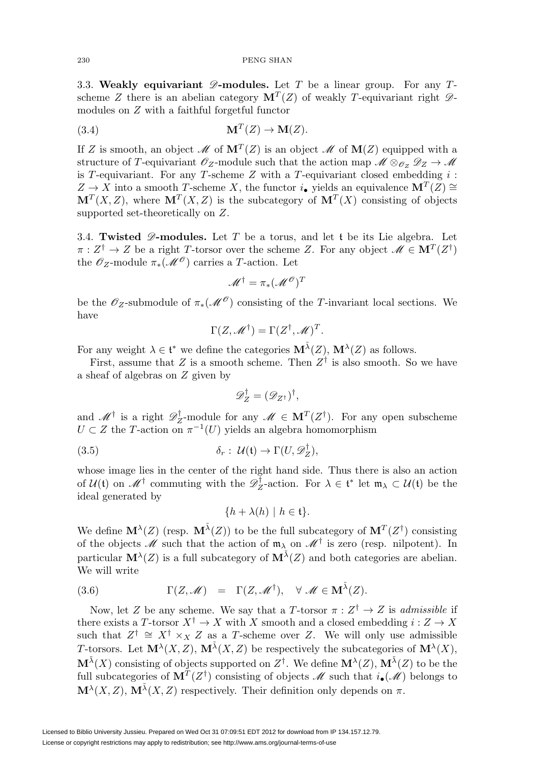#### 230 PENG SHAN

3.3. Weakly equivariant  $\mathscr{D}$ -modules. Let T be a linear group. For any Tscheme Z there is an abelian category  $\mathbf{M}^T(Z)$  of weakly T-equivariant right  $\mathscr{D}$ modules on Z with a faithful forgetful functor

<span id="page-18-0"></span>(3.4) 
$$
\mathbf{M}^T(Z) \to \mathbf{M}(Z).
$$

If Z is smooth, an object  $\mathcal{M}$  of  $\mathbf{M}^T(Z)$  is an object  $\mathcal{M}$  of  $\mathbf{M}(Z)$  equipped with a structure of T-equivariant  $\mathscr{O}_Z$ -module such that the action map  $\mathscr{M} \otimes_{\mathscr{O}_Z} \mathscr{D}_Z \to \mathscr{M}$ is T-equivariant. For any T-scheme  $Z$  with a T-equivariant closed embedding  $i$ :  $Z \rightarrow X$  into a smooth T-scheme X, the functor i<sub>•</sub> yields an equivalence **M**<sup>T</sup>(Z) ≅  $M<sup>T</sup>(X, Z)$ , where  $M<sup>T</sup>(X, Z)$  is the subcategory of  $M<sup>T</sup>(X)$  consisting of objects supported set-theoretically on Z.

<span id="page-18-3"></span>3.4. **Twisted**  $\mathscr{D}$ -modules. Let T be a torus, and let t be its Lie algebra. Let  $\pi: Z^{\dagger} \to Z$  be a right T-torsor over the scheme Z. For any object  $\mathcal{M} \in \mathbf{M}^{T}(Z^{\dagger})$ the  $\mathscr{O}_Z$ -module  $\pi_*(\mathscr{M}^{\mathscr{O}})$  carries a T-action. Let

$$
\mathscr{M}^{\dagger} = \pi_* (\mathscr{M}^{\mathscr{O}})^T
$$

be the  $\mathscr{O}_Z$ -submodule of  $\pi_*(\mathscr{M}^{\mathscr{O}})$  consisting of the T-invariant local sections. We have

$$
\Gamma(Z, \mathscr{M}^\dagger) = \Gamma(Z^\dagger, \mathscr{M})^T.
$$

For any weight  $\lambda \in \mathfrak{t}^*$  we define the categories  $\mathbf{M}^{\tilde{\lambda}}(Z)$ ,  $\mathbf{M}^{\lambda}(Z)$  as follows.

First, assume that Z is a smooth scheme. Then  $Z^{\dagger}$  is also smooth. So we have a sheaf of algebras on Z given by

$$
\mathscr{D}_Z^{\dagger}=(\mathscr{D}_{Z^{\dagger}})^{\dagger},
$$

and  $\mathcal{M}^{\dagger}$  is a right  $\mathcal{D}_Z^{\dagger}$ -module for any  $\mathcal{M} \in \mathbf{M}^T(Z^{\dagger})$ . For any open subscheme  $U \subset Z$  the T-action on  $\pi^{-1}(U)$  yields an algebra homomorphism

<span id="page-18-1"></span>(3.5) 
$$
\delta_r: \mathcal{U}(\mathfrak{t}) \to \Gamma(U, \mathscr{D}_Z^{\dagger}),
$$

whose image lies in the center of the right hand side. Thus there is also an action of  $U(t)$  on  $\mathscr{M}^{\dagger}$  commuting with the  $\mathscr{D}_Z^{\dagger}$ -action. For  $\lambda \in \mathfrak{t}^*$  let  $\mathfrak{m}_\lambda \subset U(\mathfrak{t})$  be the ideal generated by

$$
\{h + \lambda(h) \mid h \in \mathfrak{t}\}.
$$

We define  $\mathbf{M}^{\lambda}(Z)$  (resp.  $\mathbf{M}^{\tilde{\lambda}}(Z)$ ) to be the full subcategory of  $\mathbf{M}^{T}(Z^{\dagger})$  consisting of the objects  $\mathcal M$  such that the action of  $\mathfrak{m}_{\lambda}$  on  $\mathcal M^{\dagger}$  is zero (resp. nilpotent). In particular  $\mathbf{M}^{\lambda}(Z)$  is a full subcategory of  $\mathbf{M}^{\tilde{\lambda}}(Z)$  and both categories are abelian. We will write

<span id="page-18-2"></span>(3.6) 
$$
\Gamma(Z, \mathscr{M}) = \Gamma(Z, \mathscr{M}^{\dagger}), \quad \forall \mathscr{M} \in \mathbf{M}^{\tilde{\lambda}}(Z).
$$

Now, let Z be any scheme. We say that a T-torsor  $\pi : Z^{\dagger} \to Z$  is *admissible* if there exists a T-torsor  $X^{\dagger} \to X$  with X smooth and a closed embedding  $i: Z \to X$ such that  $Z^{\dagger} \cong X^{\dagger} \times_X Z$  as a T-scheme over Z. We will only use admissible T-torsors. Let  $\mathbf{M}^{\lambda}(X, Z)$ ,  $\mathbf{M}^{\tilde{\lambda}}(X, Z)$  be respectively the subcategories of  $\mathbf{M}^{\lambda}(X)$ ,  $\mathbf{M}^{\tilde{\lambda}}(X)$  consisting of objects supported on  $Z^{\dagger}$ . We define  $\mathbf{M}^{\lambda}(Z)$ ,  $\mathbf{M}^{\tilde{\lambda}}(Z)$  to be the full subcategories of  $\mathbf{M}^T(Z^{\dagger})$  consisting of objects M such that  $i_{\bullet}(\mathcal{M})$  belongs to  $\mathbf{M}^{\lambda}(X, Z)$ ,  $\mathbf{M}^{\tilde{\lambda}}(X, Z)$  respectively. Their definition only depends on  $\pi$ .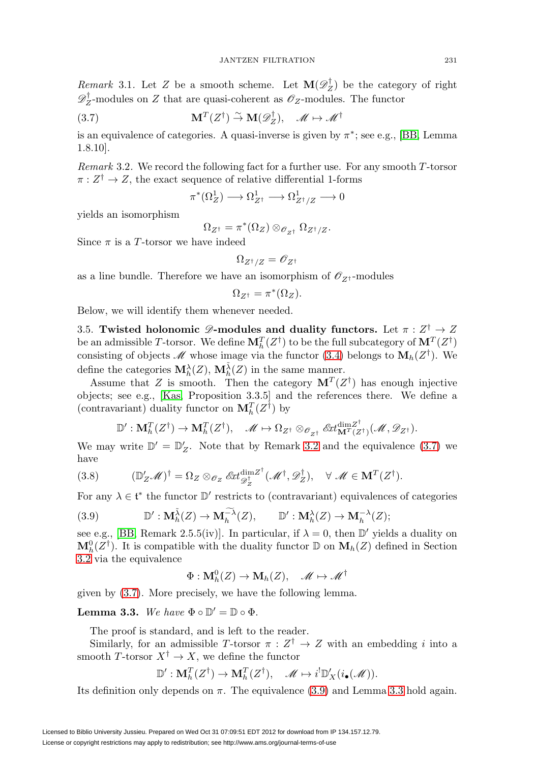*Remark* 3.1. Let Z be a smooth scheme. Let  $\mathbf{M}(\mathscr{D}_{Z}^{T})$  be the category of right  $\mathscr{D}_Z^{\dagger}$ -modules on Z that are quasi-coherent as  $\mathscr{O}_Z$ -modules. The functor

<span id="page-19-1"></span>(3.7) 
$$
\mathbf{M}^T(Z^{\dagger}) \stackrel{\sim}{\to} \mathbf{M}(\mathscr{D}_Z^{\dagger}), \quad \mathscr{M} \mapsto \mathscr{M}^{\dagger}
$$

is an equivalence of categories. A quasi-inverse is given by  $\pi^*$ ; see e.g., [\[BB,](#page-55-6) Lemma 1.8.10].

<span id="page-19-0"></span>Remark 3.2. We record the following fact for a further use. For any smooth T-torsor  $\pi: Z^{\dagger} \to Z$ , the exact sequence of relative differential 1-forms

$$
\pi^*(\Omega^1_Z) \longrightarrow \Omega^1_{Z^{\dagger}} \longrightarrow \Omega^1_{Z^{\dagger}/Z} \longrightarrow 0
$$

yields an isomorphism

$$
\Omega_{Z^\dagger} = \pi^*(\Omega_Z) \otimes_{\mathscr{O}_{Z^\dagger}} \Omega_{Z^\dagger/Z}.
$$

Since  $\pi$  is a T-torsor we have indeed

$$
\Omega_{Z^\dagger/Z} = \mathscr{O}_{Z^\dagger}
$$

as a line bundle. Therefore we have an isomorphism of  $\mathscr{O}_{Z^{\dagger}}\text{-modules}$ 

$$
\Omega_{Z^{\dagger}} = \pi^*(\Omega_Z).
$$

<span id="page-19-4"></span>Below, we will identify them whenever needed.

3.5. **Twisted holonomic**  $\mathscr{D}$ -modules and duality functors. Let  $\pi : Z^{\dagger} \to Z$ be an admissible T-torsor. We define  $\mathbf{M}_{h}^{T}(Z^{\dagger})$  to be the full subcategory of  $\mathbf{M}^{T}(Z^{\dagger})$ consisting of objects M whose image via the functor [\(3.4\)](#page-18-0) belongs to  $\mathbf{M}_h(Z^{\dagger})$ . We define the categories  $\mathbf{M}_{h}^{\lambda}(Z)$ ,  $\mathbf{M}_{h}^{\tilde{\lambda}}(Z)$  in the same manner.

Assume that Z is smooth. Then the category  $\mathbf{M}^T(Z^{\dagger})$  has enough injective objects; see e.g., [\[Kas,](#page-56-10) Proposition 3.3.5] and the references there. We define a (contravariant) duality functor on  $\mathbf{M}_{h}^{T}(Z^{\dagger})$  by

$$
\mathbb{D}': \mathbf{M}_{h}^{T}(Z^{\dagger}) \to \mathbf{M}_{h}^{T}(Z^{\dagger}), \quad \mathscr{M} \mapsto \Omega_{Z^{\dagger}} \otimes_{\mathscr{O}_{Z^{\dagger}}} \mathscr{E}xt_{\mathbf{M}^{T}(Z^{\dagger})}^{\dim Z^{\dagger}}(\mathscr{M}, \mathscr{D}_{Z^{\dagger}}).
$$

We may write  $\mathbb{D}' = \mathbb{D}'_Z$ . Note that by Remark [3.2](#page-19-0) and the equivalence [\(3.7\)](#page-19-1) we have

(3.8) 
$$
(\mathbb{D}_Z' \mathscr{M})^{\dagger} = \Omega_Z \otimes_{\mathscr{O}_Z} \mathscr{E}xt_{\mathscr{D}_Z^{\dagger}}^{\dim Z^{\dagger}}(\mathscr{M}^{\dagger}, \mathscr{D}_Z^{\dagger}), \quad \forall \mathscr{M} \in \mathbf{M}^T(Z^{\dagger}).
$$

For any  $\lambda \in \mathfrak{t}^*$  the functor  $\mathbb{D}'$  restricts to (contravariant) equivalences of categories

<span id="page-19-2"></span>(3.9) 
$$
\mathbb{D}': \mathbf{M}_{h}^{\tilde{\lambda}}(Z) \to \mathbf{M}_{h}^{-\tilde{\lambda}}(Z), \qquad \mathbb{D}': \mathbf{M}_{h}^{\lambda}(Z) \to \mathbf{M}_{h}^{-\lambda}(Z);
$$

see e.g., [\[BB,](#page-55-6) Remark 2.5.5(iv)]. In particular, if  $\lambda = 0$ , then  $\mathbb{D}'$  yields a duality on  $\mathbf{M}_{h}^{0}(Z^{\dagger})$ . It is compatible with the duality functor  $\mathbb{D}$  on  $\mathbf{M}_{h}(Z)$  defined in Section [3.2](#page-17-2) via the equivalence

$$
\Phi: \mathbf{M}^0_h(Z) \to \mathbf{M}_h(Z), \quad \mathscr{M} \mapsto \mathscr{M}^\dagger
$$

given by [\(3.7\)](#page-19-1). More precisely, we have the following lemma.

<span id="page-19-3"></span>**Lemma 3.3.** We have  $\Phi \circ \mathbb{D}' = \mathbb{D} \circ \Phi$ .

The proof is standard, and is left to the reader.

Similarly, for an admissible T-torsor  $\pi : Z^{\dagger} \to Z$  with an embedding i into a smooth T-torsor  $X^{\dagger} \to X$ , we define the functor

$$
\mathbb{D}':\mathbf{M}_h^T(Z^{\dagger})\to\mathbf{M}_h^T(Z^{\dagger}),\quad \mathscr{M}\mapsto i^!\mathbb{D}_X'(i_\bullet(\mathscr{M})).
$$

Its definition only depends on  $\pi$ . The equivalence [\(3.9\)](#page-19-2) and Lemma [3.3](#page-19-3) hold again.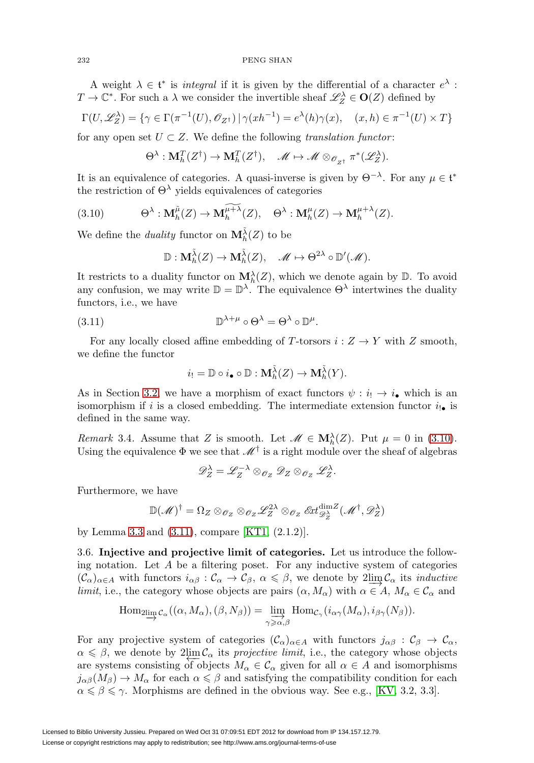A weight  $\lambda \in \mathfrak{t}^*$  is *integral* if it is given by the differential of a character  $e^{\lambda}$ :  $T \to \mathbb{C}^*$ . For such a  $\lambda$  we consider the invertible sheaf  $\mathscr{L}_Z^{\lambda} \in \mathbf{O}(Z)$  defined by

$$
\Gamma(U, \mathscr{L}_Z^{\lambda}) = \{ \gamma \in \Gamma(\pi^{-1}(U), \mathscr{O}_{Z^{\dagger}}) \mid \gamma(xh^{-1}) = e^{\lambda}(h)\gamma(x), \quad (x, h) \in \pi^{-1}(U) \times T \}
$$

for any open set  $U \subset Z$ . We define the following translation functor:

$$
\Theta^{\lambda}: \mathbf{M}_{h}^{T}(Z^{\dagger}) \to \mathbf{M}_{h}^{T}(Z^{\dagger}), \quad \mathscr{M} \mapsto \mathscr{M} \otimes_{\mathscr{O}_{Z^{\dagger}}} \pi^{*}(\mathscr{L}_{Z}^{\lambda}).
$$

It is an equivalence of categories. A quasi-inverse is given by  $\Theta^{-\lambda}$ . For any  $\mu \in \mathfrak{t}^*$ the restriction of  $\Theta^{\lambda}$  yields equivalences of categories

<span id="page-20-0"></span>(3.10) 
$$
\Theta^{\lambda}: \mathbf{M}_{h}^{\tilde{\mu}}(Z) \to \mathbf{M}_{h}^{\widetilde{\mu+\lambda}}(Z), \quad \Theta^{\lambda}: \mathbf{M}_{h}^{\mu}(Z) \to \mathbf{M}_{h}^{\mu+\lambda}(Z).
$$

We define the *duality* functor on  $\mathbf{M}_{h}^{\tilde{\lambda}}(Z)$  to be

$$
\mathbb{D} : \mathbf{M}_h^{\tilde{\lambda}}(Z) \to \mathbf{M}_h^{\tilde{\lambda}}(Z), \quad \mathscr{M} \mapsto \Theta^{2\lambda} \circ \mathbb{D}'(\mathscr{M}).
$$

It restricts to a duality functor on  $\mathbf{M}_{h}^{\lambda}(Z)$ , which we denote again by  $\mathbb{D}$ . To avoid any confusion, we may write  $\mathbb{D} = \mathbb{D}^{\lambda}$ . The equivalence  $\Theta^{\lambda}$  intertwines the duality functors, i.e., we have

<span id="page-20-1"></span>(3.11) 
$$
\mathbb{D}^{\lambda+\mu} \circ \Theta^{\lambda} = \Theta^{\lambda} \circ \mathbb{D}^{\mu}.
$$

For any locally closed affine embedding of T-torsors  $i: Z \to Y$  with Z smooth, we define the functor

$$
i_! = \mathbb{D} \circ i_{\bullet} \circ \mathbb{D} : \mathbf{M}_h^{\tilde{\lambda}}(Z) \to \mathbf{M}_h^{\tilde{\lambda}}(Y).
$$

As in Section [3.2,](#page-17-2) we have a morphism of exact functors  $\psi : i_! \to i_{\bullet}$  which is an isomorphism if i is a closed embedding. The intermediate extension functor  $i_{!}$  is defined in the same way.

*Remark* 3.4. Assume that Z is smooth. Let  $\mathcal{M} \in \mathbf{M}_{h}^{\lambda}(Z)$ . Put  $\mu = 0$  in [\(3.10\)](#page-20-0). Using the equivalence  $\Phi$  we see that  $\mathcal{M}^{\dagger}$  is a right module over the sheaf of algebras

$$
\mathscr{D}_Z^{\lambda}=\mathscr{L}_Z^{-\lambda}\otimes_{\mathscr{O}_Z}\mathscr{D}_Z\otimes_{\mathscr{O}_Z}\mathscr{L}_Z^{\lambda}.
$$

Furthermore, we have

$$
\mathbb{D}(\mathscr{M})^{\dagger} = \Omega_Z \otimes_{\mathscr{O}_Z} \otimes_{\mathscr{O}_Z} \mathscr{L}_Z^{2\lambda} \otimes_{\mathscr{O}_Z} \mathscr{E}xt_{\mathscr{D}_Z^{\lambda}}^{\dim Z}(\mathscr{M}^{\dagger}, \mathscr{D}_Z^{\lambda})
$$

by Lemma [3.3](#page-19-3) and [\(3.11\)](#page-20-1), compare [\[KT1,](#page-56-11) (2.1.2)].

3.6. **Injective and projective limit of categories.** Let us introduce the following notation. Let A be a filtering poset. For any inductive system of categories  $(\mathcal{C}_{\alpha})_{\alpha \in A}$  with functors  $i_{\alpha\beta} : \mathcal{C}_{\alpha} \to \mathcal{C}_{\beta}, \ \alpha \leq \beta$ , we denote by  $2 \underset{\alpha \in A}{\lim} \mathcal{C}_{\alpha}$  its *inductive limit*, i.e., the category whose objects are pairs  $(\alpha, M_{\alpha})$  with  $\alpha \in A$ ,  $M_{\alpha} \in C_{\alpha}$  and

$$
\operatorname{Hom}_{2\varinjlim{\mathcal C}_{\alpha}}((\alpha,M_{\alpha}),(\beta,N_{\beta}))=\varinjlim_{\gamma\geqslant\alpha,\beta}\operatorname{Hom}_{{\mathcal C}_{\gamma}}(i_{\alpha\gamma}(M_{\alpha}),i_{\beta\gamma}(N_{\beta})).
$$

For any projective system of categories  $(\mathcal{C}_{\alpha})_{\alpha \in A}$  with functors  $j_{\alpha\beta} : \mathcal{C}_{\beta} \to \mathcal{C}_{\alpha}$ ,  $\alpha \leq \beta$ , we denote by  $2\lim_{\alpha \to \infty} C_{\alpha}$  its *projective limit*, i.e., the category whose objects are systems consisting of objects  $M_{\alpha} \in \mathcal{C}_{\alpha}$  given for all  $\alpha \in A$  and isomorphisms  $j_{\alpha\beta}(M_{\beta}) \to M_{\alpha}$  for each  $\alpha \leq \beta$  and satisfying the compatibility condition for each  $\alpha \leq \beta \leq \gamma$ . Morphisms are defined in the obvious way. See e.g., [\[KV,](#page-56-9) 3.2, 3.3].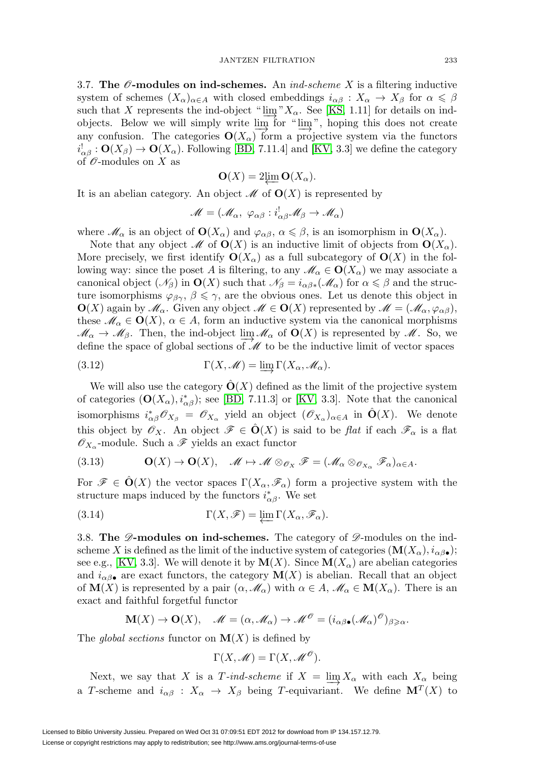<span id="page-21-1"></span>3.7. **The**  $\mathscr O$ **-modules on ind-schemes.** An *ind-scheme X* is a filtering inductive system of schemes  $(X_{\alpha})_{\alpha \in A}$  with closed embeddings  $i_{\alpha\beta}: X_{\alpha} \to X_{\beta}$  for  $\alpha \leq \beta$ such that X represents the ind-object " $\lim_{\alpha}$ "X<sub>α</sub>. See [\[KS,](#page-56-12) 1.11] for details on indobjects. Below we will simply write lim for "lim<sub></sub>", hoping this does not create any confusion. The categories  $O(X_\alpha)$  form a projective system via the functors  $i_{\alpha\beta}^! : \mathbf{O}(X_\beta) \to \mathbf{O}(X_\alpha)$ . Following [\[BD,](#page-55-7) 7.11.4] and [\[KV,](#page-56-9) 3.3] we define the category of  $\mathcal O$ -modules on X as

$$
\mathbf{O}(X) = 2 \underset{\mathbf{A}}{\lim} \mathbf{O}(X_{\alpha}).
$$

It is an abelian category. An object  $\mathcal M$  of  $O(X)$  is represented by

$$
\mathscr{M}=(\mathscr{M}_\alpha,\ \varphi_{\alpha\beta}:i^!_{\alpha\beta}\mathscr{M}_\beta\to\mathscr{M}_\alpha)
$$

where  $\mathscr{M}_{\alpha}$  is an object of  $\mathbf{O}(X_{\alpha})$  and  $\varphi_{\alpha\beta}, \alpha \leq \beta$ , is an isomorphism in  $\mathbf{O}(X_{\alpha})$ .

Note that any object M of  $\mathbf{O}(X)$  is an inductive limit of objects from  $\mathbf{O}(X_\alpha)$ . More precisely, we first identify  $\mathbf{O}(X_\alpha)$  as a full subcategory of  $\mathbf{O}(X)$  in the following way: since the poset A is filtering, to any  $\mathscr{M}_{\alpha} \in \mathbf{O}(X_{\alpha})$  we may associate a canonical object  $(\mathcal{N}_{\beta})$  in  $\mathbf{O}(X)$  such that  $\mathcal{N}_{\beta} = i_{\alpha\beta*}(\mathcal{M}_{\alpha})$  for  $\alpha \leq \beta$  and the structure isomorphisms  $\varphi_{\beta\gamma}, \beta \leq \gamma$ , are the obvious ones. Let us denote this object in  $\mathbf{O}(X)$  again by  $\mathcal{M}_{\alpha}$ . Given any object  $\mathcal{M} \in \mathbf{O}(X)$  represented by  $\mathcal{M} = (\mathcal{M}_{\alpha}, \varphi_{\alpha\beta})$ , these  $\mathscr{M}_{\alpha} \in \mathbf{O}(X)$ ,  $\alpha \in A$ , form an inductive system via the canonical morphisms  $\mathcal{M}_{\alpha} \to \mathcal{M}_{\beta}$ . Then, the ind-object lim $\mathcal{M}_{\alpha}$  of  $\mathbf{O}(X)$  is represented by  $\mathcal{M}$ . So, we define the space of global sections of  $\mathcal M$  to be the inductive limit of vector spaces

<span id="page-21-2"></span>(3.12) 
$$
\Gamma(X, \mathscr{M}) = \varinjlim \Gamma(X_{\alpha}, \mathscr{M}_{\alpha}).
$$

We will also use the category  $\mathbf{O}(X)$  defined as the limit of the projective system of categories  $(O(X_\alpha), i_{\alpha\beta}^*)$ ; see [\[BD,](#page-55-7) 7.11.3] or [\[KV,](#page-56-9) 3.3]. Note that the canonical isomorphisms  $i_{\alpha\beta}^* \mathscr{O}_{X_{\beta}} = \mathscr{O}_{X_{\alpha}}$  yield an object  $(\mathscr{O}_{X_{\alpha}})_{\alpha \in A}$  in  $\hat{O}(X)$ . We denote this object by  $\mathscr{O}_X$ . An object  $\mathscr{F} \in \mathbf{O}(X)$  is said to be flat if each  $\mathscr{F}_{\alpha}$  is a flat  $\mathscr{O}_{X_{\alpha}}$ -module. Such a  $\mathscr{F}$  yields an exact functor

(3.13) **O**(X) → **O**(X), M → M ⊗O<sup>X</sup> F = (M<sup>α</sup> ⊗OXα Fα)α∈A.

For  $\mathscr{F} \in \mathbf{O}(X)$  the vector spaces  $\Gamma(X_\alpha, \mathscr{F}_\alpha)$  form a projective system with the structure maps induced by the functors  $i^*_{\alpha\beta}$ . We set

<span id="page-21-0"></span>(3.14) 
$$
\Gamma(X,\mathscr{F}) = \varprojlim \Gamma(X_{\alpha},\mathscr{F}_{\alpha}).
$$

3.8. **The**  $\mathscr{D}$ **-modules on ind-schemes.** The category of  $\mathscr{D}$ -modules on the indscheme X is defined as the limit of the inductive system of categories  $(\mathbf{M}(X_{\alpha}), i_{\alpha\beta\bullet});$ see e.g., [\[KV,](#page-56-9) 3.3]. We will denote it by  $\mathbf{M}(X)$ . Since  $\mathbf{M}(X_{\alpha})$  are abelian categories and  $i_{\alpha\beta}$ • are exact functors, the category  $\mathbf{M}(X)$  is abelian. Recall that an object of  $\mathbf{M}(X)$  is represented by a pair  $(\alpha, \mathcal{M}_{\alpha})$  with  $\alpha \in A$ ,  $\mathcal{M}_{\alpha} \in \mathbf{M}(X_{\alpha})$ . There is an exact and faithful forgetful functor

$$
\mathbf{M}(X) \to \mathbf{O}(X), \quad \mathscr{M} = (\alpha, \mathscr{M}_{\alpha}) \to \mathscr{M}^{\mathscr{O}} = (i_{\alpha\beta\bullet}(\mathscr{M}_{\alpha})^{\mathscr{O}})_{\beta \geq \alpha}.
$$

The *global sections* functor on  $\mathbf{M}(X)$  is defined by

$$
\Gamma(X, \mathscr{M}) = \Gamma(X, \mathscr{M}^{\mathscr{O}}).
$$

Next, we say that X is a T-ind-scheme if  $X = \lim_{\epsilon \to 0} X_{\alpha}$  with each  $X_{\alpha}$  being a T-scheme and  $i_{\alpha\beta}: X_{\alpha} \to X_{\beta}$  being T-equivariant. We define  $\mathbf{M}^T(X)$  to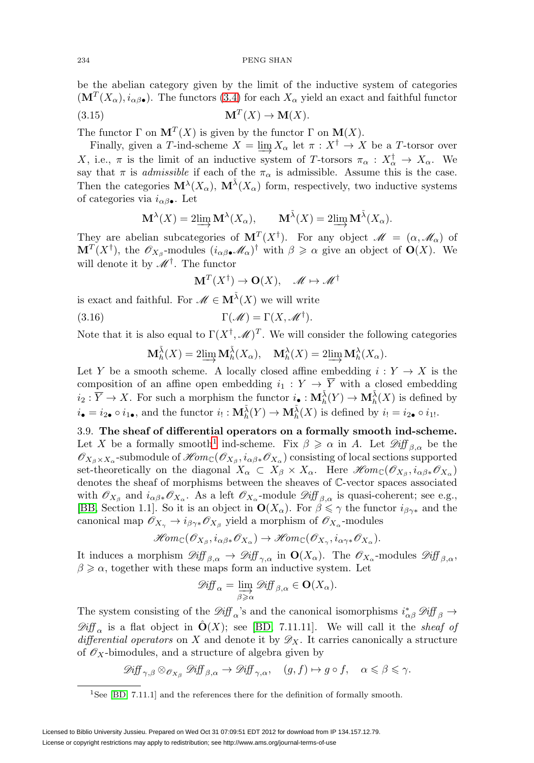be the abelian category given by the limit of the inductive system of categories  $(M^T(X_\alpha), i_{\alpha\beta\bullet})$ . The functors [\(3.4\)](#page-18-0) for each  $X_\alpha$  yield an exact and faithful functor

$$
\mathbf{M}^T(X) \to \mathbf{M}(X).
$$

The functor  $\Gamma$  on  $\mathbf{M}^T(X)$  is given by the functor  $\Gamma$  on  $\mathbf{M}(X)$ .

Finally, given a T-ind-scheme  $X = \lim_{\alpha \to \infty} X_{\alpha}$  let  $\pi : X^{\dagger} \to X$  be a T-torsor over X, i.e.,  $\pi$  is the limit of an inductive system of T-torsors  $\pi_{\alpha}: X_{\alpha}^{\dagger} \to X_{\alpha}$ . We say that  $\pi$  is *admissible* if each of the  $\pi_{\alpha}$  is admissible. Assume this is the case. Then the categories  $\mathbf{M}^{\lambda}(X_{\alpha})$ ,  $\mathbf{M}^{\tilde{\lambda}}(X_{\alpha})$  form, respectively, two inductive systems of categories via  $i_{\alpha\beta}$ . Let

$$
\mathbf{M}^{\lambda}(X) = 2\varinjlim \mathbf{M}^{\lambda}(X_{\alpha}), \qquad \mathbf{M}^{\tilde{\lambda}}(X) = 2\varinjlim \mathbf{M}^{\tilde{\lambda}}(X_{\alpha}).
$$

They are abelian subcategories of  $M^T(X^{\dagger})$ . For any object  $\mathscr{M} = (\alpha, \mathscr{M}_{\alpha})$  of  $\mathbf{M}^T(X^{\dagger})$ , the  $\mathscr{O}_{X_{\beta}}$ -modules  $(i_{\alpha\beta\bullet}\mathscr{M}_{\alpha})^{\dagger}$  with  $\beta \geq \alpha$  give an object of  $\mathbf{O}(X)$ . We will denote it by  $\mathcal{M}^{\dagger}$ . The functor

$$
\mathbf{M}^T(X^{\dagger}) \to \mathbf{O}(X), \quad \mathscr{M} \mapsto \mathscr{M}^{\dagger}
$$

is exact and faithful. For  $\mathscr{M} \in \mathbf{M}^{\tilde{\lambda}}(X)$  we will write

<span id="page-22-1"></span>(3.16) 
$$
\Gamma(\mathscr{M}) = \Gamma(X, \mathscr{M}^{\dagger}).
$$

Note that it is also equal to  $\Gamma(X^{\dagger}, \mathcal{M})^T$ . We will consider the following categories

$$
\mathbf{M}_{h}^{\tilde{\lambda}}(X) = 2\lim_{\longrightarrow} \mathbf{M}_{h}^{\tilde{\lambda}}(X_{\alpha}), \quad \mathbf{M}_{h}^{\lambda}(X) = 2\lim_{\longrightarrow} \mathbf{M}_{h}^{\lambda}(X_{\alpha}).
$$

Let Y be a smooth scheme. A locally closed affine embedding  $i: Y \to X$  is the composition of an affine open embedding  $i_1 : Y \to \overline{Y}$  with a closed embedding  $i_2 : \overline{Y} \to X$ . For such a morphism the functor  $i_{\bullet} : \mathbf{M}_{h}^{\tilde{\lambda}}(Y) \to \mathbf{M}_{h}^{\tilde{\lambda}}(X)$  is defined by  $i_{\bullet} = i_{2\bullet} \circ i_{1\bullet}$ , and the functor  $i_{!}: \mathbf{M}_{h}^{\tilde{\lambda}}(Y) \to \mathbf{M}_{h}^{\tilde{\lambda}}(X)$  is defined by  $i_{!} = i_{2\bullet} \circ i_{1!}$ .

3.9. **The sheaf of differential operators on a formally smooth ind-scheme.** Let X be a formally smooth<sup>[1](#page-22-0)</sup> ind-scheme. Fix  $\beta \geq \alpha$  in A. Let  $\mathscr{Diff}_{\beta,\alpha}$  be the  $\mathscr{O}_{X_{\beta}\times X_{\alpha}}$ -submodule of  $\mathscr{H}\mathit{om}_{\mathbb{C}}(\mathscr{O}_{X_{\beta}},i_{\alpha\beta*}\mathscr{O}_{X_{\alpha}})$  consisting of local sections supported set-theoretically on the diagonal  $X_\alpha \subset X_\beta \times X_\alpha$ . Here  $\mathcal{H}om_{\mathbb{C}}(\mathcal{O}_{X_\beta}, i_{\alpha\beta*}\mathcal{O}_{X_\alpha})$ denotes the sheaf of morphisms between the sheaves of C-vector spaces associated with  $\mathscr{O}_{X_{\beta}}$  and  $i_{\alpha\beta*}\mathscr{O}_{X_{\alpha}}$ . As a left  $\mathscr{O}_{X_{\alpha}}$ -module  $\mathscr{Diff}_{\beta,\alpha}$  is quasi-coherent; see e.g., [\[BB,](#page-55-6) Section 1.1]. So it is an object in  $\mathbf{O}(X_{\alpha})$ . For  $\beta \leq \gamma$  the functor  $i_{\beta\gamma*}$  and the canonical map  $\mathscr{O}_{X_{\gamma}} \to i_{\beta\gamma*} \mathscr{O}_{X_{\beta}}$  yield a morphism of  $\mathscr{O}_{X_{\alpha}}$ -modules

$$
\mathscr{H}om_{\mathbb{C}}(\mathscr{O}_{X_{\beta}},i_{\alpha\beta*}\mathscr{O}_{X_{\alpha}})\rightarrow \mathscr{H}om_{\mathbb{C}}(\mathscr{O}_{X_{\gamma}},i_{\alpha\gamma*}\mathscr{O}_{X_{\alpha}}).
$$

It induces a morphism  $\mathscr{Diff}_{\beta,\alpha} \to \mathscr{Diff}_{\gamma,\alpha}$  in  $\mathbf{O}(X_\alpha)$ . The  $\mathscr{O}_{X_\alpha}$ -modules  $\mathscr{Diff}_{\beta,\alpha}$ ,  $\beta \geq \alpha$ , together with these maps form an inductive system. Let

$$
\mathscr{Diff}_{\alpha} = \varinjlim_{\beta \geq \alpha} \mathscr{Diff}_{\beta,\alpha} \in \mathbf{O}(X_{\alpha}).
$$

The system consisting of the  $\mathcal{D}iff_\alpha$ 's and the canonical isomorphisms  $i^*_{\alpha\beta}\mathcal{D}iff_\beta \to$  $\mathscr{Diff}_{\alpha}$  is a flat object in  $\mathbf{O}(X)$ ; see [\[BD,](#page-55-7) 7.11.11]. We will call it the *sheaf of* differential operators on X and denote it by  $\mathscr{D}_X$ . It carries canonically a structure of  $\mathscr{O}_X$ -bimodules, and a structure of algebra given by

$$
\mathscr{D}\!\mathit{iff}_{\gamma,\beta} \otimes_{\mathscr{O}_{X_{\beta}}} \mathscr{D}\!\mathit{iff}_{\beta,\alpha} \to \mathscr{D}\!\mathit{iff}_{\gamma,\alpha}, \quad (g,f) \mapsto g \circ f, \quad \alpha \leqslant \beta \leqslant \gamma.
$$

<span id="page-22-0"></span><sup>&</sup>lt;sup>1</sup>See [\[BD,](#page-55-7) 7.11.1] and the references there for the definition of formally smooth.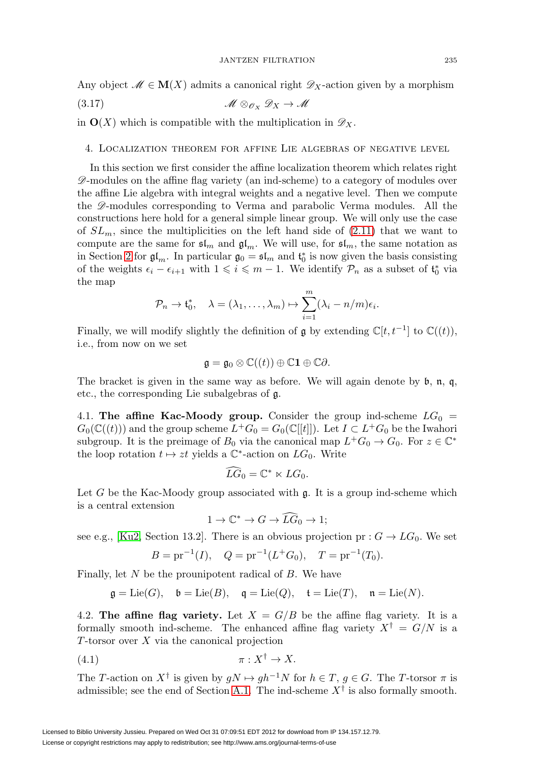Any object  $\mathcal{M} \in \mathbf{M}(X)$  admits a canonical right  $\mathscr{D}_X$ -action given by a morphism

<span id="page-23-1"></span>
$$
\mathscr{M} \otimes_{\mathscr{O}_X} \mathscr{D}_X \to \mathscr{M}
$$

in  $\mathbf{O}(X)$  which is compatible with the multiplication in  $\mathscr{D}_X$ .

# <span id="page-23-0"></span>4. Localization theorem for affine Lie algebras of negative level

In this section we first consider the affine localization theorem which relates right  $\mathscr{D}$ -modules on the affine flag variety (an ind-scheme) to a category of modules over the affine Lie algebra with integral weights and a negative level. Then we compute the  $\mathscr{D}$ -modules corresponding to Verma and parabolic Verma modules. All the constructions here hold for a general simple linear group. We will only use the case of  $SL_m$ , since the multiplicities on the left hand side of  $(2.11)$  that we want to compute are the same for  $\mathfrak{sl}_m$  and  $\mathfrak{gl}_m$ . We will use, for  $\mathfrak{sl}_m$ , the same notation as in Section [2](#page-6-0) for  $\mathfrak{gl}_m$ . In particular  $\mathfrak{g}_0 = \mathfrak{sl}_m$  and  $\mathfrak{t}_0^*$  is now given the basis consisting of the weights  $\epsilon_i - \epsilon_{i+1}$  with  $1 \leqslant i \leqslant m-1$ . We identify  $\mathcal{P}_n$  as a subset of  $\mathfrak{t}_0^*$  via the map

$$
\mathcal{P}_n \to \mathfrak{t}_0^*, \quad \lambda = (\lambda_1, \ldots, \lambda_m) \mapsto \sum_{i=1}^m (\lambda_i - n/m) \epsilon_i.
$$

Finally, we will modify slightly the definition of  $\mathfrak g$  by extending  $\mathbb C[t, t^{-1}]$  to  $\mathbb C((t))$ , i.e., from now on we set

$$
\mathfrak{g} = \mathfrak{g}_0 \otimes \mathbb{C}((t)) \oplus \mathbb{C}1 \oplus \mathbb{C}\partial.
$$

The bracket is given in the same way as before. We will again denote by b, n, q, etc., the corresponding Lie subalgebras of g.

4.1. **The affine Kac-Moody group.** Consider the group ind-scheme  $LG_0 =$  $G_0(\mathbb{C}((t)))$  and the group scheme  $L^+G_0 = G_0(\mathbb{C}[[t]])$ . Let  $I \subset L^+G_0$  be the Iwahori subgroup. It is the preimage of  $B_0$  via the canonical map  $L^+G_0 \to G_0$ . For  $z \in \mathbb{C}^*$ the loop rotation  $t \mapsto zt$  yields a  $\mathbb{C}^*$ -action on  $LG_0$ . Write

$$
\widehat{L}\widehat{G}_0=\mathbb{C}^*\ltimes LG_0.
$$

Let G be the Kac-Moody group associated with  $\mathfrak{g}$ . It is a group ind-scheme which is a central extension

$$
1 \to \mathbb{C}^* \to G \to \widehat{LG}_0 \to 1;
$$

see e.g., [\[Ku2,](#page-56-13) Section 13.2]. There is an obvious projection pr :  $G \to LG_0$ . We set

$$
B = pr^{-1}(I)
$$
,  $Q = pr^{-1}(L^+G_0)$ ,  $T = pr^{-1}(T_0)$ .

Finally, let  $N$  be the prounipotent radical of  $B$ . We have

$$
\mathfrak{g} = \text{Lie}(G), \quad \mathfrak{b} = \text{Lie}(B), \quad \mathfrak{q} = \text{Lie}(Q), \quad \mathfrak{t} = \text{Lie}(T), \quad \mathfrak{n} = \text{Lie}(N).
$$

4.2. **The affine flag variety.** Let  $X = G/B$  be the affine flag variety. It is a formally smooth ind-scheme. The enhanced affine flag variety  $X^{\dagger} = G/N$  is a  $T$ -torsor over  $X$  via the canonical projection

$$
\pi: X^{\dagger} \to X.
$$

The T-action on  $X^{\dagger}$  is given by  $gN \mapsto gh^{-1}N$  for  $h \in T$ ,  $g \in G$ . The T-torsor  $\pi$  is admissible; see the end of Section [A.1.](#page-38-1) The ind-scheme  $X^{\dagger}$  is also formally smooth.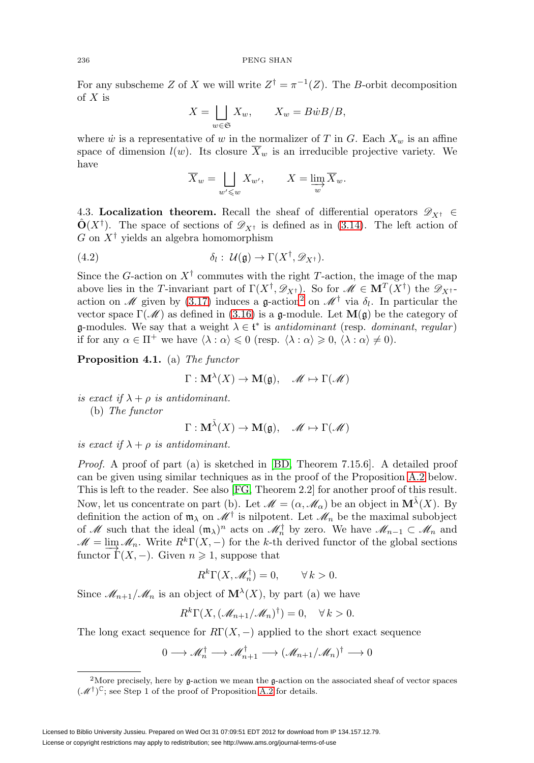For any subscheme Z of X we will write  $Z^{\dagger} = \pi^{-1}(Z)$ . The B-orbit decomposition of  $X$  is

$$
X = \bigsqcup_{w \in \mathfrak{S}} X_w, \qquad X_w = B\dot{w}B/B,
$$

where  $\dot{w}$  is a representative of w in the normalizer of T in G. Each  $X_w$  is an affine space of dimension  $l(w)$ . Its closure  $\overline{X}_w$  is an irreducible projective variety. We have

$$
\overline{X}_w = \bigsqcup_{w' \leq w} X_{w'}, \qquad X = \lim_{w} \overline{X}_w.
$$

<span id="page-24-2"></span>4.3. **Localization theorem.** Recall the sheaf of differential operators  $\mathscr{D}_{X^{\dagger}} \in$  $\hat{\mathbf{O}}(X^{\dagger})$ . The space of sections of  $\mathscr{D}_{X^{\dagger}}$  is defined as in [\(3.14\)](#page-21-0). The left action of G on  $X^{\dagger}$  yields an algebra homomorphism

(4.2) 
$$
\delta_l: \mathcal{U}(\mathfrak{g}) \to \Gamma(X^{\dagger}, \mathscr{D}_{X^{\dagger}}).
$$

Since the G-action on  $X^{\dagger}$  commutes with the right T-action, the image of the map above lies in the T-invariant part of  $\Gamma(X^{\dagger}, \mathscr{D}_{X^{\dagger}})$ . So for  $\mathscr{M} \in {\bf M}^T(X^{\dagger})$  the  $\mathscr{D}_{X^{\dagger}}$ -action on M given by [\(3.17\)](#page-23-1) induces a g-action<sup>[2](#page-24-0)</sup> on M<sup>†</sup> via  $\delta_l$ . In particular the vector space  $\Gamma(\mathcal{M})$  as defined in [\(3.16\)](#page-22-1) is a g-module. Let  $\mathbf{M}(\mathfrak{g})$  be the category of **g**-modules. We say that a weight  $\lambda \in \mathfrak{t}^*$  is antidominant (resp. dominant, regular) if for any  $\alpha \in \Pi^+$  we have  $\langle \lambda : \alpha \rangle \leq 0$  (resp.  $\langle \lambda : \alpha \rangle \geq 0, \langle \lambda : \alpha \rangle \neq 0$ ).

<span id="page-24-1"></span>**Proposition 4.1.** (a) The functor

$$
\Gamma: \mathbf{M}^{\lambda}(X) \to \mathbf{M}(\mathfrak{g}), \quad \mathscr{M} \mapsto \Gamma(\mathscr{M})
$$

is exact if  $\lambda + \rho$  is antidominant. (b) The functor

$$
\Gamma: \mathbf{M}^{\tilde{\lambda}}(X) \to \mathbf{M}(\mathfrak{g}), \quad \mathscr{M} \mapsto \Gamma(\mathscr{M})
$$

is exact if  $\lambda + \rho$  is antidominant.

Proof. A proof of part (a) is sketched in [\[BD,](#page-55-7) Theorem 7.15.6]. A detailed proof can be given using similar techniques as in the proof of the Proposition [A.2](#page-43-0) below. This is left to the reader. See also [\[FG,](#page-55-9) Theorem 2.2] for another proof of this result. Now, let us concentrate on part (b). Let  $\mathscr{M} = (\alpha, \mathscr{M}_\alpha)$  be an object in  $\mathbf{M}^{\tilde{\lambda}}(X)$ . By definition the action of  $\mathfrak{m}_{\lambda}$  on  $\mathcal{M}^{\dagger}$  is nilpotent. Let  $\mathcal{M}_n$  be the maximal subobject of M such that the ideal  $(\mathfrak{m}_{\lambda})^n$  acts on  $\mathcal{M}_n^{\dagger}$  by zero. We have  $\mathcal{M}_{n-1} \subset \mathcal{M}_n$  and  $\mathcal{M} = \lim \mathcal{M}_n$ . Write  $R^k\Gamma(X, -)$  for the k-th derived functor of the global sections functor  $\Gamma(X, -)$ . Given  $n \geq 1$ , suppose that

$$
R^k \Gamma(X, \mathscr{M}_n^{\dagger}) = 0, \qquad \forall k > 0.
$$

Since  $\mathcal{M}_{n+1}/\mathcal{M}_n$  is an object of  $\mathbf{M}^{\lambda}(X)$ , by part (a) we have

$$
R^k \Gamma(X, (\mathcal{M}_{n+1}/\mathcal{M}_n)^{\dagger}) = 0, \quad \forall k > 0.
$$

The long exact sequence for  $R\Gamma(X, -)$  applied to the short exact sequence

$$
0 \longrightarrow \mathscr{M}_n^{\dagger} \longrightarrow \mathscr{M}_{n+1}^{\dagger} \longrightarrow (\mathscr{M}_{n+1}/\mathscr{M}_n)^{\dagger} \longrightarrow 0
$$

<span id="page-24-0"></span><sup>&</sup>lt;sup>2</sup>More precisely, here by  $g$ -action we mean the  $g$ -action on the associated sheaf of vector spaces  $(\mathcal{M}^{\dagger})^{\mathbb{C}}$ ; see Step 1 of the proof of Proposition [A.2](#page-43-0) for details.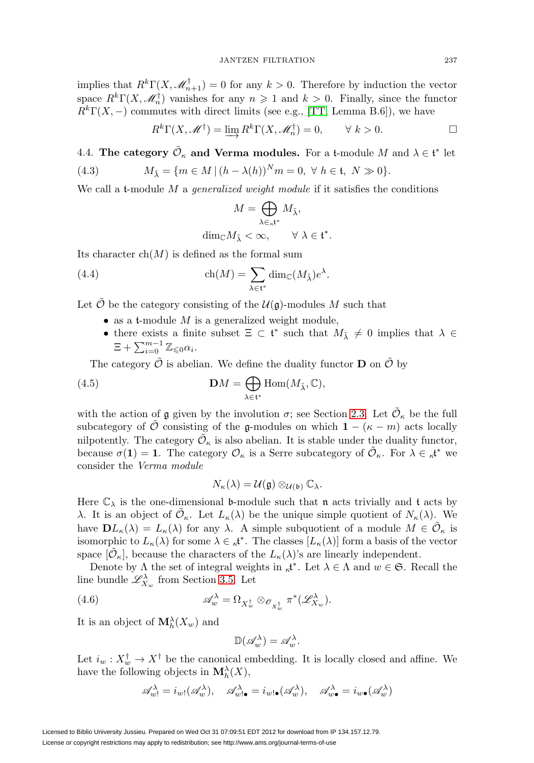implies that  $R^k\Gamma(X, \mathscr{M}_{n+1}^{\dagger}) = 0$  for any  $k > 0$ . Therefore by induction the vector space  $R^k\Gamma(X, \mathcal{M}_n^{\dagger})$  vanishes for any  $n \geq 1$  and  $k > 0$ . Finally, since the functor  $R<sup>k</sup>Γ(X, -)$  commutes with direct limits (see e.g., [\[TT,](#page-56-14) Lemma B.6]), we have

$$
R^k \Gamma(X, \mathcal{M}^\dagger) = \varinjlim R^k \Gamma(X, \mathcal{M}_n^\dagger) = 0, \qquad \forall \ k > 0.
$$

<span id="page-25-1"></span>4.4. **The category**  $\tilde{\mathcal{O}}_{\kappa}$  and Verma modules. For a t-module M and  $\lambda \in \mathfrak{t}^*$  let

(4.3) 
$$
M_{\tilde{\lambda}} = \{ m \in M \mid (h - \lambda(h))^N m = 0, \ \forall \ h \in \mathfrak{t}, \ N \gg 0 \}.
$$

We call a t-module  $M$  a *generalized weight module* if it satisfies the conditions

$$
M=\bigoplus_{\lambda\in\kappa^{{\mathfrak t}^*}}M_{\tilde\lambda},
$$
  

$$
{\rm dim}_{\mathbb C}M_{\tilde\lambda}<\infty,\qquad\forall\;\lambda\in{\mathfrak t}^*.
$$

Its character  $ch(M)$  is defined as the formal sum

<span id="page-25-2"></span>(4.4) 
$$
\operatorname{ch}(M) = \sum_{\lambda \in \mathfrak{t}^*} \dim_{\mathbb{C}}(M_{\tilde{\lambda}}) e^{\lambda}.
$$

Let  $\tilde{\mathcal{O}}$  be the category consisting of the  $\mathcal{U}(\mathfrak{g})$ -modules M such that

- as a t-module  $M$  is a generalized weight module,
- there exists a finite subset  $\Xi \subset \mathfrak{t}^*$  such that  $M_{\tilde{\lambda}} \neq 0$  implies that  $\lambda \in$  $\Xi + \sum_{i=0}^{m-1} \mathbb{Z}_{\leq 0} \alpha_i$ .

The category  $\tilde{\mathcal{O}}$  is abelian. We define the duality functor **D** on  $\tilde{\mathcal{O}}$  by

<span id="page-25-0"></span>(4.5) 
$$
\mathbf{D}M = \bigoplus_{\lambda \in \mathfrak{t}^*} \text{Hom}(M_{\tilde{\lambda}}, \mathbb{C}),
$$

with the action of g given by the involution  $\sigma$ ; see Section [2.3.](#page-8-2) Let  $\tilde{\mathcal{O}}_{\kappa}$  be the full subcategory of  $\hat{\mathcal{O}}$  consisting of the g-modules on which **1** − ( $\kappa$  − m) acts locally nilpotently. The category  $\mathcal{O}_{\kappa}$  is also abelian. It is stable under the duality functor, because  $\sigma(1) = 1$ . The category  $\mathcal{O}_{\kappa}$  is a Serre subcategory of  $\tilde{\mathcal{O}}_{\kappa}$ . For  $\lambda \in \kappa^{t^*}$  we consider the Verma module

$$
N_{\kappa}(\lambda) = \mathcal{U}(\mathfrak{g}) \otimes_{\mathcal{U}(\mathfrak{b})} \mathbb{C}_{\lambda}.
$$

Here  $\mathbb{C}_{\lambda}$  is the one-dimensional **b**-module such that **n** acts trivially and **t** acts by λ. It is an object of  $\mathcal{O}_{\kappa}$ . Let  $L_{\kappa}(\lambda)$  be the unique simple quotient of  $N_{\kappa}(\lambda)$ . We have  $\mathbf{D}L_{\kappa}(\lambda) = L_{\kappa}(\lambda)$  for any  $\lambda$ . A simple subquotient of a module  $M \in \mathcal{O}_{\kappa}$  is isomorphic to  $L_{\kappa}(\lambda)$  for some  $\lambda \in \kappa^{*}$ . The classes  $[L_{\kappa}(\lambda)]$  form a basis of the vector space  $[O_\kappa]$ , because the characters of the  $L_\kappa(\lambda)$ 's are linearly independent.

Denote by  $\Lambda$  the set of integral weights in  $\kappa^*$ . Let  $\lambda \in \Lambda$  and  $w \in \mathfrak{S}$ . Recall the line bundle  $\mathscr{L}^{\lambda}_{X_w}$  from Section [3.5.](#page-19-4) Let

(4.6) 
$$
\mathscr{A}_w^{\lambda} = \Omega_{X_w^{\dagger}} \otimes_{\mathscr{O}_{X_w^{\dagger}}} \pi^*(\mathscr{L}_{X_w}^{\lambda}).
$$

It is an object of  $\mathbf{M}_{h}^{\lambda}(X_w)$  and

$$
\mathbb{D}(\mathscr{A}^\lambda_w) = \mathscr{A}^\lambda_w.
$$

Let  $i_w : X_w^{\dagger} \to X^{\dagger}$  be the canonical embedding. It is locally closed and affine. We have the following objects in  $\mathbf{M}_{h}^{\lambda}(X)$ ,

$$
\mathscr{A}_{w1}^{\lambda} = i_{w1}(\mathscr{A}_{w}^{\lambda}), \quad \mathscr{A}_{w1\bullet}^{\lambda} = i_{w1\bullet}(\mathscr{A}_{w}^{\lambda}), \quad \mathscr{A}_{w\bullet}^{\lambda} = i_{w\bullet}(\mathscr{A}_{w}^{\lambda})
$$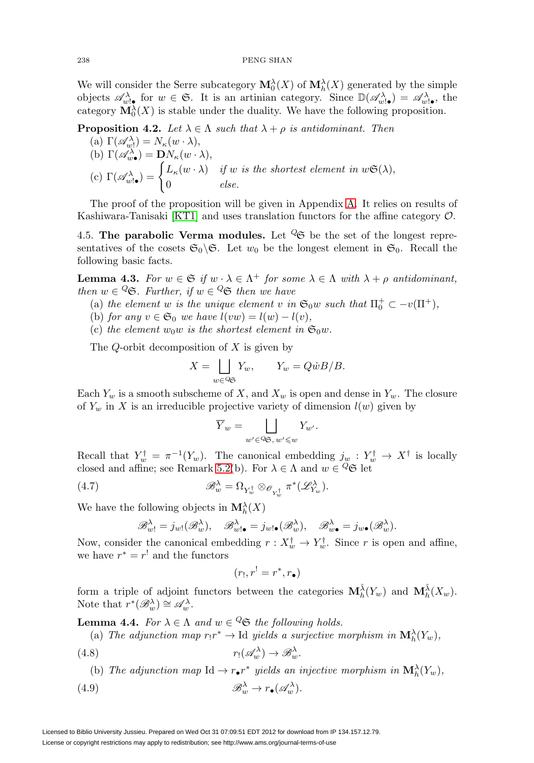We will consider the Serre subcategory  $\mathbf{M}^{\lambda}_{0}(X)$  of  $\mathbf{M}^{\lambda}_{h}(X)$  generated by the simple objects  $\mathscr{A}_{w,\bullet}^{\lambda}$  for  $w \in \mathfrak{S}$ . It is an artinian category. Since  $\mathbb{D}(\mathscr{A}_{w,\bullet}^{\lambda}) = \mathscr{A}_{w,\bullet}^{\lambda}$ , the category  $\mathbf{M}_{0}^{\lambda}(X)$  is stable under the duality. We have the following proposition.

<span id="page-26-0"></span>**Proposition 4.2.** Let  $\lambda \in \Lambda$  such that  $\lambda + \rho$  is antidominant. Then

(a) 
$$
\Gamma(\mathscr{A}_{w}^{\lambda}) = N_{\kappa}(w \cdot \lambda),
$$
  
\n(b)  $\Gamma(\mathscr{A}_{w\bullet}^{\lambda}) = \mathbf{D}N_{\kappa}(w \cdot \lambda),$   
\n(c)  $\Gamma(\mathscr{A}_{w\bullet}^{\lambda}) = \begin{cases} L_{\kappa}(w \cdot \lambda) & \text{if } w \text{ is the shortest element in } w\mathfrak{S}(\lambda), \\ 0 & \text{else.} \end{cases}$ 

The proof of the proposition will be given in Appendix [A.](#page-38-0) It relies on results of Kashiwara-Tanisaki [\[KT1\]](#page-56-11) and uses translation functors for the affine category O.

4.5. **The parabolic Verma modules.** Let  $\mathscr{C}$  be the set of the longest representatives of the cosets  $\mathfrak{S}_0 \backslash \mathfrak{S}$ . Let  $w_0$  be the longest element in  $\mathfrak{S}_0$ . Recall the following basic facts.

<span id="page-26-2"></span>**Lemma 4.3.** For  $w \in \mathfrak{S}$  if  $w \cdot \lambda \in \Lambda^+$  for some  $\lambda \in \Lambda$  with  $\lambda + \rho$  antidominant, then  $w \in \mathcal{Q}$ . Further, if  $w \in \mathcal{Q}$  then we have

- (a) the element w is the unique element v in  $\mathfrak{S}_0 w$  such that  $\Pi_0^+ \subset -v(\Pi^+),$
- (b) for any  $v \in \mathfrak{S}_0$  we have  $l(vw) = l(w) l(v)$ ,

(c) the element  $w_0w$  is the shortest element in  $\mathfrak{S}_0w$ .

The  $Q$ -orbit decomposition of  $X$  is given by

$$
X = \bigsqcup_{w \in \Im \mathfrak{S}} Y_w, \qquad Y_w = Q \dot{w} B / B.
$$

Each  $Y_w$  is a smooth subscheme of X, and  $X_w$  is open and dense in  $Y_w$ . The closure of  $Y_w$  in X is an irreducible projective variety of dimension  $l(w)$  given by

$$
\overline{Y}_w = \bigsqcup_{w' \in \mathcal{Q} \in \mathcal{W}, w' \leq w} Y_{w'}.
$$

Recall that  $Y_w^{\dagger} = \pi^{-1}(Y_w)$ . The canonical embedding  $j_w : Y_w^{\dagger} \to X^{\dagger}$  is locally closed and affine; see Remark [5.2\(](#page-29-0)b). For  $\lambda \in \Lambda$  and  $w \in \mathcal{Q}_\mathfrak{S}$  let

(4.7) 
$$
\mathscr{B}_{w}^{\lambda} = \Omega_{Y_{w}^{\dagger}} \otimes_{\mathscr{O}_{Y_{w}^{\dagger}}} \pi^{*}(\mathscr{L}_{Y_{w}}^{\lambda}).
$$

We have the following objects in  $\mathbf{M}_{h}^{\lambda}(X)$ 

$$
\mathscr{B}^{\lambda}_{w!} = j_{w!}(\mathscr{B}^{\lambda}_{w}), \quad \mathscr{B}^{\lambda}_{w! \bullet} = j_{w! \bullet}(\mathscr{B}^{\lambda}_{w}), \quad \mathscr{B}^{\lambda}_{w \bullet} = j_{w \bullet}(\mathscr{B}^{\lambda}_{w}).
$$

Now, consider the canonical embedding  $r: X_w^{\dagger} \to Y_w^{\dagger}$ . Since r is open and affine, we have  $r^* = r!$  and the functors

$$
(r_!,r^!=r^*,r_\bullet)
$$

form a triple of adjoint functors between the categories  $\mathbf{M}_{h}^{\tilde{\lambda}}(Y_w)$  and  $\mathbf{M}_{h}^{\tilde{\lambda}}(X_w)$ . Note that  $r^*(\mathscr{B}_w^{\lambda}) \cong \mathscr{A}_w^{\lambda}$ .

<span id="page-26-4"></span>**Lemma 4.4.** For  $\lambda \in \Lambda$  and  $w \in \mathcal{Q}$  the following holds.

(a) The adjunction map  $r_!r^* \to \text{Id}$  yields a surjective morphism in  $\mathbf{M}_h^{\lambda}(Y_w)$ ,

<span id="page-26-3"></span>
$$
(4.8) \t\t\t r_!(\mathscr{A}_w^\lambda) \to \mathscr{B}_w^\lambda.
$$

(b) The adjunction map  $\text{Id} \to r \bullet r^*$  yields an injective morphism in  $\mathbf{M}_h^{\lambda}(Y_w)$ ,

<span id="page-26-1"></span>(4.9) 
$$
\mathscr{B}_w^{\lambda} \to r_{\bullet}(\mathscr{A}_w^{\lambda}).
$$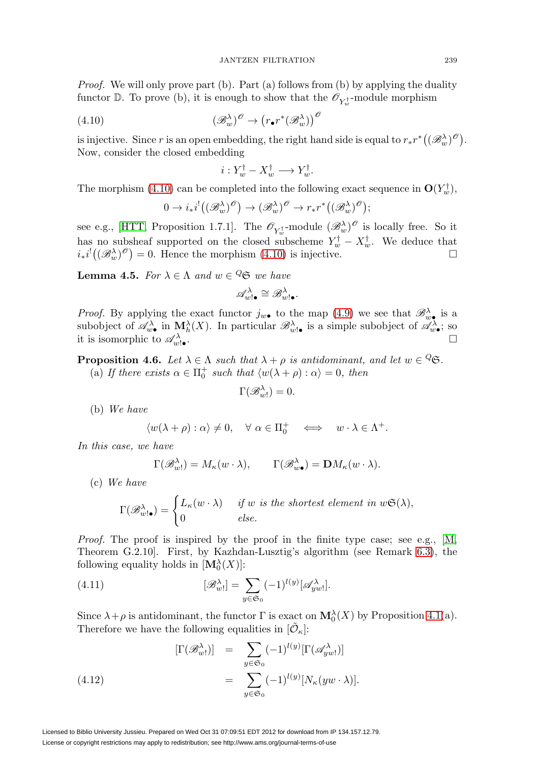*Proof.* We will only prove part (b). Part (a) follows from (b) by applying the duality functor  $\mathbb{D}$ . To prove (b), it is enough to show that the  $\mathscr{O}_{Y^{\dagger}_{w}}$ -module morphism

<span id="page-27-0"></span>(4.10) 
$$
(\mathscr{B}^{\lambda}_{w})^{\mathscr{O}} \to (r_{\bullet}r^{*}(\mathscr{B}^{\lambda}_{w}))^{\mathscr{O}}
$$

is injective. Since r is an open embedding, the right hand side is equal to  $r_*r^*((\mathscr{B}^{\lambda}_w)^{\mathscr{O}})$ . Now, consider the closed embedding

$$
i: Y_w^{\dagger} - X_w^{\dagger} \longrightarrow Y_w^{\dagger}.
$$

The morphism [\(4.10\)](#page-27-0) can be completed into the following exact sequence in  $O(Y_w^{\dagger})$ ,

$$
0 \to i_*i^!((\mathscr{B}^\lambda_w)^{\mathscr{O}}) \to (\mathscr{B}^\lambda_w)^{\mathscr{O}} \to r_*r^*((\mathscr{B}^\lambda_w)^{\mathscr{O}});
$$

see e.g., [\[HTT,](#page-55-8) Proposition 1.7.1]. The  $\mathscr{O}_{Y_w^{\dagger}}$ -module  $(\mathscr{B}_w^{\lambda})^{\mathscr{O}}$  is locally free. So it has no subsheaf supported on the closed subscheme  $Y_w^{\dagger} - X_w^{\dagger}$ . We deduce that  $i_*i^!((\mathscr{B}_w^{\lambda})^{\mathscr{O}})=0.$  Hence the morphism [\(4.10\)](#page-27-0) is injective.

<span id="page-27-2"></span>**Lemma 4.5.** For  $\lambda \in \Lambda$  and  $w \in \mathcal{Q}$  we have

$$
\mathscr{A}^\lambda_{w!\bullet} \cong \mathscr{B}^\lambda_{w!\bullet}.
$$

*Proof.* By applying the exact functor  $j_{w\bullet}$  to the map [\(4.9\)](#page-26-1) we see that  $\mathscr{B}_{w\bullet}^{\lambda}$  is a subobject of  $\mathscr{A}_{w\bullet}^{\lambda}$  in  $\mathbf{M}_{h}^{\lambda}(X)$ . In particular  $\mathscr{B}_{w\bullet}^{\lambda}$  is a simple subobject of  $\mathscr{A}_{w\bullet}^{\lambda}$ ; so it is isomorphic to  $\mathscr{A}_{m}^{\lambda}$ .  $w!$  •  $\Box$ 

<span id="page-27-3"></span>**Proposition 4.6.** Let  $\lambda \in \Lambda$  such that  $\lambda + \rho$  is antidominant, and let  $w \in \mathcal{Q}$ .

(a) If there exists  $\alpha \in \Pi_0^+$  such that  $\langle w(\lambda + \rho) : \alpha \rangle = 0$ , then

$$
\Gamma(\mathscr{B}^{\lambda}_{w!})=0.
$$

(b) We have

$$
\langle w(\lambda + \rho) : \alpha \rangle \neq 0, \quad \forall \alpha \in \Pi_0^+ \quad \Longleftrightarrow \quad w \cdot \lambda \in \Lambda^+.
$$

In this case, we have

$$
\Gamma(\mathscr{B}^{\lambda}_{w!}) = M_{\kappa}(w \cdot \lambda), \qquad \Gamma(\mathscr{B}^{\lambda}_{w \bullet}) = \mathbf{D}M_{\kappa}(w \cdot \lambda).
$$

(c) We have

$$
\Gamma(\mathscr{B}^\lambda_{w!\bullet}) = \begin{cases} L_\kappa(w\cdot\lambda) & \text{if } w \text{ is the shortest element in } w\mathfrak{S}(\lambda), \\ 0 & \text{else.} \end{cases}
$$

Proof. The proof is inspired by the proof in the finite type case; see e.g., [\[M,](#page-56-15) Theorem G.2.10]. First, by Kazhdan-Lusztig's algorithm (see Remark [6.3\)](#page-35-0), the following equality holds in  $[\mathbf{M}_0^{\lambda}(X)]$ :

(4.11) 
$$
[\mathscr{B}_{w}^{\lambda}] = \sum_{y \in \mathfrak{S}_0} (-1)^{l(y)} [\mathscr{A}_{yw}^{\lambda}].
$$

Since  $\lambda + \rho$  is antidominant, the functor  $\Gamma$  is exact on  $\mathbf{M}^{\lambda}_{0}(X)$  by Proposition [4.1\(](#page-24-1)a). Therefore we have the following equalities in  $[\tilde{\mathcal{O}}_{\kappa}].$ 

<span id="page-27-1"></span>(4.12) 
$$
\begin{array}{rcl} [\Gamma(\mathscr{B}^{\lambda}_{w!})] & = & \sum_{y \in \mathfrak{S}_0} (-1)^{l(y)} [\Gamma(\mathscr{A}^{\lambda}_{yw!})] \\ & = & \sum_{y \in \mathfrak{S}_0} (-1)^{l(y)} [N_{\kappa}(yw \cdot \lambda)]. \end{array}
$$

Licensed to Biblio University Jussieu. Prepared on Wed Oct 31 07:09:51 EDT 2012 for download from IP 134.157.12.79. License or copyright restrictions may apply to redistribution; see http://www.ams.org/journal-terms-of-use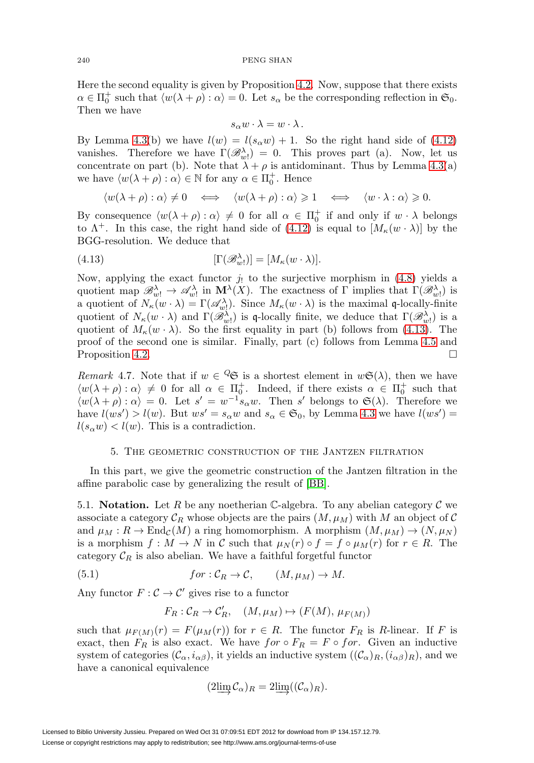#### 240 PENG SHAN

Here the second equality is given by Proposition [4.2.](#page-26-0) Now, suppose that there exists  $\alpha \in \Pi_0^+$  such that  $\langle w(\lambda + \rho) : \alpha \rangle = 0$ . Let  $s_\alpha$  be the corresponding reflection in  $\mathfrak{S}_0$ . Then we have

$$
s_{\alpha}w\cdot\lambda=w\cdot\lambda.
$$

By Lemma [4.3\(](#page-26-2)b) we have  $l(w) = l(s_\alpha w) + 1$ . So the right hand side of [\(4.12\)](#page-27-1) vanishes. Therefore we have  $\Gamma(\mathcal{B}_{w}^{\lambda}) = 0$ . This proves part (a). Now, let us concentrate on part (b). Note that  $\lambda + \rho$  is antidominant. Thus by Lemma [4.3\(](#page-26-2)a) we have  $\langle w(\lambda + \rho) : \alpha \rangle \in \mathbb{N}$  for any  $\alpha \in \Pi_0^+$ . Hence

$$
\langle w(\lambda + \rho) : \alpha \rangle \neq 0 \iff \langle w(\lambda + \rho) : \alpha \rangle \geq 1 \iff \langle w \cdot \lambda : \alpha \rangle \geq 0.
$$

By consequence  $\langle w(\lambda + \rho) : \alpha \rangle \neq 0$  for all  $\alpha \in \Pi_0^+$  if and only if  $w \cdot \lambda$  belongs to  $\Lambda^+$ . In this case, the right hand side of [\(4.12\)](#page-27-1) is equal to  $[M_\kappa(w \cdot \lambda)]$  by the BGG-resolution. We deduce that

<span id="page-28-1"></span>(4.13) 
$$
[\Gamma(\mathscr{B}^{\lambda}_{w!})] = [M_{\kappa}(w \cdot \lambda)].
$$

Now, applying the exact functor  $j_!$  to the surjective morphism in [\(4.8\)](#page-26-3) yields a quotient map  $\mathscr{B}^{\lambda}_{w!} \to \mathscr{A}^{\lambda}_{w!}$  in  $\mathbf{M}^{\lambda}(X)$ . The exactness of  $\Gamma$  implies that  $\Gamma(\mathscr{B}^{\lambda}_{w!})$  is a quotient of  $N_{\kappa}(w \cdot \lambda) = \Gamma(\mathscr{A}_{w}^{\lambda})$ . Since  $M_{\kappa}(w \cdot \lambda)$  is the maximal q-locally-finite quotient of  $N_{\kappa}(w \cdot \lambda)$  and  $\Gamma(\mathscr{B}_{w}^{\lambda})$  is q-locally finite, we deduce that  $\Gamma(\mathscr{B}_{w}^{\lambda})$  is a quotient of  $M_{\kappa}(w \cdot \lambda)$ . So the first equality in part (b) follows from [\(4.13\)](#page-28-1). The proof of the second one is similar. Finally, part (c) follows from Lemma [4.5](#page-27-2) and Proposition [4.2.](#page-26-0)

<span id="page-28-2"></span>Remark 4.7. Note that if  $w \in \mathcal{Q}$  is a shortest element in  $w\mathfrak{S}(\lambda)$ , then we have  $\langle w(\lambda + \rho) : \alpha \rangle \neq 0$  for all  $\alpha \in \Pi_0^+$ . Indeed, if there exists  $\alpha \in \Pi_0^+$  such that  $\langle w(\lambda + \rho) : \alpha \rangle = 0$ . Let  $s' = w^{-1} s_\alpha w$ . Then s' belongs to  $\mathfrak{S}(\lambda)$ . Therefore we have  $l(ws')>l(w)$ . But  $ws'=s_\alpha w$  and  $s_\alpha\in\mathfrak{S}_0$ , by Lemma [4.3](#page-26-2) we have  $l(ws')=$  $l(s_\alpha w) < l(w)$ . This is a contradiction.

### 5. The geometric construction of the Jantzen filtration

<span id="page-28-0"></span>In this part, we give the geometric construction of the Jantzen filtration in the affine parabolic case by generalizing the result of [\[BB\]](#page-55-6).

<span id="page-28-3"></span>5.1. **Notation.** Let R be any noetherian C-algebra. To any abelian category  $\mathcal{C}$  we associate a category  $\mathcal{C}_R$  whose objects are the pairs  $(M, \mu_M)$  with M an object of C and  $\mu_M : R \to \text{End}_{\mathcal{C}}(M)$  a ring homomorphism. A morphism  $(M, \mu_M) \to (N, \mu_N)$ is a morphism  $f : M \to N$  in C such that  $\mu_N(r) \circ f = f \circ \mu_M(r)$  for  $r \in R$ . The category  $C_R$  is also abelian. We have a faithful forgetful functor

<span id="page-28-4"></span>(5.1) 
$$
for: \mathcal{C}_R \to \mathcal{C}, \qquad (M, \mu_M) \to M.
$$

Any functor  $F: \mathcal{C} \to \mathcal{C}'$  gives rise to a functor

$$
F_R: \mathcal{C}_R \to \mathcal{C}'_R, \quad (M, \mu_M) \mapsto (F(M), \mu_{F(M)})
$$

such that  $\mu_{F(M)}(r) = F(\mu_M(r))$  for  $r \in R$ . The functor  $F_R$  is R-linear. If F is exact, then  $F_R$  is also exact. We have  $for \circ F_R = F \circ for$ . Given an inductive system of categories  $(C_{\alpha}, i_{\alpha\beta})$ , it yields an inductive system  $((C_{\alpha})_R, (i_{\alpha\beta})_R)$ , and we have a canonical equivalence

$$
(2\lim_{\longrightarrow} \mathcal{C}_{\alpha})_R = 2\lim_{\longrightarrow} ((\mathcal{C}_{\alpha})_R).
$$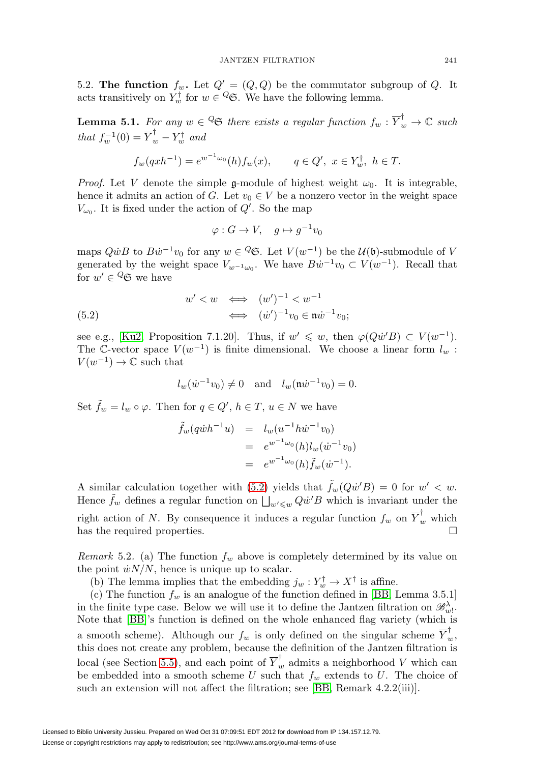5.2. **The function**  $f_w$ . Let  $Q' = (Q, Q)$  be the commutator subgroup of Q. It acts transitively on  $Y_w^{\dagger}$  for  $w \in \mathcal{Q}$ . We have the following lemma.

**Lemma 5.1.** For any  $w \in \mathcal{Q}$  there exists a regular function  $f_w : \overline{Y}_w^{\dagger} \to \mathbb{C}$  such that  $f_w^{-1}(0) = \overline{Y}_w^{\dagger} - Y_w^{\dagger}$  and

$$
f_w(qxh^{-1}) = e^{w^{-1}\omega_0}(h)f_w(x), \qquad q \in Q', \ x \in Y_w^{\dagger}, \ h \in T.
$$

*Proof.* Let V denote the simple g-module of highest weight  $\omega_0$ . It is integrable, hence it admits an action of G. Let  $v_0 \in V$  be a nonzero vector in the weight space  $V_{\omega_0}$ . It is fixed under the action of  $Q'$ . So the map

<span id="page-29-1"></span>
$$
\varphi: G \to V, \quad g \mapsto g^{-1}v_0
$$

maps  $Q\dot{w}B$  to  $B\dot{w}^{-1}v_0$  for any  $w \in \mathcal{Q}$ . Let  $V(w^{-1})$  be the  $\mathcal{U}(\mathfrak{b})$ -submodule of V generated by the weight space  $V_{w^{-1}\omega_0}$ . We have  $Bw^{-1}v_0 \subset V(w^{-1})$ . Recall that for  $w' \in {}^Q \mathfrak{S}$  we have

(5.2) 
$$
w' < w \iff (w')^{-1} < w^{-1} \iff (\dot{w}')^{-1}v_0 \in \mathfrak{n}\dot{w}^{-1}v_0;
$$

see e.g., [\[Ku2,](#page-56-13) Proposition 7.1.20]. Thus, if  $w' \leq w$ , then  $\varphi(Q\dot{w}'B) \subset V(w^{-1})$ . The C-vector space  $V(w^{-1})$  is finite dimensional. We choose a linear form  $l_w$ :  $V(w^{-1}) \to \mathbb{C}$  such that

$$
l_w(\dot{w}^{-1}v_0) \neq 0
$$
 and  $l_w(\mathfrak{n}\dot{w}^{-1}v_0) = 0.$ 

Set  $\tilde{f}_w = l_w \circ \varphi$ . Then for  $q \in Q'$ ,  $h \in T$ ,  $u \in N$  we have

$$
\tilde{f}_w(q\dot{w}h^{-1}u) = l_w(u^{-1}h\dot{w}^{-1}v_0) \n= e^{w^{-1}\omega_0}(h)l_w(\dot{w}^{-1}v_0) \n= e^{w^{-1}\omega_0}(h)\tilde{f}_w(\dot{w}^{-1}).
$$

A similar calculation together with [\(5.2\)](#page-29-1) yields that  $\tilde{f}_w(Q\dot{w}'B) = 0$  for  $w' < w$ . Hence  $\tilde{f}_w$  defines a regular function on  $\bigsqcup_{w' \leq w} Q\dot{w}'B$  which is invariant under the right action of N. By consequence it induces a regular function  $f_w$  on  $\overline{Y}_w^{\dagger}$  which has the required properties.

<span id="page-29-0"></span>Remark 5.2. (a) The function  $f_w$  above is completely determined by its value on the point  $\dot{w}N/N$ , hence is unique up to scalar.

(b) The lemma implies that the embedding  $j_w : Y_w^{\dagger} \to X^{\dagger}$  is affine.

(c) The function  $f_w$  is an analogue of the function defined in [\[BB,](#page-55-6) Lemma 3.5.1] in the finite type case. Below we will use it to define the Jantzen filtration on  $\mathscr{B}_{w!}^{\lambda}$ . Note that [\[BB\]](#page-55-6)'s function is defined on the whole enhanced flag variety (which is a smooth scheme). Although our  $f_w$  is only defined on the singular scheme  $\overline{Y}_w^{\dagger}$ , this does not create any problem, because the definition of the Jantzen filtration is local (see Section [5.5\)](#page-31-1), and each point of  $\overline{Y}_{w}^{\dagger}$  admits a neighborhood V which can be embedded into a smooth scheme U such that  $f_w$  extends to U. The choice of such an extension will not affect the filtration; see [\[BB,](#page-55-6) Remark 4.2.2(iii)].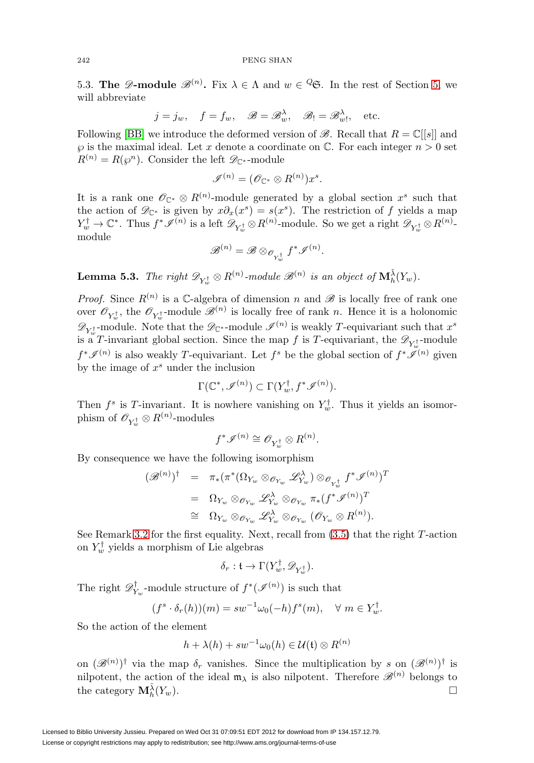5.3. **The**  $\mathscr{D}$ **-module**  $\mathscr{B}^{(n)}$ . Fix  $\lambda \in \Lambda$  and  $w \in \mathscr{C}$ . In the rest of Section [5,](#page-28-0) we will abbreviate

$$
j = j_w
$$
,  $f = f_w$ ,  $\mathscr{B} = \mathscr{B}^{\lambda}_w$ ,  $\mathscr{B}_! = \mathscr{B}^{\lambda}_w$ , etc.

Following [\[BB\]](#page-55-6) we introduce the deformed version of  $\mathscr{B}$ . Recall that  $R = \mathbb{C}[[s]]$  and  $\wp$  is the maximal ideal. Let x denote a coordinate on  $\mathbb C$ . For each integer  $n > 0$  set  $R^{(n)} = R(\varphi^n)$ . Consider the left  $\mathscr{D}_{\mathbb{C}^*}$ -module

$$
\mathscr{I}^{(n)} = (\mathscr{O}_{\mathbb{C}^*} \otimes R^{(n)})x^s.
$$

It is a rank one  $\mathscr{O}_{\mathbb{C}^*} \otimes R^{(n)}$ -module generated by a global section  $x^s$  such that the action of  $\mathscr{D}_{\mathbb{C}^*}$  is given by  $x\partial_x(x^s) = s(x^s)$ . The restriction of f yields a map  $Y_w^{\dagger} \to \mathbb{C}^*$ . Thus  $f^* \mathscr{I}^{(n)}$  is a left  $\mathscr{D}_{Y_w^{\dagger}} \otimes R^{(n)}$ -module. So we get a right  $\mathscr{D}_{Y_w^{\dagger}} \otimes R^{(n)}$ module

$$
{\mathscr B}^{(n)}={\mathscr B}\otimes_{{\mathscr O}_{Y^{\dagger}_{w}}}f^*{\mathscr I}^{(n)}
$$

.

<span id="page-30-0"></span>**Lemma 5.3.** The right  $\mathscr{D}_{Y_w^{\dagger}} \otimes R^{(n)}$ -module  $\mathscr{B}^{(n)}$  is an object of  $\mathbf{M}_{h}^{\tilde{\lambda}}(Y_w)$ .

*Proof.* Since  $R^{(n)}$  is a C-algebra of dimension n and  $\mathscr{B}$  is locally free of rank one over  $\mathscr{O}_{Y^{\dagger}_w}$ , the  $\mathscr{O}_{Y^{\dagger}_w}$ -module  $\mathscr{B}^{(n)}$  is locally free of rank n. Hence it is a holonomic  $\mathscr{D}_{Y^{\dagger}_w}$ -module. Note that the  $\mathscr{D}_{\mathbb{C}^*}$ -module  $\mathscr{I}^{(n)}$  is weakly T-equivariant such that  $x^s$ is a T-invariant global section. Since the map  $f$  is T-equivariant, the  $\mathscr{D}_{Y_w^{\dagger}}$ -module  $f^*\mathscr{I}^{(n)}$  is also weakly T-equivariant. Let  $f^s$  be the global section of  $f^*\mathscr{I}^{(n)}$  given by the image of  $x^s$  under the inclusion

$$
\Gamma(\mathbb{C}^*, \mathscr{I}^{(n)}) \subset \Gamma(Y_w^{\dagger}, f^* \mathscr{I}^{(n)}).
$$

Then  $f^s$  is T-invariant. It is nowhere vanishing on  $Y_w^{\dagger}$ . Thus it yields an isomorphism of  $\mathscr{O}_{Y^{\dagger}_w}\otimes R^{(n)}$ -modules

$$
f^*\mathscr{I}^{(n)}\cong \mathscr{O}_{Y_w^\dagger}\otimes R^{(n)}.
$$

By consequence we have the following isomorphism

$$
\begin{array}{rcl}\n(\mathscr{B}^{(n)})^{\dagger} & = & \pi_{*}(\pi^{*}(\Omega_{Y_{w}} \otimes_{\mathscr{O}_{Y_{w}}} \mathscr{L}_{Y_{w}}^{\lambda}) \otimes_{\mathscr{O}_{Y_{w}^{\dagger}}} f^{*} \mathscr{I}^{(n)})^{T} \\
 & = & \Omega_{Y_{w}} \otimes_{\mathscr{O}_{Y_{w}}} \mathscr{L}_{Y_{w}}^{\lambda} \otimes_{\mathscr{O}_{Y_{w}}} \pi_{*}(f^{*} \mathscr{I}^{(n)})^{T} \\
 & \cong & \Omega_{Y_{w}} \otimes_{\mathscr{O}_{Y_{w}}} \mathscr{L}_{Y_{w}}^{\lambda} \otimes_{\mathscr{O}_{Y_{w}}} (\mathscr{O}_{Y_{w}} \otimes R^{(n)}).\n\end{array}
$$

See Remark [3.2](#page-19-0) for the first equality. Next, recall from [\(3.5\)](#page-18-1) that the right T-action on  $Y_w^{\dagger}$  yields a morphism of Lie algebras

$$
\delta_r: \mathfrak{t} \to \Gamma(Y_w^{\dagger}, \mathscr{D}_{Y_w^{\dagger}}).
$$

The right  $\mathscr{D}_{Y_w}^{\dagger}$ -module structure of  $f^*(\mathscr{I}^{(n)})$  is such that

$$
(f^s \cdot \delta_r(h))(m) = sw^{-1}\omega_0(-h)f^s(m), \quad \forall \ m \in Y_w^{\dagger}.
$$

So the action of the element

$$
h + \lambda(h) + sw^{-1}\omega_0(h) \in \mathcal{U}(\mathfrak{t}) \otimes R^{(n)}
$$

on  $(\mathscr{B}^{(n)})^{\dagger}$  via the map  $\delta_r$  vanishes. Since the multiplication by s on  $(\mathscr{B}^{(n)})^{\dagger}$  is nilpotent, the action of the ideal  $m_{\lambda}$  is also nilpotent. Therefore  $\mathscr{B}^{(n)}$  belongs to the category  $\mathbf{M}_{h}^{\tilde{\lambda}}(Y_w)$ .  $\frac{\lambda}{h}(Y_w).$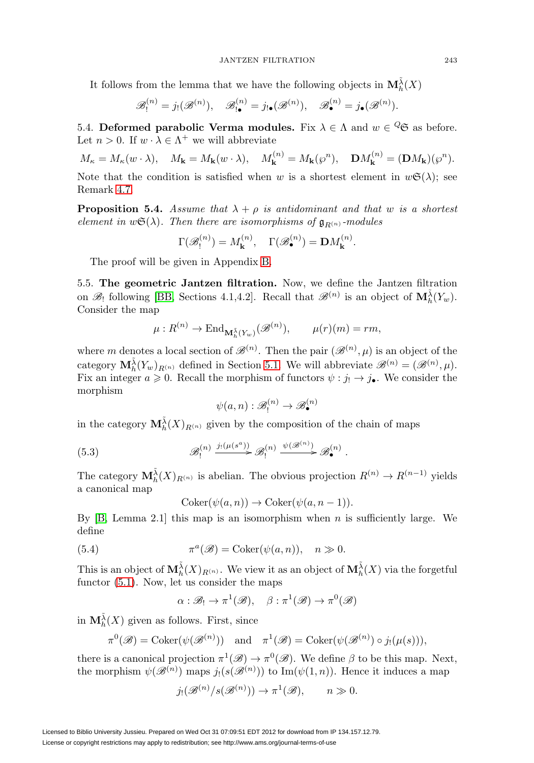It follows from the lemma that we have the following objects in  $\mathbf{M}^{\tilde{\lambda}}_h(X)$ 

$$
\mathscr{B}_{!}^{(n)}=j_! (\mathscr{B}^{(n)}), \quad \mathscr{B}_{! \bullet}^{(n)}=j_{! \bullet} (\mathscr{B}^{(n)}), \quad \mathscr{B}_{\bullet}^{(n)}=j_{\bullet} (\mathscr{B}^{(n)}).
$$

5.4. **Deformed parabolic Verma modules.** Fix  $\lambda \in \Lambda$  and  $w \in \mathcal{Q}$  as before. Let  $n > 0$ . If  $w \cdot \lambda \in \Lambda^+$  we will abbreviate

$$
M_{\kappa} = M_{\kappa}(w \cdot \lambda), \quad M_{\mathbf{k}} = M_{\mathbf{k}}(w \cdot \lambda), \quad M_{\mathbf{k}}^{(n)} = M_{\mathbf{k}}(\wp^n), \quad \mathbf{D}M_{\mathbf{k}}^{(n)} = (\mathbf{D}M_{\mathbf{k}})(\wp^n).
$$

Note that the condition is satisfied when w is a shortest element in  $w\mathfrak{S}(\lambda)$ ; see Remark [4.7.](#page-28-2)

<span id="page-31-0"></span>**Proposition 5.4.** Assume that  $\lambda + \rho$  is antidominant and that w is a shortest element in  $w\mathfrak{S}(\lambda)$ . Then there are isomorphisms of  $\mathfrak{g}_{R(n)}$ -modules

$$
\Gamma(\mathcal{B}_!^{(n)}) = M_{\mathbf{k}}^{(n)}, \quad \Gamma(\mathcal{B}_{\bullet}^{(n)}) = \mathbf{D}M_{\mathbf{k}}^{(n)}.
$$

The proof will be given in Appendix [B.](#page-48-0)

<span id="page-31-1"></span>5.5. **The geometric Jantzen filtration.** Now, we define the Jantzen filtration on  $\mathscr{B}_!$  following [\[BB,](#page-55-6) Sections 4.1,4.2]. Recall that  $\mathscr{B}^{(n)}$  is an object of  $\mathbf{M}_{h}^{\tilde{\lambda}}(Y_w)$ . Consider the map

$$
\mu: R^{(n)} \to \text{End}_{\mathbf{M}_h^{\bar{\lambda}}(Y_w)}(\mathscr{B}^{(n)}), \qquad \mu(r)(m) = rm,
$$

where m denotes a local section of  $\mathscr{B}^{(n)}$ . Then the pair  $(\mathscr{B}^{(n)}, \mu)$  is an object of the category  $\mathbf{M}_{h}^{\tilde{\lambda}}(Y_w)_{R^{(n)}}$  defined in Section [5.1.](#page-28-3) We will abbreviate  $\mathscr{B}^{(n)} = (\mathscr{B}^{(n)}, \mu)$ . Fix an integer  $a \ge 0$ . Recall the morphism of functors  $\psi : j_! \to j_\bullet$ . We consider the morphism

$$
\psi(a,n): \mathscr{B}_!^{(n)} \to \mathscr{B}_\bullet^{(n)}
$$

in the category  $\mathbf{M}_{h}^{\tilde{\lambda}}(X)_{R^{(n)}}$  given by the composition of the chain of maps

(5.3) 
$$
\mathscr{B}_!^{(n)} \xrightarrow{j_! (\mu(s^a))} \mathscr{B}_!^{(n)} \xrightarrow{\psi(\mathscr{B}^{(n)})} \mathscr{B}_\bullet^{(n)}.
$$

The category  $\mathbf{M}_{h}^{\tilde{\lambda}}(X)_{R^{(n)}}$  is abelian. The obvious projection  $R^{(n)} \to R^{(n-1)}$  yields a canonical map

 $Coker(\psi(a, n)) \to Coker(\psi(a, n-1)).$ 

By  $[B, Lemma 2.1]$  $[B, Lemma 2.1]$  this map is an isomorphism when n is sufficiently large. We define

<span id="page-31-2"></span>(5.4) 
$$
\pi^a(\mathscr{B}) = \text{Coker}(\psi(a, n)), \quad n \gg 0.
$$

This is an object of  $\mathbf{M}_{h}^{\tilde{\lambda}}(X)_{R^{(n)}}$ . We view it as an object of  $\mathbf{M}_{h}^{\tilde{\lambda}}(X)$  via the forgetful functor [\(5.1\)](#page-28-4). Now, let us consider the maps

$$
\alpha : \mathscr{B}_! \to \pi^1(\mathscr{B}), \quad \beta : \pi^1(\mathscr{B}) \to \pi^0(\mathscr{B})
$$

in  $\mathbf{M}_{h}^{\tilde{\lambda}}(X)$  given as follows. First, since

$$
\pi^{0}(\mathscr{B}) = \mathrm{Coker}(\psi(\mathscr{B}^{(n)})) \quad \text{and} \quad \pi^{1}(\mathscr{B}) = \mathrm{Coker}(\psi(\mathscr{B}^{(n)}) \circ j_{!}(\mu(s))),
$$

there is a canonical projection  $\pi^1(\mathscr{B}) \to \pi^0(\mathscr{B})$ . We define  $\beta$  to be this map. Next, the morphism  $\psi(\mathscr{B}^{(n)})$  maps  $j_! (s(\mathscr{B}^{(n)}))$  to Im $(\psi(1,n))$ . Hence it induces a map

$$
j_!({\mathscr B}^{(n)}/s({\mathscr B}^{(n)}))\to \pi^1({\mathscr B}), \qquad n\gg 0.
$$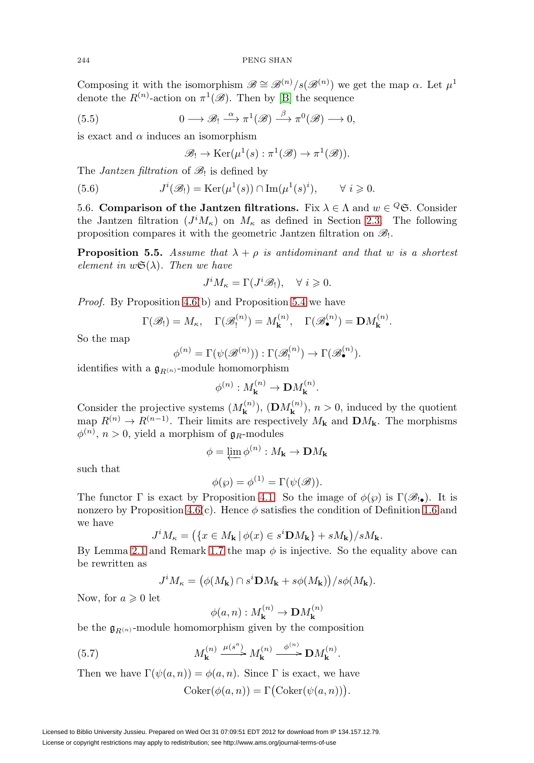Composing it with the isomorphism  $\mathscr{B} \cong \mathscr{B}^{(n)}/s(\mathscr{B}^{(n)})$  we get the map  $\alpha$ . Let  $\mu^1$ denote the  $R^{(n)}$ -action on  $\pi^1(\mathscr{B})$ . Then by [\[B\]](#page-55-10) the sequence

<span id="page-32-0"></span>(5.5) 
$$
0 \longrightarrow \mathscr{B}_! \stackrel{\alpha}{\longrightarrow} \pi^1(\mathscr{B}) \stackrel{\beta}{\longrightarrow} \pi^0(\mathscr{B}) \longrightarrow 0,
$$

is exact and  $\alpha$  induces an isomorphism

$$
\mathscr{B}_! \to \mathrm{Ker}(\mu^1(s) : \pi^1(\mathscr{B}) \to \pi^1(\mathscr{B})).
$$

The *Jantzen filtration* of  $\mathcal{B}_!$  is defined by

<span id="page-32-1"></span>(5.6) 
$$
J^{i}(\mathscr{B}_{!}) = \text{Ker}(\mu^{1}(s)) \cap \text{Im}(\mu^{1}(s)^{i}), \qquad \forall i \geq 0.
$$

5.6. **Comparison of the Jantzen filtrations.** Fix  $\lambda \in \Lambda$  and  $w \in \mathcal{Q}$ . Consider the Jantzen filtration  $(J^i M_{\kappa})$  on  $M_{\kappa}$  as defined in Section [2.3.](#page-8-2) The following proposition compares it with the geometric Jantzen filtration on  $\mathscr{B}_!$ .

<span id="page-32-2"></span>**Proposition 5.5.** Assume that  $\lambda + \rho$  is antidominant and that w is a shortest element in  $w\mathfrak{S}(\lambda)$ . Then we have

$$
J^i M_\kappa = \Gamma(J^i \mathscr{B}_!) , \quad \forall i \geqslant 0.
$$

Proof. By Proposition [4.6\(](#page-27-3)b) and Proposition [5.4](#page-31-0) we have

$$
\Gamma(\mathscr{B}_!)=M_\kappa
$$
,  $\Gamma(\mathscr{B}_!^{(n)})=M_{\mathbf{k}}^{(n)}$ ,  $\Gamma(\mathscr{B}_{\bullet}^{(n)})=\mathbf{D}M_{\mathbf{k}}^{(n)}$ .

So the map

$$
\phi^{(n)} = \Gamma(\psi(\mathcal{B}^{(n)})): \Gamma(\mathcal{B}^{(n)}_! \to \Gamma(\mathcal{B}^{(n)}_{\bullet}).
$$

identifies with a  $\mathfrak{g}_{R^{(n)}}$ -module homomorphism

$$
\phi^{(n)}: M_{\mathbf{k}}^{(n)} \to \mathbf{D}M_{\mathbf{k}}^{(n)}.
$$

Consider the projective systems  $(M_{\mathbf{k}}^{(n)})$ ,  $(\mathbf{D}M_{\mathbf{k}}^{(n)})$ ,  $n > 0$ , induced by the quotient map  $R^{(n)} \to R^{(n-1)}$ . Their limits are respectively  $M_{\mathbf{k}}$  and  $\mathbf{D}M_{\mathbf{k}}$ . The morphisms  $\phi^{(n)}$ ,  $n > 0$ , yield a morphism of  $\mathfrak{g}_R$ -modules

$$
\phi = \varprojlim \phi^{(n)} : M_{\mathbf{k}} \to \mathbf{D}M_{\mathbf{k}}
$$

such that

$$
\phi(\wp) = \phi^{(1)} = \Gamma(\psi(\mathscr{B})).
$$

The functor  $\Gamma$  is exact by Proposition [4.1.](#page-24-1) So the image of  $\phi(\varphi)$  is  $\Gamma(\mathscr{B}_{\cdot\bullet})$ . It is nonzero by Proposition [4.6\(](#page-27-3)c). Hence  $\phi$  satisfies the condition of Definition [1.6](#page-4-1) and we have

$$
J^iM_{\kappa}=\left(\{x\in M_{\mathbf{k}}\,|\,\phi(x)\in s^i\mathbf{D}M_{\mathbf{k}}\}+sM_{\mathbf{k}}\right)/sM_{\mathbf{k}}.
$$

By Lemma [2.1](#page-7-1) and Remark [1.7](#page-4-2) the map  $\phi$  is injective. So the equality above can be rewritten as

$$
J^iM_{\kappa}=\big(\phi(M_{\bold{k}})\cap s^i\bold{D} M_{\bold{k}}+s\phi(M_{\bold{k}})\big)/s\phi(M_{\bold{k}}).
$$

Now, for  $a \geqslant 0$  let

$$
\phi(a, n) : M_{\mathbf{k}}^{(n)} \to \mathbf{D}M_{\mathbf{k}}^{(n)}
$$

be the  $\mathfrak{g}_{R(n)}$ -module homomorphism given by the composition

(5.7) 
$$
M_{\mathbf{k}}^{(n)} \xrightarrow{\mu(s^{a})} M_{\mathbf{k}}^{(n)} \xrightarrow{\phi^{(n)}} \mathbf{D} M_{\mathbf{k}}^{(n)}.
$$

Then we have  $\Gamma(\psi(a, n)) = \phi(a, n)$ . Since  $\Gamma$  is exact, we have

 $Coker(\phi(a, n)) = \Gamma(Coker(\psi(a, n))).$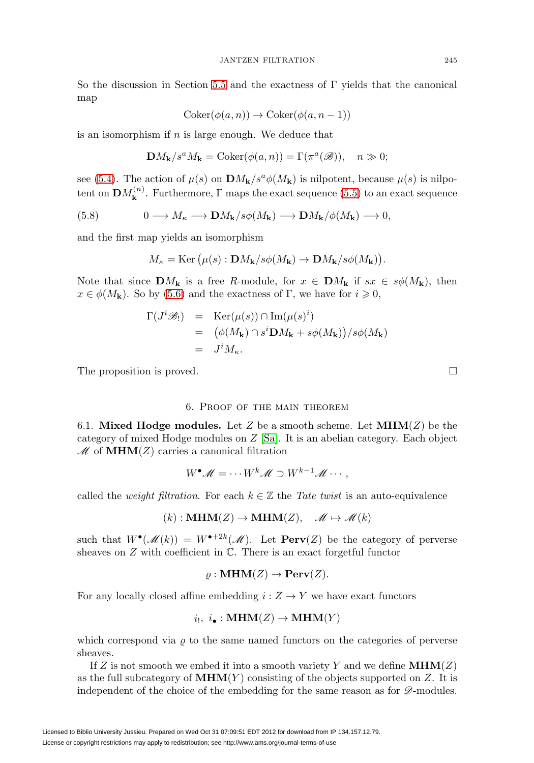So the discussion in Section [5.5](#page-31-1) and the exactness of  $\Gamma$  yields that the canonical map

$$
Coker(\phi(a, n)) \to Coker(\phi(a, n - 1))
$$

is an isomorphism if  $n$  is large enough. We deduce that

$$
\mathbf{D}M_{\mathbf{k}}/s^{a}M_{\mathbf{k}} = \mathrm{Coker}(\phi(a, n)) = \Gamma(\pi^{a}(\mathscr{B})), \quad n \gg 0;
$$

see [\(5.4\)](#page-31-2). The action of  $\mu(s)$  on  $\mathbf{D}M_k/s^a\phi(M_k)$  is nilpotent, because  $\mu(s)$  is nilpotent on  $\mathbf{D}M_{\mathbf{k}}^{(n)}$ . Furthermore,  $\Gamma$  maps the exact sequence [\(5.5\)](#page-32-0) to an exact sequence

(5.8) 
$$
0 \longrightarrow M_{\kappa} \longrightarrow \mathbf{D}M_{\mathbf{k}}/s\phi(M_{\mathbf{k}}) \longrightarrow \mathbf{D}M_{\mathbf{k}}/\phi(M_{\mathbf{k}}) \longrightarrow 0,
$$

and the first map yields an isomorphism

$$
M_{\kappa} = \text{Ker}(\mu(s) : \mathbf{D}M_{\mathbf{k}}/s\phi(M_{\mathbf{k}}) \to \mathbf{D}M_{\mathbf{k}}/s\phi(M_{\mathbf{k}})).
$$

Note that since  $\mathbf{D}M_{\mathbf{k}}$  is a free R-module, for  $x \in \mathbf{D}M_{\mathbf{k}}$  if  $sx \in s\phi(M_{\mathbf{k}})$ , then  $x \in \phi(M_k)$ . So by [\(5.6\)](#page-32-1) and the exactness of Γ, we have for  $i \geq 0$ ,

$$
\Gamma(J^{i}\mathscr{B}_{!}) = \text{Ker}(\mu(s)) \cap \text{Im}(\mu(s)^{i})
$$
  
=  $(\phi(M_{\mathbf{k}}) \cap s^{i} \mathbf{D} M_{\mathbf{k}} + s\phi(M_{\mathbf{k}}))/s\phi(M_{\mathbf{k}})$   
=  $J^{i} M_{\kappa}$ .

<span id="page-33-0"></span>The proposition is proved.  $\Box$ 

### 6. Proof of the main theorem

6.1. **Mixed Hodge modules.** Let Z be a smooth scheme. Let  $MHM(Z)$  be the category of mixed Hodge modules on Z [\[Sa\]](#page-56-16). It is an abelian category. Each object  $M$  of **MHM**(Z) carries a canonical filtration

$$
W^{\bullet} \mathscr{M} = \cdots W^k \mathscr{M} \supset W^{k-1} \mathscr{M} \cdots,
$$

called the *weight filtration*. For each  $k \in \mathbb{Z}$  the Tate twist is an auto-equivalence

$$
(k) : \mathbf{MHM}(Z) \to \mathbf{MHM}(Z), \quad \mathscr{M} \mapsto \mathscr{M}(k)
$$

such that  $W^{\bullet}(\mathcal{M}(k)) = W^{\bullet+2k}(\mathcal{M})$ . Let  $\text{Perv}(Z)$  be the category of perverse sheaves on  $Z$  with coefficient in  $\mathbb{C}$ . There is an exact forgetful functor

$$
\varrho: \mathbf{MHM}(Z) \to \mathbf{Perv}(Z).
$$

For any locally closed affine embedding  $i: Z \to Y$  we have exact functors

$$
i_!, i_{\bullet} : \mathbf{MHM}(Z) \to \mathbf{MHM}(Y)
$$

which correspond via  $\rho$  to the same named functors on the categories of perverse sheaves.

If Z is not smooth we embed it into a smooth variety Y and we define  $MHM(Z)$ as the full subcategory of  $MHM(Y)$  consisting of the objects supported on Z. It is independent of the choice of the embedding for the same reason as for  $\mathscr{D}$ -modules.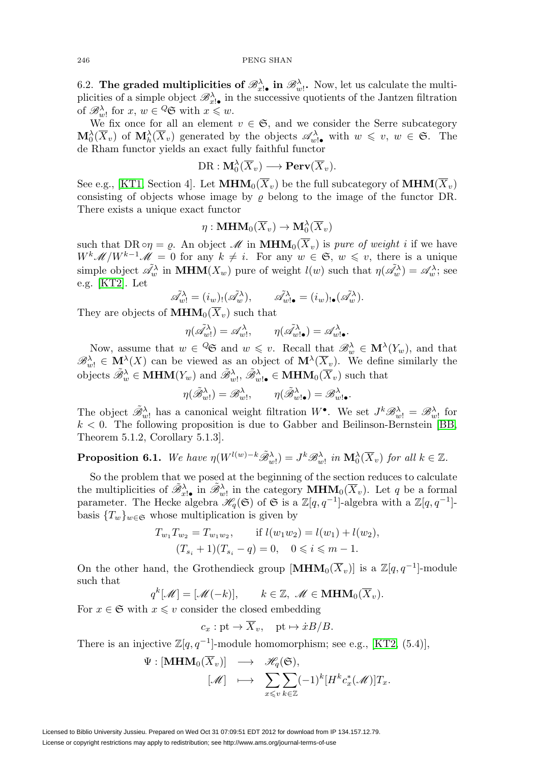6.2. **The graded multiplicities of**  $\mathscr{B}_{x|\bullet}^{\lambda}$  **in**  $\mathscr{B}_{w}^{\lambda}$ **. Now, let us calculate the multi**plicities of a simple object  $\mathscr{B}_{x|\bullet}^{\lambda}$  in the successive quotients of the Jantzen filtration of  $\mathscr{B}_{w}^{\lambda}$  for  $x, w \in \mathscr{Q}$  with  $x \leqslant w$ .

We fix once for all an element  $v \in \mathfrak{S}$ , and we consider the Serre subcategory  $\mathbf{M}_{0}^{\lambda}(\overline{X}_{v})$  of  $\mathbf{M}_{h}^{\lambda}(\overline{X}_{v})$  generated by the objects  $\mathscr{A}_{w_{v}}^{\lambda}$  with  $w \leq v, w \in \mathfrak{S}$ . The de Rham functor yields an exact fully faithful functor

$$
\mathrm{DR}: \mathbf{M}^\lambda_0(\overline{X}_v) \longrightarrow \mathbf{Perv}(\overline{X}_v).
$$

See e.g., [\[KT1,](#page-56-11) Section 4]. Let  $\text{MHM}_0(\overline{X}_v)$  be the full subcategory of  $\text{MHM}(\overline{X}_v)$ consisting of objects whose image by  $\rho$  belong to the image of the functor DR. There exists a unique exact functor

$$
\eta: \mathbf{MHM}_0(\overline{X}_v) \to \mathbf{M}_0^{\lambda}(\overline{X}_v)
$$

such that DR  $\circ \eta = \varrho$ . An object M in **MHM**<sub>0</sub>( $\overline{X}_v$ ) is *pure of weight i* if we have  $W^k \mathscr{M}/W^{k-1} \mathscr{M} = 0$  for any  $k \neq i$ . For any  $w \in \mathfrak{S}$ ,  $w \leq v$ , there is a unique simple object  $\tilde{\mathscr{A}}_w^{\lambda}$  in **MHM**( $X_w$ ) pure of weight  $l(w)$  such that  $\eta(\tilde{\mathscr{A}}_w^{\lambda}) = \mathscr{A}_w^{\lambda}$ ; see e.g. [\[KT2\]](#page-56-17). Let

$$
\tilde{\mathscr{A}}_{w!}^{\lambda} = (i_{w})_! (\tilde{\mathscr{A}}_{w}^{\lambda}), \qquad \tilde{\mathscr{A}}_{w! \bullet}^{\lambda} = (i_{w})_{! \bullet} (\tilde{\mathscr{A}}_{w}^{\lambda}).
$$

They are objects of  $\text{MHM}_0(X_v)$  such that

$$
\eta(\tilde{\mathscr{A}}_{w!}^{\lambda}) = \mathscr{A}_{w!}^{\lambda}, \qquad \eta(\tilde{\mathscr{A}}_{w!\bullet}^{\lambda}) = \mathscr{A}_{w!\bullet}^{\lambda}.
$$

Now, assume that  $w \in {}^Q\mathfrak{S}$  and  $w \leq v$ . Recall that  $\mathscr{B}^\lambda_w \in M^\lambda(Y_w)$ , and that  $\mathscr{B}_{w!}^{\lambda} \in \mathbf{M}^{\lambda}(X)$  can be viewed as an object of  $\mathbf{M}^{\lambda}(\overline{X}_{v})$ . We define similarly the objects  $\tilde{\mathscr{B}}_w^{\lambda} \in \mathbf{MHM}(Y_w)$  and  $\tilde{\mathscr{B}}_w^{\lambda}$ ,  $\tilde{\mathscr{B}}_w^{\lambda}$ ,  $\in \mathbf{MHM}_0(\overline{X}_v)$  such that

$$
\eta(\tilde{\mathscr{B}}_{w!}^{\lambda})=\mathscr{B}_{w!}^{\lambda},\qquad \eta(\tilde{\mathscr{B}}_{w!\bullet}^{\lambda})=\mathscr{B}_{w!\bullet}^{\lambda}.
$$

The object  $\tilde{\mathscr{B}}_{w}^{\lambda}$  has a canonical weight filtration  $W^{\bullet}$ . We set  $J^k \mathscr{B}_{w}^{\lambda} = \mathscr{B}_{w}^{\lambda}$  for  $k < 0$ . The following proposition is due to Gabber and Beilinson-Bernstein [\[BB,](#page-55-6) Theorem 5.1.2, Corollary 5.1.3].

<span id="page-34-0"></span>**Proposition 6.1.** We have 
$$
\eta(W^{l(w)-k}\tilde{\mathcal{B}}_{w}^{\lambda})=J^k\mathcal{B}_{w}^{\lambda}
$$
 in  $\mathbf{M}_0^{\lambda}(\overline{X}_v)$  for all  $k \in \mathbb{Z}$ .

So the problem that we posed at the beginning of the section reduces to calculate the multiplicities of  $\tilde{\mathscr{B}}_{x|\bullet}^{\lambda}$  in  $\tilde{\mathscr{B}}_{w}^{\lambda}$  in the category **MHM**<sub>0</sub>( $\overline{X}_v$ ). Let q be a formal parameter. The Hecke algebra  $\mathcal{H}_q(\mathfrak{S})$  of  $\mathfrak{S}$  is a  $\mathbb{Z}[q, q^{-1}]$ -algebra with a  $\mathbb{Z}[q, q^{-1}]$ basis  ${T_w}_{w \in \mathfrak{S}}$  whose multiplication is given by

$$
T_{w_1}T_{w_2} = T_{w_1w_2}, \quad \text{if } l(w_1w_2) = l(w_1) + l(w_2),
$$
  

$$
(T_{s_i} + 1)(T_{s_i} - q) = 0, \quad 0 \le i \le m - 1.
$$

On the other hand, the Grothendieck group  $[\textbf{MHM}_0(\overline{X}_v)]$  is a  $\mathbb{Z}[q, q^{-1}]$ -module such that

$$
q^k[\mathcal{M}] = [\mathcal{M}(-k)], \qquad k \in \mathbb{Z}, \ \mathcal{M} \in \mathbf{MHM}_0(\overline{X}_v).
$$

For  $x \in \mathfrak{S}$  with  $x \leq v$  consider the closed embedding

$$
c_x
$$
: pt  $\rightarrow \overline{X}_v$ , pt  $\rightarrow \dot{x}B/B$ .

There is an injective  $\mathbb{Z}[q, q^{-1}]$ -module homomorphism; see e.g., [\[KT2,](#page-56-17) (5.4)],

$$
\Psi : [\mathbf{MHM}_0(\overline{X}_v)] \longrightarrow \mathscr{H}_q(\mathfrak{S}),
$$
  

$$
[\mathscr{M}] \longrightarrow \sum_{x \leqslant v} \sum_{k \in \mathbb{Z}} (-1)^k [H^k c_x^*(\mathscr{M})] T_x.
$$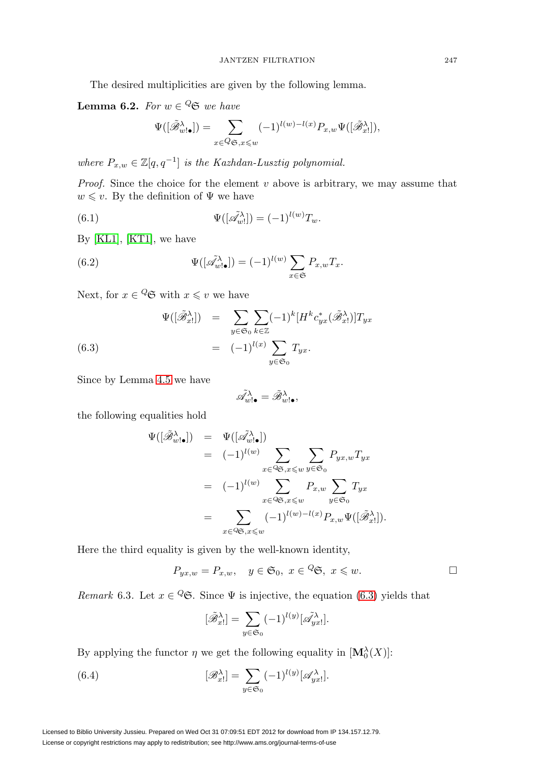The desired multiplicities are given by the following lemma.

**Lemma 6.2.** For  $w \in \mathcal{Q}$  we have

$$
\Psi([\tilde{\mathscr{B}}_{w!\bullet}^{\lambda}]) = \sum_{x \in \mathcal{Q}_{\mathfrak{S},x \leq w}} (-1)^{l(w)-l(x)} P_{x,w} \Psi([\tilde{\mathscr{B}}_{x}^{\lambda}]),
$$

where  $P_{x,w} \in \mathbb{Z}[q, q^{-1}]$  is the Kazhdan-Lusztig polynomial.

*Proof.* Since the choice for the element  $v$  above is arbitrary, we may assume that  $w \leq v$ . By the definition of  $\Psi$  we have

<span id="page-35-2"></span>(6.1) 
$$
\Psi([\tilde{\mathscr{A}}_w^{\lambda}]) = (-1)^{l(w)} T_w.
$$

By [\[KL1\]](#page-56-18), [\[KT1\]](#page-56-11), we have

<span id="page-35-3"></span>(6.2) 
$$
\Psi([\tilde{\mathscr{A}}_{w!\bullet}^{\lambda}]) = (-1)^{l(w)} \sum_{x \in \mathfrak{S}} P_{x,w} T_x.
$$

Next, for  $x \in \mathcal{Q}$  with  $x \leq v$  we have

<span id="page-35-1"></span>(6.3)  
\n
$$
\Psi([\tilde{\mathscr{B}}_x^{\lambda}]) = \sum_{y \in \mathfrak{S}_0} \sum_{k \in \mathbb{Z}} (-1)^k [H^k c_{yx}^* (\tilde{\mathscr{B}}_x^{\lambda})] T_{yx}
$$
\n
$$
= (-1)^{l(x)} \sum_{y \in \mathfrak{S}_0} T_{yx}.
$$

Since by Lemma [4.5](#page-27-2) we have

$$
\tilde{\mathscr{A}}_{w!\bullet}^{\lambda}=\tilde{\mathscr{B}}_{w!\bullet}^{\lambda},
$$

the following equalities hold

$$
\Psi([\tilde{\mathscr{B}}_{w!\bullet}^{\lambda}]) = \Psi([\tilde{\mathscr{A}}_{w!\bullet}^{\lambda}])
$$
\n
$$
= (-1)^{l(w)} \sum_{x \in \mathcal{Q} \in \mathcal{X}} \sum_{x \in w} P_{yx,w} T_{yx}
$$
\n
$$
= (-1)^{l(w)} \sum_{x \in \mathcal{Q} \in \mathcal{X}} P_{x,w} \sum_{y \in \mathcal{S}_0} T_{yx}
$$
\n
$$
= \sum_{x \in \mathcal{Q} \in \mathcal{X}} (-1)^{l(w)-l(x)} P_{x,w} \Psi([\tilde{\mathscr{B}}_{x}^{\lambda}]).
$$

Here the third equality is given by the well-known identity,

$$
P_{yx,w} = P_{x,w}, \quad y \in \mathfrak{S}_0, \ x \in {}^Q\mathfrak{S}, \ x \leq w.
$$

<span id="page-35-0"></span>Remark 6.3. Let  $x \in {}^Q \mathfrak{S}$ . Since  $\Psi$  is injective, the equation [\(6.3\)](#page-35-1) yields that

$$
[\tilde{\mathscr{B}}_{x}^{\lambda}]=\sum_{y\in\mathfrak{S}_0}(-1)^{l(y)}[\tilde{\mathscr{A}}_{yx}^{\lambda}].
$$

By applying the functor  $\eta$  we get the following equality in  $[\mathbf{M}_0^{\lambda}(X)]$ :

(6.4) 
$$
[\mathscr{B}_{x}^{\lambda}] = \sum_{y \in \mathfrak{S}_0} (-1)^{l(y)} [\mathscr{A}_{yx}^{\lambda}].
$$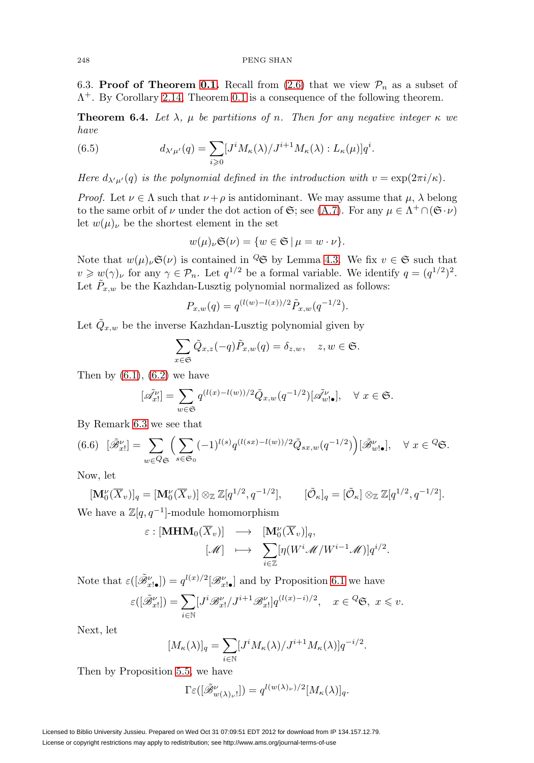### 248 PENG SHAN

6.3. **Proof of Theorem [0.1.](#page-1-1)** Recall from  $(2.6)$  that we view  $P_n$  as a subset of  $\Lambda^{+}$ . By Corollary [2.14,](#page-16-1) Theorem [0.1](#page-1-1) is a consequence of the following theorem.

**Theorem 6.4.** Let  $\lambda$ ,  $\mu$  be partitions of n. Then for any negative integer  $\kappa$  we have

(6.5) 
$$
d_{\lambda'\mu'}(q) = \sum_{i\geqslant 0} [J^i M_\kappa(\lambda)/J^{i+1} M_\kappa(\lambda) : L_\kappa(\mu)] q^i.
$$

Here  $d_{\lambda'\mu'}(q)$  is the polynomial defined in the introduction with  $v = \exp(2\pi i/\kappa)$ .

*Proof.* Let  $\nu \in \Lambda$  such that  $\nu + \rho$  is antidominant. We may assume that  $\mu$ ,  $\lambda$  belong to the same orbit of  $\nu$  under the dot action of  $\mathfrak{S}$ ; see [\(A.7\)](#page-42-0). For any  $\mu \in \Lambda^+ \cap (\mathfrak{S} \cdot \nu)$ let  $w(\mu)_{\nu}$  be the shortest element in the set

$$
w(\mu)_{\nu}\mathfrak{S}(\nu) = \{w \in \mathfrak{S} \mid \mu = w \cdot \nu\}.
$$

Note that  $w(\mu)_{\nu} \mathfrak{S}(\nu)$  is contained in  $\mathcal{Q} \mathfrak{S}$  by Lemma [4.3.](#page-26-2) We fix  $v \in \mathfrak{S}$  such that  $v \geqslant w(\gamma)_{\nu}$  for any  $\gamma \in \mathcal{P}_n$ . Let  $q^{1/2}$  be a formal variable. We identify  $q = (q^{1/2})^2$ . Let  $\bar{P}_{x,w}$  be the Kazhdan-Lusztig polynomial normalized as follows:

$$
P_{x,w}(q) = q^{(l(w)-l(x))/2} \tilde{P}_{x,w}(q^{-1/2}).
$$

Let  $Q_{x,w}$  be the inverse Kazhdan-Lusztig polynomial given by

$$
\sum_{x \in \mathfrak{S}} \tilde{Q}_{x,z}(-q) \tilde{P}_{x,w}(q) = \delta_{z,w}, \quad z, w \in \mathfrak{S}.
$$

Then by  $(6.1)$ ,  $(6.2)$  we have

$$
[\tilde{\mathscr{A}}_{x!}^{\nu}]=\sum_{w\in\mathfrak{S}}q^{(l(x)-l(w))/2}\tilde{Q}_{x,w}(q^{-1/2})[\tilde{\mathscr{A}}_{w!\bullet}^{\nu}],\quad\forall\ x\in\mathfrak{S}.
$$

By Remark [6.3](#page-35-0) we see that

<span id="page-36-0"></span>
$$
(6.6)\ \ [\tilde{\mathscr{B}}'_{x}]\ = \ \sum_{w\in Q_{\mathfrak{S}}} \Big(\sum_{s\in\mathfrak{S}_{0}} (-1)^{l(s)} q^{(l(sx)-l(w))/2} \tilde{Q}_{sx,w}(q^{-1/2})\Big) [\tilde{\mathscr{B}}'_{w!\bullet}], \quad \forall \ x\in {}^{Q}\mathfrak{S}.
$$

Now, let

$$
[\mathbf{M}_0^{\nu}(\overline{X}_v)]_q = [\mathbf{M}_0^{\nu}(\overline{X}_v)] \otimes_{\mathbb{Z}} \mathbb{Z}[q^{1/2}, q^{-1/2}], \qquad [\tilde{\mathcal{O}}_\kappa]_q = [\tilde{\mathcal{O}}_\kappa] \otimes_{\mathbb{Z}} \mathbb{Z}[q^{1/2}, q^{-1/2}].
$$

We have a  $\mathbb{Z}[q, q^{-1}]$ -module homomorphism

$$
\varepsilon : [\mathbf{MHM}_{0}(\overline{X}_{v})] \longrightarrow [\mathbf{M}_{0}^{\nu}(\overline{X}_{v})]_{q}, \n[\mathscr{M}] \longrightarrow \sum_{i \in \mathbb{Z}} [\eta(W^{i} \mathscr{M}/W^{i-1} \mathscr{M})] q^{i/2}.
$$

Note that  $\varepsilon([\tilde{\mathcal{B}}_{x|\bullet}^{\nu}]) = q^{l(x)/2}[\mathcal{B}_{x|\bullet}^{\nu}]$  and by Proposition [6.1](#page-34-0) we have

$$
\varepsilon([\tilde{\mathscr{B}}^{\nu}_{x!}]) = \sum_{i \in \mathbb{N}} [J^{i} \mathscr{B}^{\nu}_{x!} / J^{i+1} \mathscr{B}^{\nu}_{x!}] q^{(l(x)-i)/2}, \quad x \in \mathscr{C} \mathfrak{S}, \ x \leq v.
$$

Next, let

$$
[M_{\kappa}(\lambda)]_q = \sum_{i \in \mathbb{N}} [J^i M_{\kappa}(\lambda) / J^{i+1} M_{\kappa}(\lambda)] q^{-i/2}.
$$

Then by Proposition [5.5,](#page-32-2) we have

$$
\Gamma \varepsilon ( [\tilde{\mathcal{B}}_{w(\lambda)_{\nu}}^{\nu}]) = q^{l(w(\lambda)_{\nu})/2} [M_{\kappa}(\lambda)]_q.
$$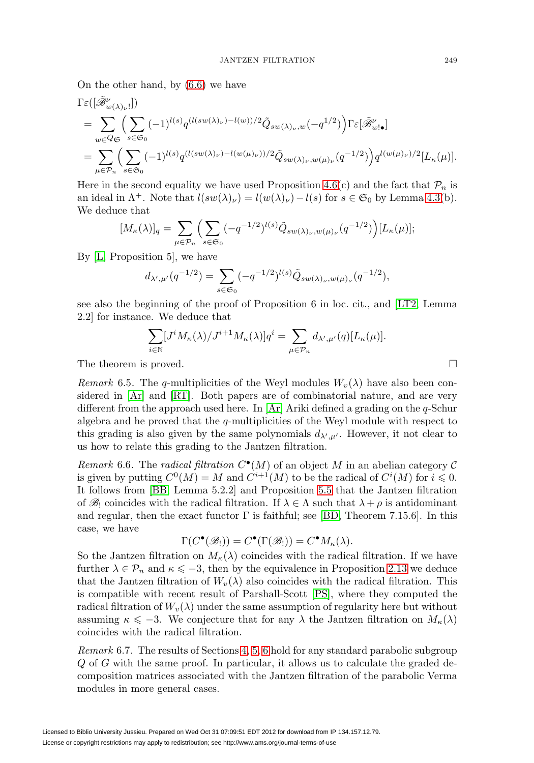On the other hand, by [\(6.6\)](#page-36-0) we have

$$
\begin{split} &\Gamma\varepsilon([\tilde{\mathscr{B}}_{w(\lambda)_{\nu}}^{\nu}])\n= \sum_{w\in Q_{\mathfrak{S}}}\Big(\sum_{s\in\mathfrak{S}_{0}}(-1)^{l(s)}q^{(l(sw(\lambda)_{\nu})-l(w))/2}\tilde{Q}_{sw(\lambda)_{\nu},w}(-q^{1/2})\Big)\Gamma\varepsilon[\tilde{\mathscr{B}}_{w'\bullet}^{\nu}]\n\\ &=\sum_{\mu\in\mathcal{P}_{n}}\Big(\sum_{s\in\mathfrak{S}_{0}}(-1)^{l(s)}q^{(l(sw(\lambda)_{\nu})-l(w(\mu)_{\nu}))/2}\tilde{Q}_{sw(\lambda)_{\nu},w(\mu)_{\nu}}(q^{-1/2})\Big)q^{l(w(\mu)_{\nu})/2}[L_{\kappa}(\mu)].\end{split}
$$

Here in the second equality we have used Proposition [4.6\(](#page-27-3)c) and the fact that  $\mathcal{P}_n$  is an ideal in  $\Lambda^+$ . Note that  $l(sw(\lambda)_\nu) = l(w(\lambda)_\nu) - l(s)$  for  $s \in \mathfrak{S}_0$  by Lemma [4.3\(](#page-26-2)b). We deduce that

$$
[M_{\kappa}(\lambda)]_q = \sum_{\mu \in \mathcal{P}_n} \left( \sum_{s \in \mathfrak{S}_0} (-q^{-1/2})^{l(s)} \tilde{Q}_{sw(\lambda)\nu,w(\mu)\nu}(q^{-1/2}) \right) [L_{\kappa}(\mu)];
$$

By [\[L,](#page-56-19) Proposition 5], we have

$$
d_{\lambda',\mu'}(q^{-1/2}) = \sum_{s \in \mathfrak{S}_0} (-q^{-1/2})^{l(s)} \tilde{Q}_{sw(\lambda)_\nu, w(\mu)_\nu}(q^{-1/2}),
$$

see also the beginning of the proof of Proposition 6 in loc. cit., and [\[LT2,](#page-56-20) Lemma 2.2] for instance. We deduce that

$$
\sum_{i\in\mathbb{N}}[J^iM_\kappa(\lambda)/J^{i+1}M_\kappa(\lambda)]q^i=\sum_{\mu\in\mathcal{P}_n}d_{\lambda',\mu'}(q)[L_\kappa(\mu)].
$$
  
The theorem is proved.

Remark 6.5. The q-multiplicities of the Weyl modules  $W_v(\lambda)$  have also been considered in [\[Ar\]](#page-55-11) and [\[RT\]](#page-56-21). Both papers are of combinatorial nature, and are very different from the approach used here. In  $[Ar]$  Ariki defined a grading on the q-Schur algebra and he proved that the q-multiplicities of the Weyl module with respect to this grading is also given by the same polynomials  $d_{\lambda',\mu'}$ . However, it not clear to us how to relate this grading to the Jantzen filtration.

Remark 6.6. The radical filtration  $C^{\bullet}(M)$  of an object M in an abelian category C is given by putting  $C^0(M) = M$  and  $C^{i+1}(M)$  to be the radical of  $C^i(M)$  for  $i \leq 0$ . It follows from [\[BB,](#page-55-6) Lemma 5.2.2] and Proposition [5.5](#page-32-2) that the Jantzen filtration of  $\mathscr{B}_!$  coincides with the radical filtration. If  $\lambda \in \Lambda$  such that  $\lambda + \rho$  is antidominant and regular, then the exact functor  $\Gamma$  is faithful; see [\[BD,](#page-55-7) Theorem 7.15.6]. In this case, we have

$$
\Gamma(C^{\bullet}(\mathscr{B}_!)) = C^{\bullet}(\Gamma(\mathscr{B}_!)) = C^{\bullet}M_{\kappa}(\lambda).
$$

So the Jantzen filtration on  $M_{\kappa}(\lambda)$  coincides with the radical filtration. If we have further  $\lambda \in \mathcal{P}_n$  and  $\kappa \leqslant -3$ , then by the equivalence in Proposition [2.13](#page-15-1) we deduce that the Jantzen filtration of  $W_v(\lambda)$  also coincides with the radical filtration. This is compatible with recent result of Parshall-Scott [\[PS\]](#page-56-22), where they computed the radical filtration of  $W_v(\lambda)$  under the same assumption of regularity here but without assuming  $\kappa \leq -3$ . We conjecture that for any  $\lambda$  the Jantzen filtration on  $M_{\kappa}(\lambda)$ coincides with the radical filtration.

Remark 6.7. The results of Sections [4,](#page-23-0) [5,](#page-28-0) [6](#page-33-0) hold for any standard parabolic subgroup  $Q$  of  $G$  with the same proof. In particular, it allows us to calculate the graded decomposition matrices associated with the Jantzen filtration of the parabolic Verma modules in more general cases.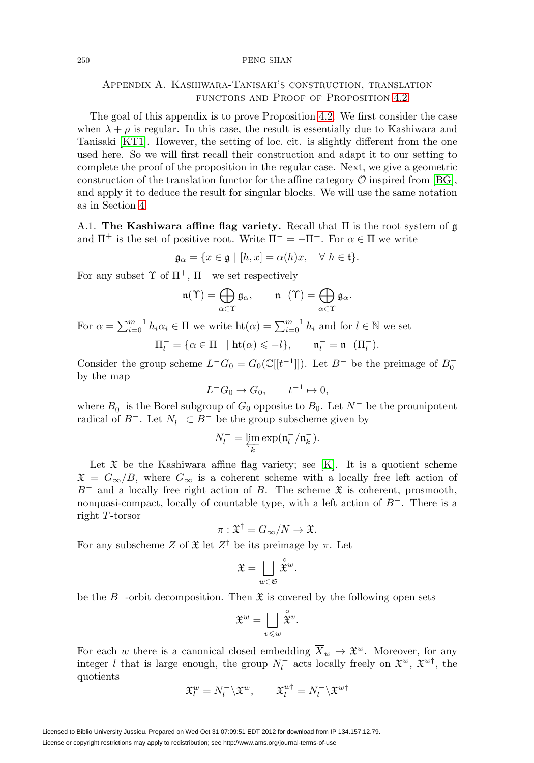#### 250 PENG SHAN

# Appendix A. Kashiwara-Tanisaki's construction, translation functors and Proof of Proposition [4.2](#page-26-0)

The goal of this appendix is to prove Proposition [4.2.](#page-26-0) We first consider the case when  $\lambda + \rho$  is regular. In this case, the result is essentially due to Kashiwara and Tanisaki [\[KT1\]](#page-56-11). However, the setting of loc. cit. is slightly different from the one used here. So we will first recall their construction and adapt it to our setting to complete the proof of the proposition in the regular case. Next, we give a geometric construction of the translation functor for the affine category  $\mathcal O$  inspired from [\[BG\]](#page-55-12), and apply it to deduce the result for singular blocks. We will use the same notation as in Section [4.](#page-23-0)

<span id="page-38-1"></span>A.1. **The Kashiwara affine flag variety.** Recall that Π is the root system of g and  $\Pi^+$  is the set of positive root. Write  $\Pi^- = -\Pi^+$ . For  $\alpha \in \Pi$  we write

$$
\mathfrak{g}_{\alpha} = \{ x \in \mathfrak{g} \mid [h, x] = \alpha(h)x, \quad \forall \ h \in \mathfrak{t} \}.
$$

For any subset  $\Upsilon$  of  $\Pi^+$ ,  $\Pi^-$  we set respectively

$$
\mathfrak{n}(\Upsilon)=\bigoplus_{\alpha\in\Upsilon}\mathfrak{g}_{\alpha},\qquad \mathfrak{n}^{-}(\Upsilon)=\bigoplus_{\alpha\in\Upsilon}\mathfrak{g}_{\alpha}.
$$

For  $\alpha = \sum_{i=0}^{m-1} h_i \alpha_i \in \Pi$  we write  $\text{ht}(\alpha) = \sum_{i=0}^{m-1} h_i$  and for  $l \in \mathbb{N}$  we set

$$
\Pi_l^- = \{ \alpha \in \Pi^- \mid \mathrm{ht}(\alpha) \leqslant -l \}, \qquad \mathfrak{n}_l^- = \mathfrak{n}^-(\Pi_l^-).
$$

Consider the group scheme  $L^-G_0 = G_0(\mathbb{C}[[t^{-1}]])$ . Let  $B^-$  be the preimage of  $B_0^$ by the map

$$
L^-G_0 \to G_0, \qquad t^{-1} \to 0,
$$

where  $B_0^-$  is the Borel subgroup of  $G_0$  opposite to  $B_0$ . Let  $N^-$  be the prounipotent radical of  $B^-$ . Let  $N_l^- \subset B^-$  be the group subscheme given by

$$
N_l^- = \varprojlim_k \exp(\mathfrak{n}_l^- / \mathfrak{n}_k^-).
$$

Let  $\mathfrak X$  be the Kashiwara affine flag variety; see [\[K\]](#page-56-23). It is a quotient scheme  $\mathfrak{X} = G_{\infty}/B$ , where  $G_{\infty}$  is a coherent scheme with a locally free left action of  $B^-$  and a locally free right action of B. The scheme  $\mathfrak X$  is coherent, prosmooth, nonquasi-compact, locally of countable type, with a left action of  $B^-$ . There is a right T-torsor

$$
\pi: \mathfrak{X}^{\dagger} = G_{\infty}/N \to \mathfrak{X}.
$$

For any subscheme Z of  $\mathfrak{X}$  let  $Z^{\dagger}$  be its preimage by  $\pi$ . Let

$$
\mathfrak{X} = \bigsqcup_{w \in \mathfrak{S}} \overset{\circ}{\mathfrak{X}}^w.
$$

be the B<sup>-</sup>-orbit decomposition. Then  $\mathfrak X$  is covered by the following open sets

$$
\mathfrak{X}^w=\bigsqcup_{v\leqslant w}\overset{\circ}{\mathfrak{X}}^v.
$$

For each w there is a canonical closed embedding  $\overline{X}_w \to \mathfrak{X}^w$ . Moreover, for any integer l that is large enough, the group  $N_l^-$  acts locally freely on  $\mathfrak{X}^w$ ,  $\mathfrak{X}^{w\dagger}$ , the quotients

$$
\mathfrak{X}_l^w = N_l^- \backslash \mathfrak{X}^w, \qquad \mathfrak{X}_l^{w\dagger} = N_l^- \backslash \mathfrak{X}^{w\dagger}
$$

<span id="page-38-0"></span>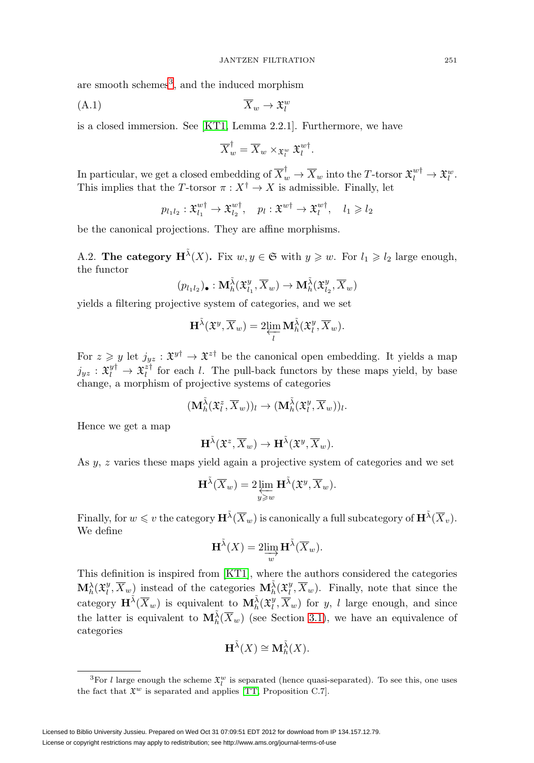are smooth schemes<sup>[3](#page-39-0)</sup>, and the induced morphism

<span id="page-39-1"></span>
$$
\overline{X}_w \to \mathfrak{X}_l^w
$$

is a closed immersion. See [\[KT1,](#page-56-11) Lemma 2.2.1]. Furthermore, we have

$$
\overline{X}_{w}^{\dagger} = \overline{X}_{w} \times_{\mathfrak{X}_{l}^{w}} \mathfrak{X}_{l}^{w\dagger}.
$$

In particular, we get a closed embedding of  $\overline{X}_{w}^{\dagger} \to \overline{X}_{w}$  into the T-torsor  $\mathfrak{X}_{l}^{w\dagger} \to \mathfrak{X}_{l}^{w}$ . This implies that the T-torsor  $\pi : X^{\dagger} \to X$  is admissible. Finally, let

$$
p_{l_1l_2}: \mathfrak{X}_{l_1}^{w\dagger} \to \mathfrak{X}_{l_2}^{w\dagger}, \quad p_l: \mathfrak{X}^{w\dagger} \to \mathfrak{X}_l^{w\dagger}, \quad l_1 \geqslant l_2
$$

be the canonical projections. They are affine morphisms.

A.2. **The category**  $\mathbf{H}^{\tilde{\lambda}}(X)$ **.** Fix  $w, y \in \mathfrak{S}$  with  $y \geq w$ . For  $l_1 \geq l_2$  large enough, the functor

$$
(p_{l_1l_2})_{\bullet} : \mathbf{M}_{h}^{\tilde{\lambda}}(\mathfrak{X}_{l_1}^y,\overline{X}_w) \to \mathbf{M}_{h}^{\tilde{\lambda}}(\mathfrak{X}_{l_2}^y,\overline{X}_w)
$$

yields a filtering projective system of categories, and we set

$$
\mathbf{H}^{\tilde{\lambda}}(\mathfrak{X}^y,\overline{X}_w)=2\underset{l}{\varprojlim}\,\mathbf{M}^{\tilde{\lambda}}_h(\mathfrak{X}^y_l,\overline{X}_w).
$$

For  $z \geq y$  let  $j_{yz} : \mathfrak{X}^{y\dagger} \to \mathfrak{X}^{z\dagger}$  be the canonical open embedding. It yields a map  $j_{yz}: \mathfrak{X}_l^{y\dagger} \to \mathfrak{X}_l^{z\dagger}$  for each l. The pull-back functors by these maps yield, by base change, a morphism of projective systems of categories

$$
(\mathbf{M}_{h}^{\tilde{\lambda}}(\mathfrak{X}_{l}^{z},\overline{X}_{w}))_{l}\rightarrow (\mathbf{M}_{h}^{\tilde{\lambda}}(\mathfrak{X}_{l}^{y},\overline{X}_{w}))_{l}.
$$

Hence we get a map

$$
\mathbf{H}^{\tilde{\lambda}}(\mathfrak{X}^z,\overline{X}_w)\to \mathbf{H}^{\tilde{\lambda}}(\mathfrak{X}^y,\overline{X}_w).
$$

As y, z varies these maps yield again a projective system of categories and we set

$$
\mathbf{H}^{\tilde{\lambda}}(\overline{X}_w) = 2 \varprojlim_{y \geqslant w} \mathbf{H}^{\tilde{\lambda}}(\mathfrak{X}^y, \overline{X}_w).
$$

Finally, for  $w \leqslant v$  the category  $\mathbf{H}^{\tilde{\lambda}}(\overline{X}_w)$  is canonically a full subcategory of  $\mathbf{H}^{\tilde{\lambda}}(\overline{X}_v)$ . We define

$$
\mathbf{H}^{\tilde{\lambda}}(X) = 2\lim_{w} \mathbf{H}^{\tilde{\lambda}}(\overline{X}_{w}).
$$

This definition is inspired from [\[KT1\]](#page-56-11), where the authors considered the categories  $\mathbf{M}_{h}^{\lambda}(\mathfrak{X}_{l}^{y}, \overline{X}_{w})$  instead of the categories  $\mathbf{M}_{h}^{\tilde{\lambda}}(\mathfrak{X}_{l}^{y}, \overline{X}_{w})$ . Finally, note that since the category  $\mathbf{H}^{\tilde{\lambda}}(\overline{X}_w)$  is equivalent to  $\mathbf{M}_{h}^{\tilde{\lambda}}(\mathfrak{X}_{l}^y, \overline{X}_w)$  for y, l large enough, and since the latter is equivalent to  $\mathbf{M}_{h}^{\tilde{\lambda}}(\overline{X}_{w})$  (see Section [3.1\)](#page-16-3), we have an equivalence of categories

$$
\mathbf{H}^{\tilde{\lambda}}(X) \cong \mathbf{M}_{h}^{\tilde{\lambda}}(X).
$$

<span id="page-39-0"></span><sup>&</sup>lt;sup>3</sup>For *l* large enough the scheme  $\mathfrak{X}_l^w$  is separated (hence quasi-separated). To see this, one uses the fact that  $\mathfrak{X}^w$  is separated and applies [\[TT,](#page-56-14) Proposition C.7].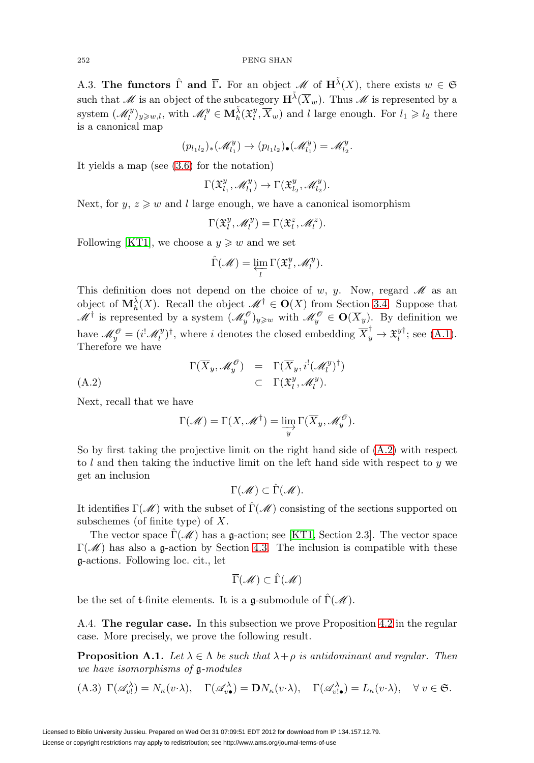A.3. **The functors**  $\hat{\Gamma}$  and  $\overline{\Gamma}$ . For an object M of  $\mathbf{H}^{\tilde{\lambda}}(X)$ , there exists  $w \in \mathfrak{S}$ such that  $\mathscr M$  is an object of the subcategory  $\mathbf{H}^{\tilde{\lambda}}(\overline{X}_w)$ . Thus  $\mathscr M$  is represented by a system  $(\mathscr{M}_l^y)_{y \geq w, l}$ , with  $\mathscr{M}_l^y \in \mathbf{M}_h^{\tilde{\lambda}}(\mathfrak{X}_l^y, \overline{X}_w)$  and l large enough. For  $l_1 \geqslant l_2$  there is a canonical map

$$
(p_{l_1l_2})_*(\mathcal{M}_{l_1}^y)\to (p_{l_1l_2})_*(\mathcal{M}_{l_1}^y)=\mathcal{M}_{l_2}^y.
$$

It yields a map (see [\(3.6\)](#page-18-2) for the notation)

$$
\Gamma(\mathfrak{X}_{l_1}^y,\mathscr{M}_{l_1}^y)\to \Gamma(\mathfrak{X}_{l_2}^y,\mathscr{M}_{l_2}^y).
$$

Next, for  $y, z \geq w$  and l large enough, we have a canonical isomorphism

$$
\Gamma(\mathfrak{X}_l^y,\mathscr{M}_l^y)=\Gamma(\mathfrak{X}_l^z,\mathscr{M}_l^z).
$$

Following [\[KT1\]](#page-56-11), we choose a  $y \geq w$  and we set

$$
\hat{\Gamma}(\mathscr{M}) = \varprojlim_l \Gamma(\mathfrak{X}_l^y, \mathscr{M}_l^y).
$$

This definition does not depend on the choice of w, y. Now, regard  $\mathcal M$  as an object of  $M_h^{\tilde{\lambda}}(X)$ . Recall the object  $\mathscr{M}^{\dagger} \in \mathbf{O}(X)$  from Section [3.4.](#page-18-3) Suppose that  $\mathscr{M}^{\dagger}$  is represented by a system  $(\mathscr{M}_y^{\mathscr{O}})_{y\geq w}$  with  $\mathscr{M}_y^{\mathscr{O}} \in \mathbf{O}(\overline{X}_y)$ . By definition we have  $\mathcal{M}_y^{\mathcal{O}} = (i^! \mathcal{M}_l^y)^{\dagger}$ , where i denotes the closed embedding  $\overline{X}_y^{\dagger} \to \mathfrak{X}_l^y{}^{\dagger}$ ; see [\(A.1\)](#page-39-1). Therefore we have

$$
\Gamma(\overline{X}_y, \mathscr{M}_y^{\mathscr{O}}) = \Gamma(\overline{X}_y, i^! (\mathscr{M}_l^y)^{\dagger})
$$
  
(A.2) 
$$
\subset \Gamma(\mathfrak{X}_l^y, \mathscr{M}_l^y).
$$

Next, recall that we have

<span id="page-40-0"></span>
$$
\Gamma(\mathscr{M}) = \Gamma(X, \mathscr{M}^{\dagger}) = \varinjlim_{y} \Gamma(\overline{X}_y, \mathscr{M}_y^{\mathscr{O}}).
$$

So by first taking the projective limit on the right hand side of [\(A.2\)](#page-40-0) with respect to l and then taking the inductive limit on the left hand side with respect to  $y$  we get an inclusion

$$
\Gamma(\mathscr{M}) \subset \hat{\Gamma}(\mathscr{M}).
$$

It identifies  $\Gamma(\mathcal{M})$  with the subset of  $\widehat{\Gamma}(\mathcal{M})$  consisting of the sections supported on subschemes (of finite type) of X.

The vector space  $\hat{\Gamma}(\mathscr{M})$  has a g-action; see [\[KT1,](#page-56-11) Section 2.3]. The vector space  $\Gamma(\mathcal{M})$  has also a g-action by Section [4.3.](#page-24-2) The inclusion is compatible with these g-actions. Following loc. cit., let

$$
\overline{\Gamma}(\mathscr{M})\subset \hat{\Gamma}(\mathscr{M})
$$

be the set of t-finite elements. It is a  $\mathfrak{q}$ -submodule of  $\hat{\Gamma}(\mathcal{M})$ .

A.4. **The regular case.** In this subsection we prove Proposition [4.2](#page-26-0) in the regular case. More precisely, we prove the following result.

<span id="page-40-1"></span>**Proposition A.1.** Let  $\lambda \in \Lambda$  be such that  $\lambda + \rho$  is antidominant and regular. Then we have isomorphisms of g-modules

(A.3) 
$$
\Gamma(\mathscr{A}_{v!}^{\lambda}) = N_{\kappa}(v \cdot \lambda), \quad \Gamma(\mathscr{A}_{v\bullet}^{\lambda}) = \mathbf{D}N_{\kappa}(v \cdot \lambda), \quad \Gamma(\mathscr{A}_{v \cdot \bullet}^{\lambda}) = L_{\kappa}(v \cdot \lambda), \quad \forall v \in \mathfrak{S}.
$$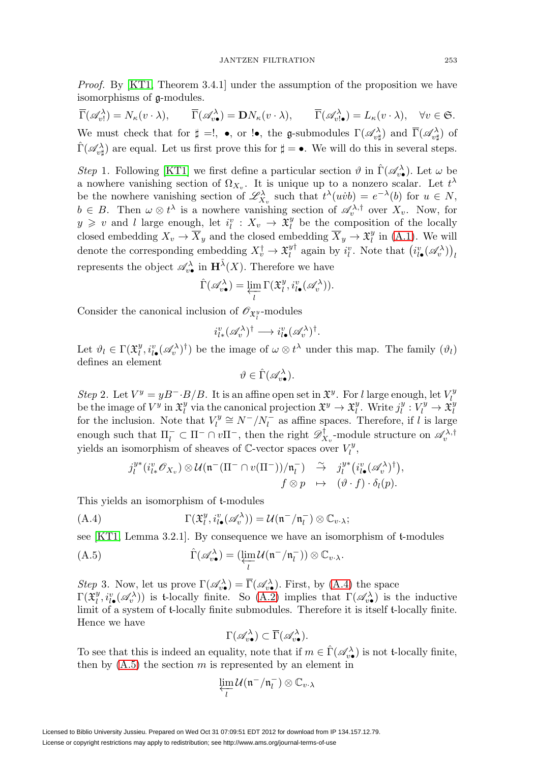Proof. By [\[KT1,](#page-56-11) Theorem 3.4.1] under the assumption of the proposition we have isomorphisms of g-modules.

 $\overline{\Gamma}(\mathscr{A}_{v\cdot}^{\lambda}) = N_{\kappa}(v \cdot \lambda), \qquad \overline{\Gamma}(\mathscr{A}_{v\bullet}^{\lambda}) = \mathbf{D}N_{\kappa}(v \cdot \lambda), \qquad \overline{\Gamma}(\mathscr{A}_{v\cdot \bullet}^{\lambda}) = L_{\kappa}(v \cdot \lambda), \quad \forall v \in \mathfrak{S}.$ We must check that for  $\sharp =!, \bullet, \text{ or } !\bullet,$  the g-submodules  $\Gamma(\mathscr{A}_{v\sharp}^{\lambda})$  and  $\overline{\Gamma}(\mathscr{A}_{v\sharp}^{\lambda})$  of  $\hat{\Gamma}(\mathscr{A}_{v\sharp}^{\lambda})$  are equal. Let us first prove this for  $\sharp = \bullet$ . We will do this in several steps.

Step 1. Following [\[KT1\]](#page-56-11) we first define a particular section  $\vartheta$  in  $\hat{\Gamma}(\mathscr{A}_{v\bullet})$ . Let  $\omega$  be a nowhere vanishing section of  $\Omega_{X_v}$ . It is unique up to a nonzero scalar. Let  $t^{\lambda}$ be the nowhere vanishing section of  $\mathscr{L}^{\lambda}_{X_v}$  such that  $t^{\lambda}(uvb) = e^{-\lambda}(b)$  for  $u \in N$ ,  $b \in B$ . Then  $\omega \otimes t^{\lambda}$  is a nowhere vanishing section of  $\mathscr{A}_{v}^{\lambda,\dagger}$  over  $X_{v}$ . Now, for  $y \geq v$  and l large enough, let  $i_l^v : X_v \to \tilde{X}_l^y$  be the composition of the locally closed embedding  $X_v \to \overline{X}_y$  and the closed embedding  $\overline{X}_y \to \mathfrak{X}_l^y$  in [\(A.1\)](#page-39-1). We will denote the corresponding embedding  $X_v^{\dagger} \to \mathfrak{X}_l^{y\dagger}$  again by  $i_l^v$ . Note that  $(i_{l\bullet}^v(\mathscr{A}_v^{\lambda}))_l$ represents the object  $\mathscr{A}_{v\bullet}^{\lambda}$  in  $\mathbf{H}^{\tilde{\lambda}}(X)$ . Therefore we have

$$
\widehat{\Gamma}(\mathscr{A}^{\lambda}_{v\bullet}) = \varprojlim_{l} \Gamma(\mathfrak{X}_{l}^{y}, i_{l\bullet}^{v}(\mathscr{A}^{\lambda}_{v})).
$$

Consider the canonical inclusion of  $\mathscr{O}_{\mathfrak{X}_l^y}$ -modules

$$
i_{l*}^v(\mathscr{A}_v^\lambda)^\dagger \longrightarrow i_{l\bullet}^v(\mathscr{A}_v^\lambda)^\dagger.
$$

Let  $\vartheta_l \in \Gamma(\mathfrak{X}_l^y, i_{l\bullet}^v(\mathscr{A}_v^{\lambda})^{\dagger})$  be the image of  $\omega \otimes t^{\lambda}$  under this map. The family  $(\vartheta_l)$ defines an element

$$
\vartheta \in \widehat{\Gamma}(\mathscr{A}_{v\bullet}^{\lambda}).
$$

Step 2. Let  $V^y = yB^- \cdot B/B$ . It is an affine open set in  $\mathfrak{X}^y$ . For l large enough, let  $V_l^y$ be the image of  $V^y$  in  $\mathfrak{X}_l^y$  via the canonical projection  $\mathfrak{X}^y\to\mathfrak{X}_l^y$ . Write  $j^y_l:V^y_l\to\mathfrak{X}_l^y$ for the inclusion. Note that  $V_l^y \cong N^-/N_l^-$  as affine spaces. Therefore, if l is large enough such that  $\Pi_l^- \subset \Pi^- \cap v \Pi^-$ , then the right  $\mathscr{D}^\dagger_{X_v}$ -module structure on  $\mathscr{A}_v^{\lambda, \dagger}$ yields an isomorphism of sheaves of  $\mathbb{C}$ -vector spaces over  $V_l^y$ ,

$$
j_l^{y*}(i_{l*}^v \mathscr{O}_{X_v}) \otimes \mathcal{U}(\mathfrak{n}^-(\Pi^- \cap v(\Pi^-))/\mathfrak{n}_l^-) \overset{\sim}{\to} j_l^{y*}(i_{l\bullet}^v(\mathscr{A}_v^{\lambda})^{\dagger}),
$$
  

$$
f \otimes p \mapsto (\vartheta \cdot f) \cdot \delta_l(p).
$$

This yields an isomorphism of t-modules

<span id="page-41-0"></span>(A.4) 
$$
\Gamma(\mathfrak{X}_l^y, i_{l\bullet}^v(\mathscr{A}_v^\lambda)) = \mathcal{U}(\mathfrak{n}^-/\mathfrak{n}_l^-) \otimes \mathbb{C}_{v \cdot \lambda};
$$

see [\[KT1,](#page-56-11) Lemma 3.2.1]. By consequence we have an isomorphism of t-modules

<span id="page-41-1"></span>(A.5) 
$$
\widehat{\Gamma}(\mathscr{A}_{v\bullet}^{\lambda}) = (\varprojlim_{l} \mathcal{U}(\mathfrak{n}^- / \mathfrak{n}_l^-)) \otimes \mathbb{C}_{v \cdot \lambda}.
$$

Step 3. Now, let us prove  $\Gamma(\mathscr{A}_{v\bullet}^{\lambda}) = \overline{\Gamma}(\mathscr{A}_{v\bullet}^{\lambda})$ . First, by [\(A.4\)](#page-41-0) the space  $\Gamma(\mathfrak{X}_{l}^y, i_{l\bullet}^v(\mathscr{A}_{v}^{\lambda}))$  is t-locally finite. So  $(A.2)$  implies that  $\Gamma(\mathscr{A}_{v\bullet}^{\lambda})$  is the inductive limit of a system of t-locally finite submodules. Therefore it is itself t-locally finite. Hence we have

$$
\Gamma(\mathscr{A}_{v\bullet}^{\lambda}) \subset \overline{\Gamma}(\mathscr{A}_{v\bullet}^{\lambda}).
$$

To see that this is indeed an equality, note that if  $m \in \hat{\Gamma}(\mathscr{A}_{v\bullet}^{\lambda})$  is not t-locally finite, then by  $(A.5)$  the section m is represented by an element in

$$
\varprojlim_l \mathcal{U}(\mathfrak{n}^-/\mathfrak{n}_l^-) \otimes \mathbb{C}_{v\cdot\lambda}
$$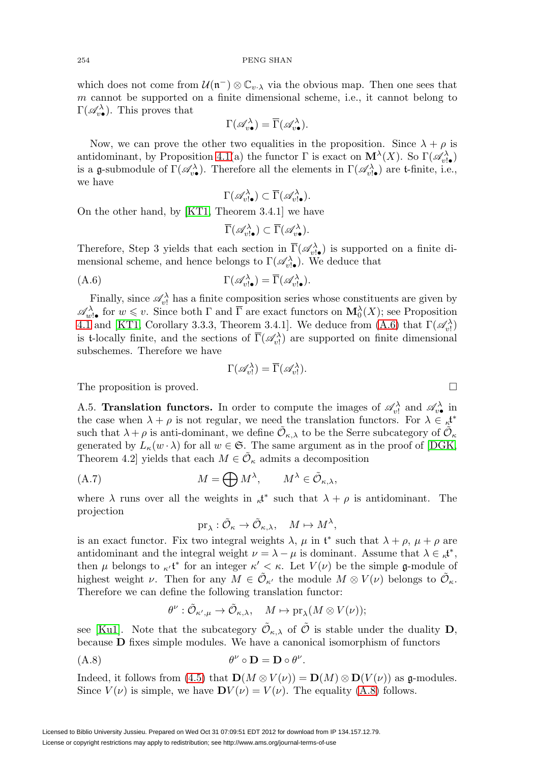which does not come from  $\mathcal{U}(\mathfrak{n}^-) \otimes \mathbb{C}_{v \cdot \lambda}$  via the obvious map. Then one sees that m cannot be supported on a finite dimensional scheme, i.e., it cannot belong to  $\Gamma(\mathscr{A}_{v\bullet}^{\lambda})$ . This proves that

$$
\Gamma(\mathscr{A}_{v\bullet}^{\lambda}) = \overline{\Gamma}(\mathscr{A}_{v\bullet}^{\lambda}).
$$

Now, we can prove the other two equalities in the proposition. Since  $\lambda + \rho$  is antidominant, by Proposition [4.1\(](#page-24-1)a) the functor  $\Gamma$  is exact on  $\mathbf{M}^{\lambda}(X)$ . So  $\Gamma(\mathscr{A}_{v|\bullet})$ is a g-submodule of  $\Gamma(\mathscr{A}_{v\bullet})$ . Therefore all the elements in  $\Gamma(\mathscr{A}_{v\bullet})$  are t-finite, i.e., we have

$$
\Gamma(\mathscr{A}_{v!\bullet}^\lambda)\subset \overline{\Gamma}(\mathscr{A}_{v!\bullet}^\lambda).
$$

On the other hand, by [\[KT1,](#page-56-11) Theorem 3.4.1] we have

$$
\overline{\Gamma}(\mathscr{A}_{v! \bullet}^{\lambda}) \subset \overline{\Gamma}(\mathscr{A}_{v \bullet}^{\lambda}).
$$

Therefore, Step 3 yields that each section in  $\overline{\Gamma}(\mathscr{A}_{v^{\dagger}\bullet}^{\lambda})$  is supported on a finite dimensional scheme, and hence belongs to  $\Gamma(\mathscr{A}_{v,\bullet}^{\lambda})$ . We deduce that

<span id="page-42-1"></span>
$$
\Gamma(\mathscr{A}_{v! \bullet}^{\lambda}) = \overline{\Gamma}(\mathscr{A}_{v! \bullet}^{\lambda}).
$$

Finally, since  $\mathscr{A}_{v}^{\lambda}$  has a finite composition series whose constituents are given by  $\mathscr{A}_{w}^{\lambda}$  for  $w \leq v$ . Since both  $\Gamma$  and  $\overline{\Gamma}$  are exact functors on  $\mathbf{M}_{0}^{\lambda}(X)$ ; see Proposition [4.1](#page-24-1) and [\[KT1,](#page-56-11) Corollary 3.3.3, Theorem 3.4.1]. We deduce from [\(A.6\)](#page-42-1) that  $\Gamma(\mathscr{A}_{v!}^{\lambda})$ is t-locally finite, and the sections of  $\overline{\Gamma}(\mathscr{A}_{v}^{\lambda})$  are supported on finite dimensional subschemes. Therefore we have

$$
\Gamma(\mathscr{A}_{v!}^{\lambda}) = \overline{\Gamma}(\mathscr{A}_{v!}^{\lambda}).
$$

The proposition is proved.

A.5. **Translation functors.** In order to compute the images of  $\mathscr{A}_{v}^{\lambda}$  and  $\mathscr{A}_{v}^{\lambda}$  in the case when  $\lambda + \rho$  is not regular, we need the translation functors. For  $\lambda \in \kappa^{*}$ such that  $\lambda + \rho$  is anti-dominant, we define  $\mathcal{O}_{\kappa,\lambda}$  to be the Serre subcategory of  $\mathcal{O}_{\kappa}$ generated by  $L_{\kappa}(w \cdot \lambda)$  for all  $w \in \mathfrak{S}$ . The same argument as in the proof of [\[DGK,](#page-55-13) Theorem 4.2] yields that each  $M \in \mathcal{O}_{\kappa}$  admits a decomposition

<span id="page-42-0"></span>(A.7) 
$$
M = \bigoplus M^{\lambda}, \qquad M^{\lambda} \in \tilde{\mathcal{O}}_{\kappa,\lambda},
$$

where  $\lambda$  runs over all the weights in  $\kappa^{*}$  such that  $\lambda + \rho$  is antidominant. The projection

$$
\mathrm{pr}_{\lambda}:\tilde{\mathcal{O}}_{\kappa}\to \tilde{\mathcal{O}}_{\kappa,\lambda},\quad M\mapsto M^{\lambda},
$$

is an exact functor. Fix two integral weights  $\lambda$ ,  $\mu$  in  $\mathfrak{t}^*$  such that  $\lambda + \rho$ ,  $\mu + \rho$  are antidominant and the integral weight  $\nu = \lambda - \mu$  is dominant. Assume that  $\lambda \in \mathcal{A}^*$ , then  $\mu$  belongs to  $\kappa^*$  for an integer  $\kappa' < \kappa$ . Let  $V(\nu)$  be the simple g-module of highest weight  $\nu$ . Then for any  $M \in \tilde{\mathcal{O}}_{\kappa'}$  the module  $M \otimes V(\nu)$  belongs to  $\tilde{\mathcal{O}}_{\kappa}$ . Therefore we can define the following translation functor:

$$
\theta^{\nu}: \tilde{\mathcal{O}}_{\kappa',\mu} \to \tilde{\mathcal{O}}_{\kappa,\lambda}, \quad M \mapsto \mathrm{pr}_{\lambda}(M \otimes V(\nu));
$$

see [\[Ku1\]](#page-56-24). Note that the subcategory  $\tilde{\mathcal{O}}_{\kappa,\lambda}$  of  $\tilde{\mathcal{O}}$  is stable under the duality **D**, because **D** fixes simple modules. We have a canonical isomorphism of functors

<span id="page-42-2"></span>
$$
\theta^{\nu} \circ \mathbf{D} = \mathbf{D} \circ \theta^{\nu}.
$$

Indeed, it follows from [\(4.5\)](#page-25-0) that  $\mathbf{D}(M \otimes V(\nu)) = \mathbf{D}(M) \otimes \mathbf{D}(V(\nu))$  as g-modules. Since  $V(\nu)$  is simple, we have  $\mathbf{D}V(\nu) = V(\nu)$ . The equality [\(A.8\)](#page-42-2) follows.

$$
\Box
$$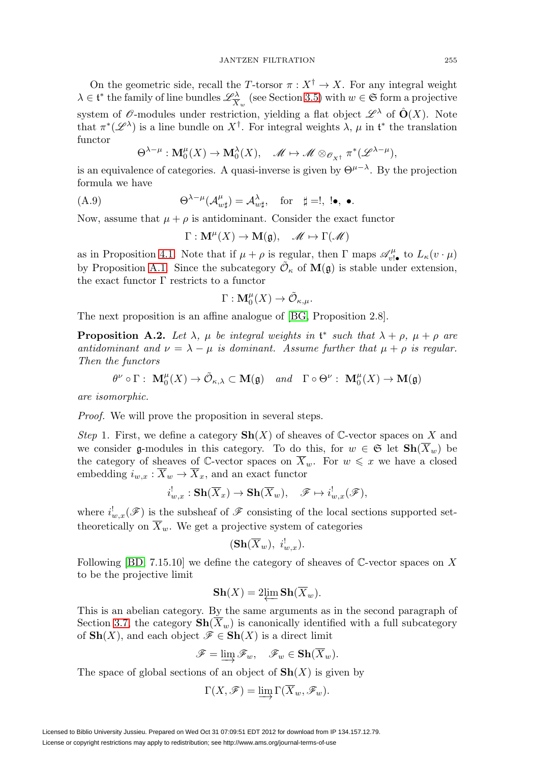On the geometric side, recall the T-torsor  $\pi : X^{\dagger} \to X$ . For any integral weight  $\lambda \in \mathfrak{t}^*$  the family of line bundles  $\mathscr{L}^{\lambda}_{\overline{X}_w}$  (see Section [3.5\)](#page-19-4) with  $w \in \mathfrak{S}$  form a projective system of  $\mathscr O$ -modules under restriction, yielding a flat object  $\mathscr L^\lambda$  of  $\hat O(X)$ . Note that  $\pi^*(\mathscr{L}^{\lambda})$  is a line bundle on  $X^{\dagger}$ . For integral weights  $\lambda, \mu$  in  $\mathfrak{t}^*$  the translation functor

$$
\Theta^{\lambda-\mu}: \mathbf{M}^{\mu}_0(X) \to \mathbf{M}^{\lambda}_0(X), \quad \mathscr{M} \mapsto \mathscr{M} \otimes_{\mathscr{O}_{X^{\dagger}}} \pi^*(\mathscr{L}^{\lambda-\mu}),
$$

is an equivalence of categories. A quasi-inverse is given by  $\Theta^{\mu-\lambda}$ . By the projection formula we have

<span id="page-43-1"></span>
$$
\Theta^{\lambda-\mu}(\mathcal{A}^{\mu}_{w\sharp})=\mathcal{A}^{\lambda}_{w\sharp}, \quad \text{for} \quad \sharp =!, \ \mathsf{!}\bullet,\ \bullet.
$$

Now, assume that  $\mu + \rho$  is antidominant. Consider the exact functor

$$
\Gamma: \mathbf{M}^{\mu}(X) \to \mathbf{M}(\mathfrak{g}), \quad \mathscr{M} \mapsto \Gamma(\mathscr{M})
$$

as in Proposition [4.1.](#page-24-1) Note that if  $\mu + \rho$  is regular, then  $\Gamma$  maps  $\mathscr{A}_{v! \bullet}^{\mu}$  to  $L_{\kappa}(v \cdot \mu)$ by Proposition [A.1.](#page-40-1) Since the subcategory  $\tilde{\mathcal{O}}_{\kappa}$  of  $\mathbf{M}(\mathfrak{g})$  is stable under extension, the exact functor  $\Gamma$  restricts to a functor

$$
\Gamma: \mathbf{M}^{\mu}_0(X) \to \tilde{\mathcal{O}}_{\kappa,\mu}.
$$

The next proposition is an affine analogue of [\[BG,](#page-55-12) Proposition 2.8].

<span id="page-43-0"></span>**Proposition A.2.** Let  $\lambda$ ,  $\mu$  be integral weights in  $\mathfrak{t}^*$  such that  $\lambda + \rho$ ,  $\mu + \rho$  are antidominant and  $\nu = \lambda - \mu$  is dominant. Assume further that  $\mu + \rho$  is regular. Then the functors

$$
\theta^{\nu} \circ \Gamma : \ \mathbf{M}_{0}^{\mu}(X) \to \tilde{\mathcal{O}}_{\kappa,\lambda} \subset \mathbf{M}(\mathfrak{g}) \quad and \quad \Gamma \circ \Theta^{\nu} : \ \mathbf{M}_{0}^{\mu}(X) \to \mathbf{M}(\mathfrak{g})
$$

are isomorphic.

Proof. We will prove the proposition in several steps.

Step 1. First, we define a category  $\mathbf{Sh}(X)$  of sheaves of C-vector spaces on X and we consider g-modules in this category. To do this, for  $w \in \mathfrak{S}$  let  $\mathbf{Sh}(X_w)$  be the category of sheaves of C-vector spaces on  $\overline{X}_w$ . For  $w \leq x$  we have a closed embedding  $i_{w,x}$ :  $\overline{X}_w \rightarrow \overline{X}_x$ , and an exact functor

$$
i^!_{w,x}: \mathbf{Sh}(\overline{X}_x) \to \mathbf{Sh}(\overline{X}_w), \quad \mathscr{F} \mapsto i^!_{w,x}(\mathscr{F}),
$$

where  $i^!_{w,x}(\mathscr{F})$  is the subsheaf of  $\mathscr{F}$  consisting of the local sections supported settheoretically on  $\overline{X}_w$ . We get a projective system of categories

$$
(\mathbf{Sh}(\overline{X}_{w}),\ i_{w,x}^{!}).
$$

Following  $[BD, 7.15.10]$  $[BD, 7.15.10]$  we define the category of sheaves of C-vector spaces on X to be the projective limit

$$
\mathbf{Sh}(X) = 2\underleftarrow{\lim} \mathbf{Sh}(\overline{X}_w).
$$

This is an abelian category. By the same arguments as in the second paragraph of Section [3.7,](#page-21-1) the category  $\mathbf{Sh}(\overline{X}_w)$  is canonically identified with a full subcategory of  $\textbf{Sh}(X)$ , and each object  $\mathscr{F} \in \textbf{Sh}(X)$  is a direct limit

$$
\mathscr{F} = \varinjlim \mathscr{F}_w, \quad \mathscr{F}_w \in \mathbf{Sh}(\overline{X}_w).
$$

The space of global sections of an object of  $\mathbf{Sh}(X)$  is given by

$$
\Gamma(X, \mathscr{F}) = \varinjlim \Gamma(\overline{X}_w, \mathscr{F}_w).
$$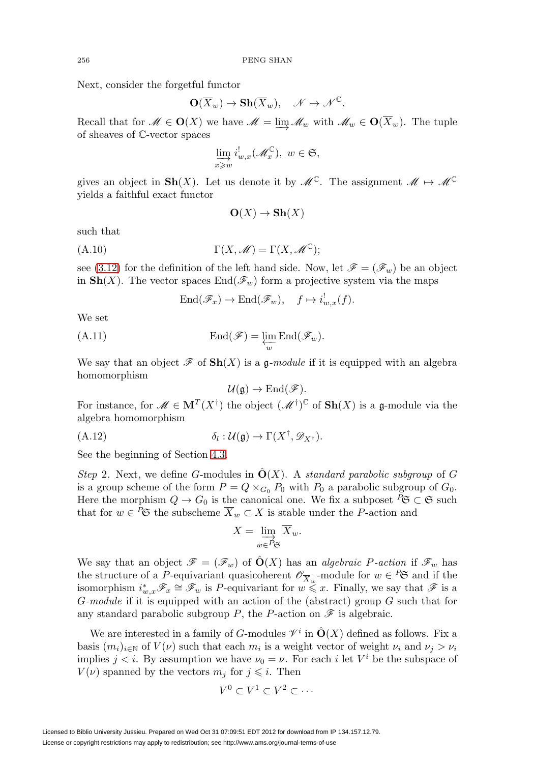Next, consider the forgetful functor

$$
\mathbf{O}(\overline{X}_w) \to \mathbf{Sh}(\overline{X}_w), \quad \mathscr{N} \mapsto \mathscr{N}^{\mathbb{C}}.
$$

Recall that for  $\mathscr{M} \in \mathbf{O}(X)$  we have  $\mathscr{M} = \lim \mathscr{M}_w$  with  $\mathscr{M}_w \in \mathbf{O}(\overline{X}_w)$ . The tuple of sheaves of C-vector spaces

$$
\varinjlim_{x\geq w} i^!_{w,x}(\mathscr{M}_x^{\mathbb{C}}),\ w\in \mathfrak{S},
$$

gives an object in **Sh**(X). Let us denote it by  $\mathscr{M}^{\mathbb{C}}$ . The assignment  $\mathscr{M} \mapsto \mathscr{M}^{\mathbb{C}}$ yields a faithful exact functor

$$
O(X) \to Sh(X)
$$

such that

(A.10) 
$$
\Gamma(X, \mathscr{M}) = \Gamma(X, \mathscr{M}^{\mathbb{C}});
$$

see [\(3.12\)](#page-21-2) for the definition of the left hand side. Now, let  $\mathscr{F} = (\mathscr{F}_w)$  be an object in  $\text{Sh}(X)$ . The vector spaces  $\text{End}(\mathscr{F}_w)$  form a projective system via the maps

$$
End(\mathscr{F}_x)\to End(\mathscr{F}_w),\quad f\mapsto i^!_{w,x}(f).
$$

We set

(A.11) 
$$
\operatorname{End}(\mathscr{F}) = \varprojlim_{w} \operatorname{End}(\mathscr{F}_{w}).
$$

We say that an object  $\mathscr F$  of  $\mathrm{Sh}(X)$  is a g-module if it is equipped with an algebra homomorphism

$$
\mathcal{U}(\mathfrak{g})\to \mathrm{End}(\mathscr{F}).
$$

For instance, for  $\mathcal{M} \in \mathbf{M}^T(X^{\dagger})$  the object  $(\mathcal{M}^{\dagger})^{\mathbb{C}}$  of  $\mathbf{Sh}(X)$  is a g-module via the algebra homomorphism

<span id="page-44-0"></span>
$$
\delta_l: \mathcal{U}(\mathfrak{g}) \to \Gamma(X^\dagger, \mathscr{D}_{X^\dagger}).
$$

See the beginning of Section [4.3.](#page-24-2)

Step 2. Next, we define G-modules in  $\ddot{O}(X)$ . A *standard parabolic subgroup* of G is a group scheme of the form  $P = Q \times_{G_0} P_0$  with  $P_0$  a parabolic subgroup of  $G_0$ . Here the morphism  $Q \to G_0$  is the canonical one. We fix a subposet  ${}^P \mathfrak{S} \subset \mathfrak{S}$  such that for  $w \in {}^P \mathfrak{S}$  the subscheme  $\overline{X}_w \subset X$  is stable under the P-action and

$$
X = \varinjlim_{w \in P_{\mathfrak{S}}} \overline{X}_w.
$$

We say that an object  $\mathscr{F} = (\mathscr{F}_w)$  of  $\hat{O}(X)$  has an *algebraic P-action* if  $\mathscr{F}_w$  has the structure of a P-equivariant quasicoherent  $\mathscr{O}_{\overline{X}_w}$ -module for  $w \in \mathbb{P}^{\mathfrak{S}}$  and if the isomorphism  $i_{w,x}^*\mathscr{F}_x \cong \mathscr{F}_w$  is P-equivariant for  $w \leq x$ . Finally, we say that  $\mathscr{F}$  is a  $G$ -module if it is equipped with an action of the (abstract) group  $G$  such that forany standard parabolic subgroup P, the P-action on  $\mathscr F$  is algebraic.

We are interested in a family of G-modules  $\mathscr{V}^i$  in  $\hat{O}(X)$  defined as follows. Fix a basis  $(m_i)_{i\in\mathbb{N}}$  of  $V(\nu)$  such that each  $m_i$  is a weight vector of weight  $\nu_i$  and  $\nu_j > \nu_i$ implies  $j < i$ . By assumption we have  $\nu_0 = \nu$ . For each i let V<sup>i</sup> be the subspace of  $V(\nu)$  spanned by the vectors  $m_j$  for  $j \leq i$ . Then

$$
V^0\subset V^1\subset V^2\subset\cdots
$$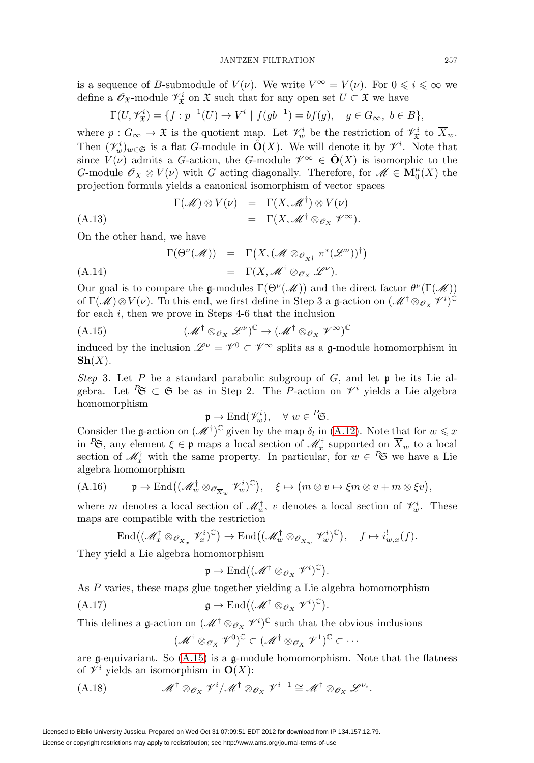is a sequence of B-submodule of  $V(\nu)$ . We write  $V^{\infty} = V(\nu)$ . For  $0 \leqslant i \leqslant \infty$  we define a  $\mathscr{O}_{\mathfrak{X}}$ -module  $\mathscr{V}_{\mathfrak{X}}^i$  on  $\mathfrak{X}$  such that for any open set  $U \subset \mathfrak{X}$  we have

$$
\Gamma(U, \mathscr{V}_{\mathfrak{X}}^i) = \{ f : p^{-1}(U) \to V^i \mid f(gb^{-1}) = bf(g), \quad g \in G_{\infty}, \ b \in B \},\
$$

where  $p: G_{\infty} \to \mathfrak{X}$  is the quotient map. Let  $\mathcal{V}^i_w$  be the restriction of  $\mathcal{V}^i_{\mathfrak{X}}$  to  $\overline{X}_w$ . Then  $(\mathcal{V}^i_w)_{w \in \mathfrak{S}}$  is a flat *G*-module in  $\hat{\mathbf{O}}(X)$ . We will denote it by  $\mathcal{V}^i$ . Note that since  $V(\nu)$  admits a G-action, the G-module  $\mathscr{V}^{\infty} \in \mathcal{O}(X)$  is isomorphic to the G-module  $\mathscr{O}_X \otimes V(\nu)$  with G acting diagonally. Therefore, for  $\mathscr{M} \in \mathbf{M}_{0}^{\mu}(X)$  the projection formula yields a canonical isomorphism of vector spaces

<span id="page-45-3"></span>
$$
\Gamma(\mathcal{M}) \otimes V(\nu) = \Gamma(X, \mathcal{M}^{\dagger}) \otimes V(\nu)
$$
\n
$$
= \Gamma(X, \mathcal{M}^{\dagger} \otimes_{\mathcal{O}_X} \mathcal{V}^{\infty}).
$$
\n(A.13)

On the other hand, we have

<span id="page-45-4"></span>
$$
\Gamma(\Theta^{\nu}(\mathcal{M})) = \Gamma\big(X, (\mathcal{M} \otimes_{\mathscr{O}_{X^{\dagger}}} \pi^*(\mathscr{L}^{\nu}))^{\dagger}\big)
$$
  
(A.14) =  $\Gamma(X, \mathcal{M}^{\dagger} \otimes_{\mathscr{O}_{X}} \mathscr{L}^{\nu}).$ 

Our goal is to compare the g-modules  $\Gamma(\Theta^{\nu}(\mathcal{M}))$  and the direct factor  $\theta^{\nu}(\Gamma(\mathcal{M}))$ of  $\Gamma(\mathcal{M})\otimes V(\nu)$ . To this end, we first define in Step 3 a g-action on  $(\mathcal{M}^\dagger \otimes_{\mathcal{O}_X} \mathcal{V}^i)^{\mathbb{C}}$ for each i, then we prove in Steps 4-6 that the inclusion

<span id="page-45-0"></span>
$$
(A.15) \qquad (\mathcal{M}^{\dagger} \otimes_{\mathcal{O}_X} \mathcal{L}^{\nu})^{\mathbb{C}} \to (\mathcal{M}^{\dagger} \otimes_{\mathcal{O}_X} \mathcal{V}^{\infty})^{\mathbb{C}}
$$

induced by the inclusion  $\mathscr{L}^{\nu} = \mathscr{V}^0 \subset \mathscr{V}^{\infty}$  splits as a q-module homomorphism in  $\mathbf{Sh}(X)$ .

Step 3. Let P be a standard parabolic subgroup of G, and let  $\mathfrak p$  be its Lie algebra. Let <sup>P</sup>S  $\subset$  S be as in Step 2. The P-action on  $\mathcal{V}^i$  yields a Lie algebra homomorphism

$$
\mathfrak{p} \to \mathrm{End}(\mathscr{V}_w^i), \quad \forall \ w \in \mathop{}_{\mathcal{C}}^P \mathfrak{S}.
$$

Consider the g-action on  $(\mathcal{M}^{\dagger})^{\mathbb{C}}$  given by the map  $\delta_l$  in [\(A.12\)](#page-44-0). Note that for  $w \leq x$ in  ${}^P\mathfrak{S}$ , any element  $\xi \in \mathfrak{p}$  maps a local section of  $\mathcal{M}_x^{\dagger}$  supported on  $\overline{X}_w$  to a local section of  $\mathscr{M}_x^{\dagger}$  with the same property. In particular, for  $w \in \tilde{P}$  we have a Lie algebra homomorphism

<span id="page-45-1"></span>(A.16) 
$$
\mathfrak{p} \to \text{End}((\mathcal{M}_w^{\dagger} \otimes_{\mathcal{O}_{\overline{X}_w}} \mathcal{V}_w^i)^{\mathbb{C}}), \quad \xi \mapsto (m \otimes v \mapsto \xi m \otimes v + m \otimes \xi v),
$$

where m denotes a local section of  $\mathscr{M}^{\dagger}_w$ , v denotes a local section of  $\mathscr{V}^i_w$ . These maps are compatible with the restriction

$$
\operatorname{End}\bigl((\mathscr{M}_x^{\dagger} \otimes_{\mathscr{O}_{\overline{X}_x}} \mathscr{V}_x^{i})^{\mathbb{C}}\bigr) \to \operatorname{End}\bigl((\mathscr{M}_w^{\dagger} \otimes_{\mathscr{O}_{\overline{X}_w}} \mathscr{V}_w^{i})^{\mathbb{C}}\bigr), \quad f \mapsto i_{w,x}^! (f).
$$

They yield a Lie algebra homomorphism

$$
\mathfrak{p} \to \mathrm{End} \big((\mathscr{M}^\dagger \otimes_{\mathscr{O}_X} \mathscr{V}^i)^\mathbb{C}\big).
$$

As P varies, these maps glue together yielding a Lie algebra homomorphism

(A.17) 
$$
\mathfrak{g} \to \mathrm{End}((\mathscr{M}^\dagger \otimes_{\mathscr{O}_X} \mathscr{V}^i)^\mathbb{C}).
$$

This defines a g-action on  $(\mathscr{M}^\dagger \otimes_{\mathscr{O}_X} \mathscr{V}^i)^\mathbb{C}$  such that the obvious inclusions

$$
(\mathscr{M}^\dagger \otimes_{\mathscr{O}_X} \mathscr{V}^0)^\mathbb{C} \subset (\mathscr{M}^\dagger \otimes_{\mathscr{O}_X} \mathscr{V}^1)^\mathbb{C} \subset \cdots
$$

are g-equivariant. So  $(A.15)$  is a g-module homomorphism. Note that the flatness of  $\mathscr{V}^i$  yields an isomorphism in  $\mathbf{O}(X)$ :

<span id="page-45-2"></span>(A.18) 
$$
\mathscr{M}^{\dagger} \otimes_{\mathscr{O}_X} \mathscr{V}^i / \mathscr{M}^{\dagger} \otimes_{\mathscr{O}_X} \mathscr{V}^{i-1} \cong \mathscr{M}^{\dagger} \otimes_{\mathscr{O}_X} \mathscr{L}^{\nu_i}.
$$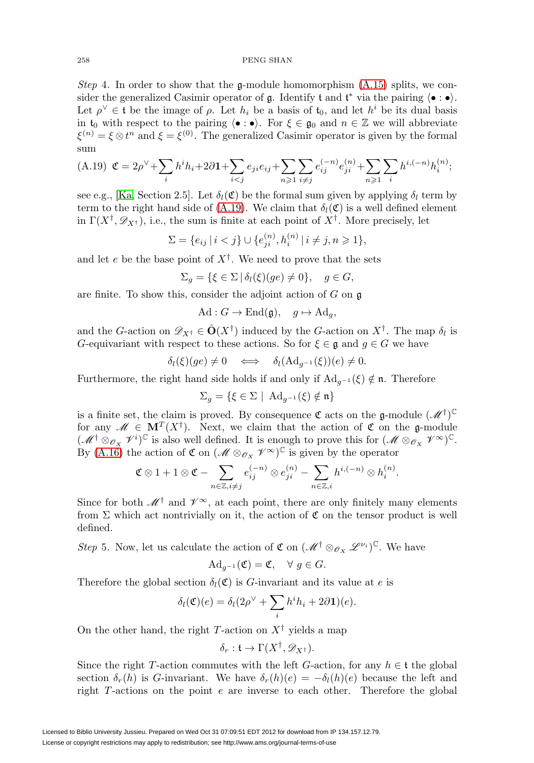Step 4. In order to show that the g-module homomorphism  $(A.15)$  splits, we consider the generalized Casimir operator of  $\mathfrak g$ . Identify  $\mathfrak t$  and  $\mathfrak t^*$  via the pairing  $\langle \bullet : \bullet \rangle$ . Let  $\rho^{\vee} \in \mathfrak{t}$  be the image of  $\rho$ . Let  $h_i$  be a basis of  $\mathfrak{t}_0$ , and let  $h^i$  be its dual basis in  $t_0$  with respect to the pairing  $\langle \bullet : \bullet \rangle$ . For  $\xi \in \mathfrak{g}_0$  and  $n \in \mathbb{Z}$  we will abbreviate  $\xi^{(n)} = \xi \otimes t^n$  and  $\xi = \xi^{(0)}$ . The generalized Casimir operator is given by the formal sum

<span id="page-46-0"></span>
$$
\text{(A.19) $\mathfrak{C} = 2\rho^{\vee} + \sum_{i} h^{i}h_{i} + 2\partial \mathbf{1} + \sum_{i < j} e_{ji}e_{ij} + \sum_{n \geqslant 1} \sum_{i \neq j} e_{ij}^{(-n)} e_{ji}^{(n)} + \sum_{n \geqslant 1} \sum_{i} h^{i, (-n)} h_{i}^{(n)}$};
$$

see e.g., [\[Ka,](#page-56-25) Section 2.5]. Let  $\delta_l(\mathfrak{C})$  be the formal sum given by applying  $\delta_l$  term by term to the right hand side of [\(A.19\)](#page-46-0). We claim that  $\delta_l(\mathfrak{C})$  is a well defined element in  $\Gamma(X^{\dagger}, \mathscr{D}_{X^{\dagger}})$ , i.e., the sum is finite at each point of  $X^{\dagger}$ . More precisely, let

$$
\Sigma = \{e_{ij} \mid i < j\} \cup \{e_{ji}^{(n)}, h_i^{(n)} \mid i \neq j, n \geq 1\},\
$$

and let e be the base point of  $X^{\dagger}$ . We need to prove that the sets

$$
\Sigma_g = \{ \xi \in \Sigma \, | \, \delta_l(\xi)(ge) \neq 0 \}, \quad g \in G,
$$

are finite. To show this, consider the adjoint action of  $G$  on  $\mathfrak g$ 

$$
\mathrm{Ad}: G \to \mathrm{End}(\mathfrak{g}), \quad g \mapsto \mathrm{Ad}_g,
$$

and the G-action on  $\mathscr{D}_{X^{\dagger}} \in \hat{O}(X^{\dagger})$  induced by the G-action on  $X^{\dagger}$ . The map  $\delta_l$  is G-equivariant with respect to these actions. So for  $\xi \in \mathfrak{g}$  and  $g \in G$  we have

$$
\delta_l(\xi)(ge) \neq 0 \iff \delta_l(\mathrm{Ad}_{g^{-1}}(\xi))(e) \neq 0.
$$

Furthermore, the right hand side holds if and only if  $Ad_{a^{-1}}(\xi) \notin \mathfrak{n}$ . Therefore

$$
\Sigma_g = \{ \xi \in \Sigma \mid \ \mathrm{Ad}_{g^{-1}}(\xi) \notin \mathfrak{n} \}
$$

is a finite set, the claim is proved. By consequence  $\mathfrak{C}$  acts on the g-module  $(\mathcal{M}^{\dagger})^{\mathbb{C}}$ for any  $\mathscr{M} \in \mathbf{M}^{T}(X^{\dagger})$ . Next, we claim that the action of  $\mathfrak{C}$  on the g-module  $(\mathscr{M}^\dagger \otimes_{\mathscr{O}_X} \mathscr{V}^i)^\mathbb{C}$  is also well defined. It is enough to prove this for  $(\mathscr{M} \otimes_{\mathscr{O}_X} \mathscr{V}^\infty)^\mathbb{C}$ . By [\(A.16\)](#page-45-1) the action of  $\mathfrak{C}$  on  $(\mathcal{M} \otimes_{\mathcal{O}_X} \mathcal{V}^{\infty})^{\mathbb{C}}$  is given by the operator

$$
\mathfrak{C} \otimes 1 + 1 \otimes \mathfrak{C} - \sum_{n \in \mathbb{Z}, i \neq j} e_{ij}^{(-n)} \otimes e_{ji}^{(n)} - \sum_{n \in \mathbb{Z}, i} h^{i, (-n)} \otimes h_i^{(n)}.
$$

Since for both  $\mathscr{M}^\dagger$  and  $\mathscr{V}^\infty$ , at each point, there are only finitely many elements from  $\Sigma$  which act nontrivially on it, the action of  $\mathfrak C$  on the tensor product is well defined.

Step 5. Now, let us calculate the action of  $\mathfrak{C}$  on  $(\mathcal{M}^{\dagger} \otimes_{\mathcal{O}_X} \mathcal{L}^{\nu_i})^{\mathbb{C}}$ . We have

$$
\mathrm{Ad}_{g^{-1}}(\mathfrak{C}) = \mathfrak{C}, \quad \forall \ g \in G.
$$

Therefore the global section  $\delta_l(\mathfrak{C})$  is G-invariant and its value at e is

$$
\delta_l(\mathfrak{C})(e) = \delta_l(2\rho^{\vee} + \sum_i h^i h_i + 2\partial \mathbf{1})(e).
$$

On the other hand, the right T-action on  $X^{\dagger}$  yields a map

$$
\delta_r: \mathfrak{t} \to \Gamma(X^{\dagger}, \mathscr{D}_{X^{\dagger}}).
$$

Since the right T-action commutes with the left G-action, for any  $h \in \mathfrak{t}$  the global section  $\delta_r(h)$  is G-invariant. We have  $\delta_r(h)(e) = -\delta_l(h)(e)$  because the left and right T-actions on the point e are inverse to each other. Therefore the global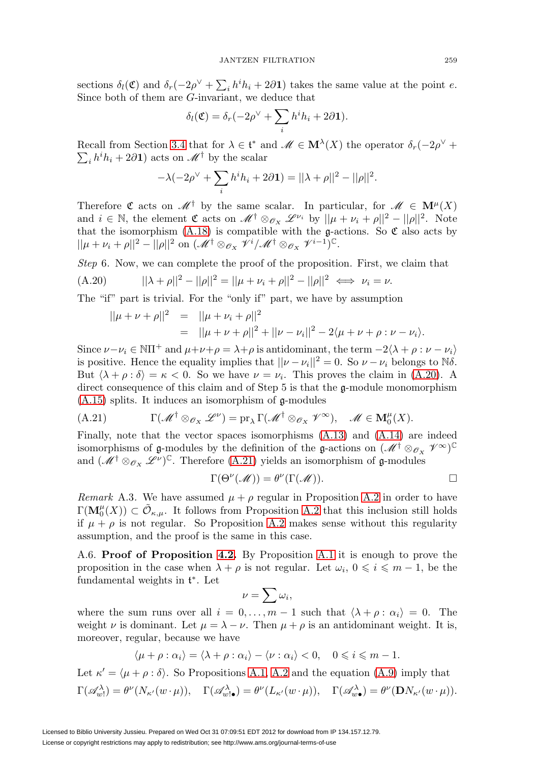sections  $\delta_l(\mathfrak{C})$  and  $\delta_r(-2\rho^{\vee} + \sum_i h^i h_i + 2\partial \mathbf{1})$  takes the same value at the point e. Since both of them are G-invariant, we deduce that

$$
\delta_l(\mathfrak{C}) = \delta_r(-2\rho^{\vee} + \sum_i h^i h_i + 2\partial \mathbf{1}).
$$

Recall from Section [3.4](#page-18-3) that for  $\lambda \in \mathfrak{t}^*$  and  $\mathcal{M} \in \mathbf{M}^{\lambda}(X)$  the operator  $\delta_r(-2\rho^{\vee} + \sum_i h^i h_i + 2\partial \mathbf{1})$  acts on  $\mathcal{M}^{\dagger}$  by the scalar  $i_h h^i h_i + 2\partial \mathbf{1}$  acts on  $\mathscr{M}^{\dagger}$  by the scalar

$$
-\lambda(-2\rho^{\vee} + \sum_i h^i h_i + 2\partial \mathbf{1}) = ||\lambda + \rho||^2 - ||\rho||^2.
$$

Therefore C acts on  $\mathcal{M}^{\dagger}$  by the same scalar. In particular, for  $\mathcal{M} \in \mathbf{M}^{\mu}(X)$ and  $i \in \mathbb{N}$ , the element  $\mathfrak{C}$  acts on  $\mathcal{M}^{\dagger} \otimes_{\mathcal{O}_X} \mathcal{L}^{\nu_i}$  by  $||\mu + \nu_i + \rho||^2 - ||\rho||^2$ . Note that the isomorphism  $(A.18)$  is compatible with the g-actions. So  $\mathfrak C$  also acts by  $||\mu + \nu_i + \rho||^2 - ||\rho||^2$  on  $(\mathscr{M}^\dagger \otimes_{\mathscr{O}_X} \mathscr{V}^i/\mathscr{M}^\dagger \otimes_{\mathscr{O}_X} \mathscr{V}^{i-1})^{\mathbb{C}}$ .

Step 6. Now, we can complete the proof of the proposition. First, we claim that

<span id="page-47-0"></span>(A.20) 
$$
||\lambda + \rho||^2 - ||\rho||^2 = ||\mu + \nu_i + \rho||^2 - ||\rho||^2 \iff \nu_i = \nu.
$$

The "if" part is trivial. For the "only if" part, we have by assumption

$$
||\mu + \nu + \rho||^2 = ||\mu + \nu_i + \rho||^2
$$
  
= 
$$
||\mu + \nu + \rho||^2 + ||\nu - \nu_i||^2 - 2\langle \mu + \nu + \rho : \nu - \nu_i \rangle.
$$

Since  $\nu-\nu_i \in \mathbb{N}\Pi^+$  and  $\mu+\nu+\rho=\lambda+\rho$  is antidominant, the term  $-2\langle \lambda+\rho:\nu-\nu_i \rangle$ is positive. Hence the equality implies that  $||\nu - \nu_i||^2 = 0$ . So  $\nu - \nu_i$  belongs to N $\delta$ . But  $\langle \lambda + \rho : \delta \rangle = \kappa < 0$ . So we have  $\nu = \nu_i$ . This proves the claim in [\(A.20\)](#page-47-0). A direct consequence of this claim and of Step 5 is that the g-module monomorphism [\(A.15\)](#page-45-0) splits. It induces an isomorphism of g-modules

<span id="page-47-1"></span>(A.21) 
$$
\Gamma(\mathscr{M}^\dagger \otimes_{\mathscr{O}_X} \mathscr{L}^\nu) = \mathrm{pr}_{\lambda} \Gamma(\mathscr{M}^\dagger \otimes_{\mathscr{O}_X} \mathscr{V}^\infty), \quad \mathscr{M} \in \mathbf{M}_0^\mu(X).
$$

Finally, note that the vector spaces isomorphisms [\(A.13\)](#page-45-3) and [\(A.14\)](#page-45-4) are indeed isomorphisms of  $\mathfrak g$ -modules by the definition of the  $\mathfrak g$ -actions on  $(\mathscr M^\dagger\otimes_{\mathscr O_X}\mathscr V^\infty)^\mathbb C$ and  $(\mathcal{M}^{\dagger} \otimes_{\mathcal{O}_X} \mathcal{L}^{\nu})^{\mathbb{C}}$ . Therefore [\(A.21\)](#page-47-1) yields an isomorphism of  $\mathfrak{g}$ -modules

$$
\Gamma(\Theta^{\nu}(\mathcal{M})) = \theta^{\nu}(\Gamma(\mathcal{M})).
$$

Remark A.3. We have assumed  $\mu + \rho$  regular in Proposition [A.2](#page-43-0) in order to have  $\Gamma(\mathbf{M}_{0}^{\mu}(X)) \subset \tilde{\mathcal{O}}_{\kappa,\mu}$ . It follows from Proposition [A.2](#page-43-0) that this inclusion still holds if  $\mu + \rho$  is not regular. So Proposition [A.2](#page-43-0) makes sense without this regularity assumption, and the proof is the same in this case.

A.6. **Proof of Proposition [4.2.](#page-26-0)** By Proposition [A.1](#page-40-1) it is enough to prove the proposition in the case when  $\lambda + \rho$  is not regular. Let  $\omega_i$ ,  $0 \leq i \leq m - 1$ , be the fundamental weights in  $\mathfrak{t}^*$ . Let

$$
\nu=\sum\omega_i,
$$

where the sum runs over all  $i = 0, \ldots, m - 1$  such that  $\langle \lambda + \rho : \alpha_i \rangle = 0$ . The weight  $\nu$  is dominant. Let  $\mu = \lambda - \nu$ . Then  $\mu + \rho$  is an antidominant weight. It is, moreover, regular, because we have

$$
\langle \mu + \rho : \alpha_i \rangle = \langle \lambda + \rho : \alpha_i \rangle - \langle \nu : \alpha_i \rangle < 0, \quad 0 \leq i \leq m - 1.
$$

Let  $\kappa' = \langle \mu + \rho : \delta \rangle$ . So Propositions [A.1,](#page-40-1) [A.2](#page-43-0) and the equation [\(A.9\)](#page-43-1) imply that  $\Gamma(\mathscr{A}_{w}^{\lambda}) = \theta^{\nu}(N_{\kappa'}(w \cdot \mu)), \quad \Gamma(\mathscr{A}_{w \cdot \bullet}^{\lambda}) = \theta^{\nu}(L_{\kappa'}(w \cdot \mu)), \quad \Gamma(\mathscr{A}_{w \cdot \bullet}^{\lambda}) = \theta^{\nu}(\mathbf{D}N_{\kappa'}(w \cdot \mu)).$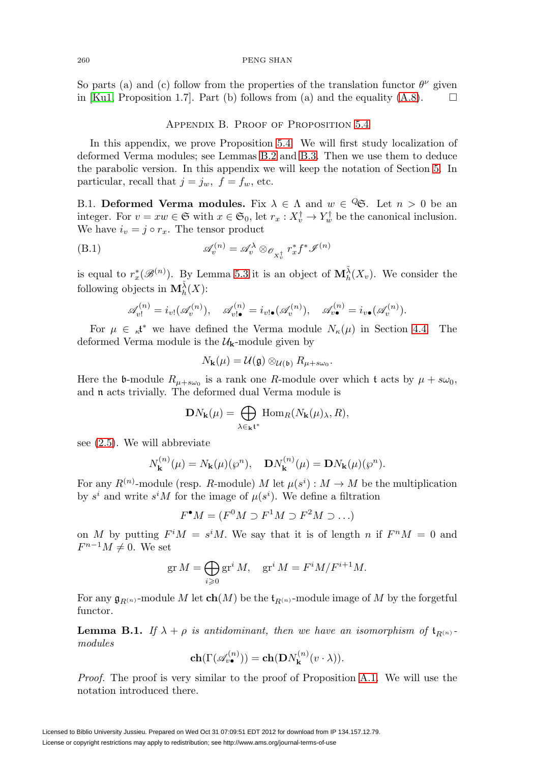<span id="page-48-0"></span>So parts (a) and (c) follow from the properties of the translation functor  $\theta^{\nu}$  given in [\[Ku1,](#page-56-24) Proposition 1.7]. Part (b) follows from (a) and the equality [\(A.8\)](#page-42-2).  $\Box$ 

## Appendix B. Proof of Proposition [5.4](#page-31-0)

In this appendix, we prove Proposition [5.4.](#page-31-0) We will first study localization of deformed Verma modules; see Lemmas [B.2](#page-50-0) and [B.3.](#page-51-0) Then we use them to deduce the parabolic version. In this appendix we will keep the notation of Section [5.](#page-28-0) In particular, recall that  $j = j_w$ ,  $f = f_w$ , etc.

B.1. **Deformed Verma modules.** Fix  $\lambda \in \Lambda$  and  $w \in \mathcal{C}$ . Let  $n > 0$  be an integer. For  $v = xw \in \mathfrak{S}$  with  $x \in \mathfrak{S}_0$ , let  $r_x : X_v^{\dagger} \to Y_w^{\dagger}$  be the canonical inclusion. We have  $i_v = j \circ r_x$ . The tensor product

(B.1) 
$$
\mathscr{A}_{v}^{(n)} = \mathscr{A}_{v}^{\lambda} \otimes_{\mathscr{O}_{X_{v}^{\dagger}}} r_{x}^{*} f^{*} \mathscr{I}^{(n)}
$$

is equal to  $r_x^*(\mathscr{B}^{(n)})$ . By Lemma [5.3](#page-30-0) it is an object of  $\mathbf{M}_h^{\tilde{\lambda}}(X_v)$ . We consider the following objects in  $\mathbf{M}_{h}^{\tilde{\lambda}}(X)$ :

$$
\mathscr{A}_{v!}^{(n)}=i_{v!}(\mathscr{A}_{v}^{(n)}),\quad \mathscr{A}_{v!\bullet}^{(n)}=i_{v!\bullet}(\mathscr{A}_{v}^{(n)}),\quad \mathscr{A}_{v\bullet}^{(n)}=i_{v\bullet}(\mathscr{A}_{v}^{(n)}).
$$

For  $\mu \in \mathcal{A}^*$  we have defined the Verma module  $N_{\kappa}(\mu)$  in Section [4.4.](#page-25-1) The deformed Verma module is the  $\mathcal{U}_k$ -module given by

$$
N_{\mathbf{k}}(\mu)=\mathcal{U}(\mathfrak{g})\otimes_{\mathcal{U}(\mathfrak{b})}R_{\mu+s\omega_0}.
$$

Here the b-module  $R_{\mu+ s\omega_0}$  is a rank one R-module over which t acts by  $\mu + s\omega_0$ , and n acts trivially. The deformed dual Verma module is

$$
\mathbf{D} N_{\mathbf{k}}(\mu) = \bigoplus_{\lambda \in_{\mathbf{k}} \mathfrak{t}^*} \mathrm{Hom}_R(N_{\mathbf{k}}(\mu)_{\lambda}, R),
$$

see [\(2.5\)](#page-8-3). We will abbreviate

$$
N_{\mathbf{k}}^{(n)}(\mu) = N_{\mathbf{k}}(\mu)(\wp^n), \quad \mathbf{D}N_{\mathbf{k}}^{(n)}(\mu) = \mathbf{D}N_{\mathbf{k}}(\mu)(\wp^n).
$$

For any  $R^{(n)}$ -module (resp. R-module) M let  $\mu(s^i) : M \to M$  be the multiplication by  $s^i$  and write  $s^iM$  for the image of  $\mu(s^i)$ . We define a filtration

 $F^{\bullet}M = (F^0M \supset F^1M \supset F^2M \supset \ldots)$ 

on M by putting  $F^iM = s^iM$ . We say that it is of length n if  $F^nM = 0$  and  $F^{n-1}M \neq 0$ . We set

$$
\operatorname{gr} M = \bigoplus_{i \geqslant 0} \operatorname{gr}^i M, \quad \operatorname{gr}^i M = F^i M / F^{i+1} M.
$$

For any  $\mathfrak{g}_{R(n)}$ -module M let  $\mathbf{ch}(M)$  be the  $\mathfrak{t}_{R(n)}$ -module image of M by the forgetful functor.

<span id="page-48-1"></span>**Lemma B.1.** If  $\lambda + \rho$  is antidominant, then we have an isomorphism of  $\mathbf{t}_{R(n)}$ . modules

$$
\mathbf{ch}(\Gamma(\mathscr{A}_v^{(n)})) = \mathbf{ch}(\mathbf{D}N_{\mathbf{k}}^{(n)}(v \cdot \lambda)).
$$

Proof. The proof is very similar to the proof of Proposition [A.1.](#page-40-1) We will use the notation introduced there.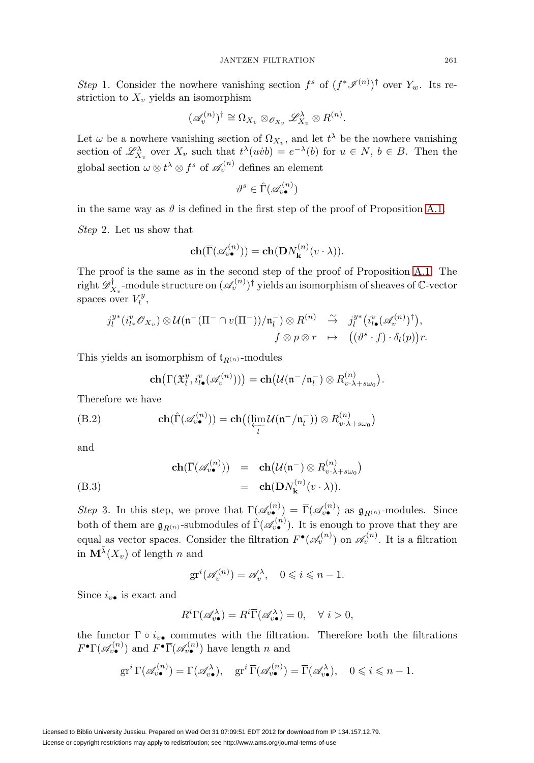Step 1. Consider the nowhere vanishing section  $f^s$  of  $(f^*\mathscr{I}^{(n)})^{\dagger}$  over  $Y_w$ . Its restriction to  $X_v$  yields an isomorphism

$$
(\mathscr{A}_v^{(n)})^{\dagger} \cong \Omega_{X_v} \otimes_{\mathscr{O}_{X_v}} \mathscr{L}_{X_v}^{\lambda} \otimes R^{(n)}.
$$

Let  $\omega$  be a nowhere vanishing section of  $\Omega_{X_v}$ , and let  $t^{\lambda}$  be the nowhere vanishing section of  $\mathscr{L}^{\lambda}_{X_v}$  over  $X_v$  such that  $t^{\lambda}(uvb) = e^{-\lambda}(b)$  for  $u \in N$ ,  $b \in B$ . Then the global section  $\omega \otimes t^{\lambda} \otimes f^s$  of  $\mathscr{A}_{v}^{(n)}$  defines an element

$$
\vartheta^s\in\hat{\Gamma}(\mathscr{A}_{v\bullet}^{(n)})
$$

in the same way as  $\vartheta$  is defined in the first step of the proof of Proposition [A.1.](#page-40-1)

Step 2. Let us show that

$$
\mathbf{ch}(\overline{\Gamma}(\mathscr{A}_{v\bullet}^{(n)})) = \mathbf{ch}(\mathbf{D}N_{\mathbf{k}}^{(n)}(v \cdot \lambda)).
$$

The proof is the same as in the second step of the proof of Proposition [A.1.](#page-40-1) The right  $\mathscr{D}^{\dagger}_{X_v}$ -module structure on  $(\mathscr{A}_v^{(n)})^{\dagger}$  yields an isomorphism of sheaves of C-vector spaces over  $V_l^y$ ,

$$
\begin{array}{ccc}j_{l}^{y*}(i_{l*}^{v}\mathscr{O}_{X_{v}})\otimes\mathcal{U}(\mathfrak{n}^{-}(\Pi^{-}\cap v(\Pi^{-}))/\mathfrak{n}_{l}^{-})\otimes R^{(n)}&\stackrel{\sim}{\to}&j_{l}^{y*}\big(i_{l\bullet}^{v}(\mathscr{A}_{v}^{(n)})^{\dagger}\big),\\ f\otimes p\otimes r&\mapsto&\big((\vartheta^{s}\cdot f)\cdot\delta_{l}(p)\big)r.\end{array}
$$

This yields an isomorphism of  $\mathfrak{t}_{R(n)}$ -modules

$$
\mathbf{ch}\big(\Gamma(\mathfrak{X}_{l}^{y},i_{l\bullet}^{v}(\mathscr{A}_{v}^{(n)}))\big)=\mathbf{ch}\big(\mathcal{U}(\mathfrak{n}^-/\mathfrak{n}_l^-)\otimes R_{v\cdot\lambda+s\omega_0}^{(n)}\big).
$$

Therefore we have

(B.2) 
$$
\mathbf{ch}(\hat{\Gamma}(\mathscr{A}_{v\bullet}^{(n)})) = \mathbf{ch}((\varprojlim_{l} \mathcal{U}(\mathfrak{n}^-/\mathfrak{n}_l^-)) \otimes R_{v\cdot\lambda+s\omega_0}^{(n)})
$$

and

(B.3)  
\n
$$
\mathbf{ch}(\overline{\Gamma}(\mathscr{A}_{v\bullet}^{(n)})) = \mathbf{ch}(\mathcal{U}(\mathfrak{n}^-) \otimes R_{v\cdot\lambda+s\omega_0}^{(n)})
$$
\n
$$
= \mathbf{ch}(\mathbf{D}N_{\mathbf{k}}^{(n)}(v\cdot\lambda)).
$$

Step 3. In this step, we prove that  $\Gamma(\mathscr{A}_{v\bullet}^{(n)}) = \overline{\Gamma}(\mathscr{A}_{v\bullet}^{(n)})$  as  $\mathfrak{g}_{R^{(n)}}$ -modules. Since both of them are  $\mathfrak{g}_{R^{(n)}}$ -submodules of  $\widehat{\Gamma}(\mathscr{A}_{v\bullet}^{(n)})$ . It is enough to prove that they are equal as vector spaces. Consider the filtration  $F^{\bullet}(\mathscr{A}_{v}^{(n)})$  on  $\mathscr{A}_{v}^{(n)}$ . It is a filtration in  $\mathbf{M}^{\tilde{\lambda}}(X_v)$  of length n and

$$
\operatorname{gr}^i(\mathscr{A}_v^{(n)}) = \mathscr{A}_v^\lambda, \quad 0 \leqslant i \leqslant n - 1.
$$

Since  $i_{v\bullet}$  is exact and

$$
R^i \Gamma(\mathscr{A}_{v\bullet}^{\lambda}) = R^i \overline{\Gamma}(\mathscr{A}_{v\bullet}^{\lambda}) = 0, \quad \forall \ i > 0,
$$

the functor  $\Gamma \circ i_{v\bullet}$  commutes with the filtration. Therefore both the filtrations  $F^{\bullet}\Gamma(\mathscr{A}_{n\bullet}^{(n)})$  and  $F^{\bullet}\overline{\Gamma}(\mathscr{A}_{n\bullet}^{(n)})$  have length n and

$$
\operatorname{gr}^i \Gamma(\mathscr{A}_{v\bullet}^{(n)}) = \Gamma(\mathscr{A}_{v\bullet}^{\lambda}), \quad \operatorname{gr}^i \overline{\Gamma}(\mathscr{A}_{v\bullet}^{(n)}) = \overline{\Gamma}(\mathscr{A}_{v\bullet}^{\lambda}), \quad 0 \leqslant i \leqslant n-1.
$$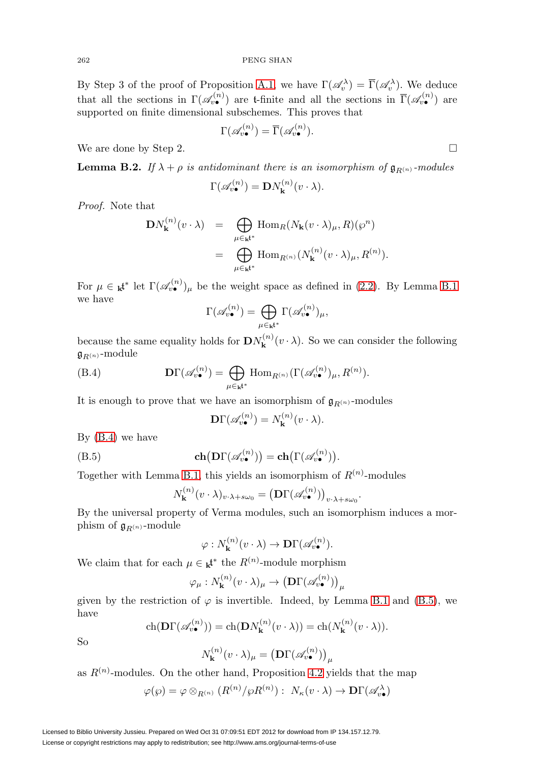By Step 3 of the proof of Proposition [A.1,](#page-40-1) we have  $\Gamma(\mathscr{A}_v^\lambda) = \overline{\Gamma}(\mathscr{A}_v^\lambda)$ . We deduce that all the sections in  $\Gamma(\mathscr{A}_{v\bullet}^{(n)})$  are t-finite and all the sections in  $\overline{\Gamma}(\mathscr{A}_{v\bullet}^{(n)})$  are supported on finite dimensional subschemes. This proves that

$$
\Gamma(\mathscr{A}_{v\bullet}^{(n)}) = \overline{\Gamma}(\mathscr{A}_{v\bullet}^{(n)}).
$$

We are done by Step 2.

<span id="page-50-0"></span>**Lemma B.2.** If  $\lambda + \rho$  is antidominant there is an isomorphism of  $\mathfrak{g}_{R^{(n)}}$ -modules

$$
\Gamma(\mathscr{A}_{v\bullet}^{(n)}) = \mathbf{D} N_{\mathbf{k}}^{(n)}(v \cdot \lambda).
$$

Proof. Note that

$$
DN_{\mathbf{k}}^{(n)}(v \cdot \lambda) = \bigoplus_{\mu \in \mathbf{k}^{\mathbf{t}^*}} \text{Hom}_{R}(N_{\mathbf{k}}(v \cdot \lambda)_{\mu}, R)(\wp^n)
$$
  

$$
= \bigoplus_{\mu \in \mathbf{k}^{\mathbf{t}^*}} \text{Hom}_{R^{(n)}}(N_{\mathbf{k}}^{(n)}(v \cdot \lambda)_{\mu}, R^{(n)}).
$$

For  $\mu \in \mathbf{k}^*$  let  $\Gamma(\mathscr{A}_{v\bullet}^{(n)})_{\mu}$  be the weight space as defined in [\(2.2\)](#page-6-2). By Lemma [B.1](#page-48-1) we have

$$
\Gamma(\mathscr{A}^{(n)}_{v\bullet})=\bigoplus_{\mu\in\mathbf{k}^{\mathfrak{k}^*}}\Gamma(\mathscr{A}^{(n)}_{v\bullet})_{\mu},
$$

because the same equality holds for  $\mathbf{D}N_{\mathbf{k}}^{(n)}(v \cdot \lambda)$ . So we can consider the following  $\mathfrak{g}_{R^{(n)}}$ -module

<span id="page-50-1"></span>(B.4) 
$$
\mathbf{D}\Gamma(\mathscr{A}_{v\bullet}^{(n)}) = \bigoplus_{\mu \in \mathbf{k}^{\mathbf{t}^*}} \text{Hom}_{R^{(n)}}(\Gamma(\mathscr{A}_{v\bullet}^{(n)})_{\mu}, R^{(n)}).
$$

It is enough to prove that we have an isomorphism of  $\mathfrak{g}_{R(n)}$ -modules

$$
\mathbf{D}\Gamma(\mathscr{A}_{v\bullet}^{(n)}) = N_{\mathbf{k}}^{(n)}(v \cdot \lambda).
$$

By [\(B.4\)](#page-50-1) we have

<span id="page-50-2"></span>(B.5) 
$$
\mathbf{ch}\big(\mathbf{D}\Gamma(\mathscr{A}_{v\bullet}^{(n)})\big)=\mathbf{ch}\big(\Gamma(\mathscr{A}_{v\bullet}^{(n)})\big).
$$

Together with Lemma [B.1,](#page-48-1) this yields an isomorphism of  $R^{(n)}$ -modules

$$
N_{\mathbf{k}}^{(n)}(v \cdot \lambda)_{v \cdot \lambda + s\omega_0} = \left(\mathbf{D}\Gamma(\mathscr{A}_{v\bullet}^{(n)})\right)_{v \cdot \lambda + s\omega_0}.
$$

By the universal property of Verma modules, such an isomorphism induces a morphism of  $\mathfrak{g}_{R^{(n)}}$ -module

$$
\varphi: N_{\mathbf{k}}^{(n)}(v \cdot \lambda) \to \mathbf{D}\Gamma(\mathscr{A}_{v\bullet}^{(n)}).
$$

We claim that for each  $\mu \in \mathbf{k}^*$  the  $R^{(n)}$ -module morphism

$$
\varphi_{\mu}: N_{\mathbf{k}}^{(n)}(v \cdot \lambda)_{\mu} \to (\mathbf{D}\Gamma(\mathscr{A}_{v\bullet}^{(n)}))_{\mu}
$$

given by the restriction of  $\varphi$  is invertible. Indeed, by Lemma [B.1](#page-48-1) and [\(B.5\)](#page-50-2), we have

$$
\operatorname{ch}(\mathbf{D}\Gamma(\mathscr{A}_{v\bullet}^{(n)})) = \operatorname{ch}(\mathbf{D}N_{\mathbf{k}}^{(n)}(v\cdot\lambda)) = \operatorname{ch}(N_{\mathbf{k}}^{(n)}(v\cdot\lambda)).
$$

So

$$
N_{\mathbf{k}}^{(n)}(v \cdot \lambda)_{\mu} = (\mathbf{D}\Gamma(\mathscr{A}_{v\bullet}^{(n)}))_{\mu}
$$

as  $R^{(n)}$ -modules. On the other hand, Proposition [4.2](#page-26-0) yields that the map

$$
\varphi(\varphi) = \varphi \otimes_{R^{(n)}} (R^{(n)}/\varphi R^{(n)}): N_{\kappa}(v \cdot \lambda) \to \mathbf{D}\Gamma(\mathscr{A}_{v\bullet}^{\lambda})
$$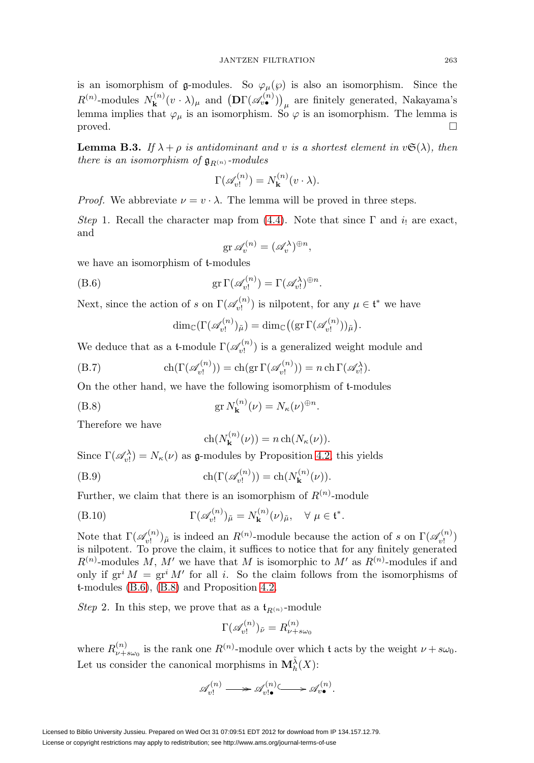is an isomorphism of g-modules. So  $\varphi_{\mu}(\varphi)$  is also an isomorphism. Since the  $R^{(n)}$ -modules  $N_{\mathbf{k}}^{(n)}(v \cdot \lambda)_{\mu}$  and  $\left(\mathbf{D}\Gamma(\mathscr{A}_{v\bullet}^{(n)})\right)_{\mu}$  are finitely generated, Nakayama's lemma implies that  $\varphi_{\mu}$  is an isomorphism. So  $\varphi$  is an isomorphism. The lemma is  $\Box$ 

<span id="page-51-0"></span>**Lemma B.3.** If  $\lambda + \rho$  is antidominant and v is a shortest element in  $v \mathfrak{S}(\lambda)$ , then there is an isomorphism of  $\mathfrak{g}_{R(n)}$ -modules

$$
\Gamma(\mathscr{A}_{v!}^{(n)}) = N_{\mathbf{k}}^{(n)}(v \cdot \lambda).
$$

*Proof.* We abbreviate  $\nu = v \cdot \lambda$ . The lemma will be proved in three steps.

Step 1. Recall the character map from [\(4.4\)](#page-25-2). Note that since  $\Gamma$  and  $i_1$  are exact, and

$$
\operatorname{gr} \mathscr{A}_v^{(n)} = (\mathscr{A}_v^{\lambda})^{\oplus n},
$$

we have an isomorphism of t-modules

<span id="page-51-1"></span>(B.6) 
$$
\operatorname{gr} \Gamma(\mathscr{A}_{v!}^{(n)}) = \Gamma(\mathscr{A}_{v!}^{\lambda})^{\oplus n}.
$$

Next, since the action of s on  $\Gamma(\mathscr{A}_{v_l}^{(n)})$  is nilpotent, for any  $\mu \in \mathfrak{t}^*$  we have

$$
\dim_{\mathbb{C}}(\Gamma(\mathscr{A}_{v!}^{(n)})_{\tilde{\mu}})=\dim_{\mathbb{C}}((\operatorname{gr}\Gamma(\mathscr{A}_{v!}^{(n)}))_{\tilde{\mu}}).
$$

We deduce that as a t-module  $\Gamma(\mathscr{A}_{v!}^{(n)})$  is a generalized weight module and

<span id="page-51-3"></span>(B.7) 
$$
\operatorname{ch}(\Gamma(\mathscr{A}_{v!}^{(n)})) = \operatorname{ch}(\operatorname{gr} \Gamma(\mathscr{A}_{v!}^{(n)})) = n \operatorname{ch} \Gamma(\mathscr{A}_{v!}^{\lambda}).
$$

On the other hand, we have the following isomorphism of t-modules

<span id="page-51-2"></span>(B.8) 
$$
\operatorname{gr} N_{\mathbf{k}}^{(n)}(\nu) = N_{\kappa}(\nu)^{\oplus n}.
$$

Therefore we have

$$
ch(N_{\mathbf{k}}^{(n)}(\nu)) = n ch(N_{\kappa}(\nu)).
$$

Since  $\Gamma(\mathscr{A}_{v!}^{\lambda}) = N_{\kappa}(\nu)$  as  $\mathfrak{g}\text{-modules}$  by Proposition [4.2,](#page-26-0) this yields

(B.9) 
$$
\operatorname{ch}(\Gamma(\mathscr{A}_{v!}^{(n)})) = \operatorname{ch}(N_{\mathbf{k}}^{(n)}(\nu)).
$$

Further, we claim that there is an isomorphism of  $R^{(n)}$ -module

(B.10) 
$$
\Gamma(\mathscr{A}_{v!}^{(n)})_{\tilde{\mu}} = N_{\mathbf{k}}^{(n)}(\nu)_{\tilde{\mu}}, \quad \forall \ \mu \in \mathfrak{t}^*.
$$

Note that  $\Gamma(\mathscr{A}_{v!}^{(n)})_{\tilde{\mu}}$  is indeed an  $R^{(n)}$ -module because the action of s on  $\Gamma(\mathscr{A}_{v!}^{(n)})$ is nilpotent. To prove the claim, it suffices to notice that for any finitely generated  $R^{(n)}$ -modules M, M' we have that M is isomorphic to M' as  $R^{(n)}$ -modules if and only if  $gr^i M = gr^i M'$  for all i. So the claim follows from the isomorphisms of t-modules [\(B.6\)](#page-51-1), [\(B.8\)](#page-51-2) and Proposition [4.2.](#page-26-0)

Step 2. In this step, we prove that as a  $\mathfrak{t}_{R(n)}$ -module

$$
\Gamma(\mathscr{A}_{v!}^{(n)})_{\tilde{\nu}} = R_{\nu + s\omega_0}^{(n)}
$$

where  $R_{\nu+ s\omega_0}^{(n)}$  is the rank one  $R^{(n)}$ -module over which t acts by the weight  $\nu+ s\omega_0$ . Let us consider the canonical morphisms in  $\mathbf{M}_{h}^{\tilde{\lambda}}(X)$ :

$$
\mathscr{A}^{(n)}_{v!} \longrightarrow \mathscr{A}^{(n)}_{v! \bullet} \longrightarrow \mathscr{A}^{(n)}_{v \bullet}.
$$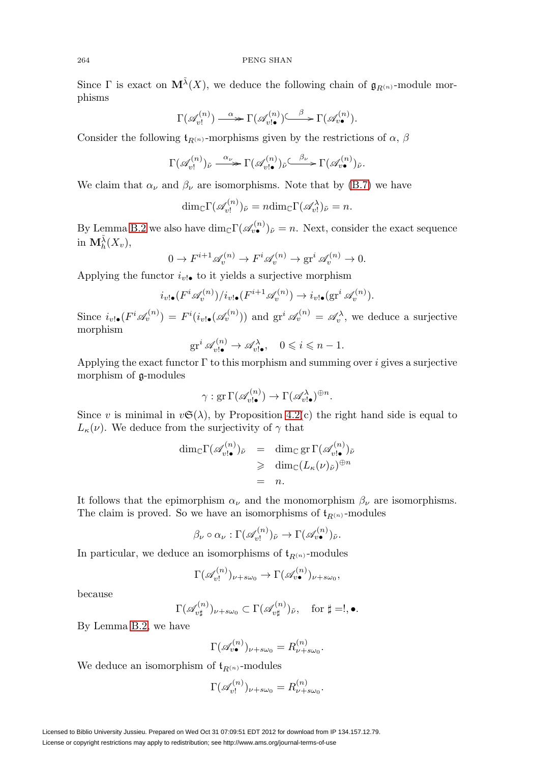Since  $\Gamma$  is exact on  $\mathbf{M}^{\tilde{\lambda}}(X)$ , we deduce the following chain of  $\mathfrak{g}_{R^{(n)}}$ -module morphisms

$$
\Gamma(\mathscr{A}_{v!}^{(n)}) \xrightarrow{\alpha} \Gamma(\mathscr{A}_{v! \bullet}^{(n)}) \xrightarrow{\beta} \Gamma(\mathscr{A}_{v \bullet}^{(n)}).
$$

Consider the following  $\mathfrak{t}_{R(n)}$ -morphisms given by the restrictions of  $\alpha$ ,  $\beta$ 

$$
\Gamma(\mathscr{A}_{v!}^{(n)})_{\tilde{\nu}} \xrightarrow{\alpha_{\nu}} \Gamma(\mathscr{A}_{v! \bullet}^{(n)})_{\tilde{\nu}} \xrightarrow{\beta_{\nu}} \Gamma(\mathscr{A}_{v \bullet}^{(n)})_{\tilde{\nu}}.
$$

We claim that  $\alpha_{\nu}$  and  $\beta_{\nu}$  are isomorphisms. Note that by [\(B.7\)](#page-51-3) we have

$$
\dim_{\mathbb{C}} \Gamma(\mathscr{A}_{v!}^{(n)})_{\tilde{\nu}} = n \dim_{\mathbb{C}} \Gamma(\mathscr{A}_{v!})_{\tilde{\nu}} = n.
$$

By Lemma [B.2](#page-50-0) we also have  $\dim_{\mathbb{C}} \Gamma(\mathscr{A}_{v\bullet}^{(n)})_{\tilde{\nu}} = n$ . Next, consider the exact sequence in  $\mathbf{M}_{h}^{\tilde{\lambda}}(X_v)$ ,

$$
0 \to F^{i+1} \mathscr{A}_v^{(n)} \to F^i \mathscr{A}_v^{(n)} \to \text{gr}^i \mathscr{A}_v^{(n)} \to 0.
$$

Applying the functor  $i_{v!}$  to it yields a surjective morphism

$$
i_{v!\bullet}(F^i\mathscr{A}_v^{(n)})/i_{v!\bullet}(F^{i+1}\mathscr{A}_v^{(n)})\to i_{v!\bullet}(\text{gr}^i\mathscr{A}_v^{(n)}).
$$

Since  $i_{v!}(\mathbf{F}^i \mathcal{A}_v^{(n)}) = \mathbf{F}^i(i_{v!}(\mathcal{A}_v^{(n)}))$  and  $\operatorname{gr}^i \mathcal{A}_v^{(n)} = \mathcal{A}_v^{\lambda}$ , we deduce a surjective morphism

$$
\operatorname{gr}^i \mathscr{A}_{v! \bullet}^{(n)} \to \mathscr{A}_{v! \bullet}^{\lambda}, \quad 0 \leqslant i \leqslant n-1.
$$

Applying the exact functor  $\Gamma$  to this morphism and summing over *i* gives a surjective morphism of g-modules

$$
\gamma: \operatorname{gr} \Gamma(\mathscr{A}_{v! \bullet}^{(n)}) \to \Gamma(\mathscr{A}_{v! \bullet}^{\lambda})^{\oplus n}.
$$

Since v is minimal in  $v\mathfrak{S}(\lambda)$ , by Proposition [4.2\(](#page-26-0)c) the right hand side is equal to  $L_{\kappa}(\nu)$ . We deduce from the surjectivity of  $\gamma$  that

$$
\dim_{\mathbb{C}} \Gamma(\mathscr{A}_{v! \bullet}^{(n)})_{\tilde{\nu}} = \dim_{\mathbb{C}} \operatorname{gr} \Gamma(\mathscr{A}_{v! \bullet}^{(n)})_{\tilde{\nu}}
$$
\n
$$
\geq \dim_{\mathbb{C}} (L_{\kappa}(\nu)_{\tilde{\nu}})^{\oplus n}
$$
\n
$$
= n.
$$

It follows that the epimorphism  $\alpha_{\nu}$  and the monomorphism  $\beta_{\nu}$  are isomorphisms. The claim is proved. So we have an isomorphisms of  $t_{R(n)}$ -modules

$$
\beta_{\nu} \circ \alpha_{\nu} : \Gamma(\mathscr{A}_{v!}^{(n)})_{\tilde{\nu}} \to \Gamma(\mathscr{A}_{v\bullet}^{(n)})_{\tilde{\nu}}.
$$

In particular, we deduce an isomorphisms of  $\mathfrak{t}_{R(n)}$ -modules

$$
\Gamma(\mathscr{A}_{v!}^{(n)})_{\nu+s\omega_0}\to \Gamma(\mathscr{A}_{v\bullet}^{(n)})_{\nu+s\omega_0},
$$

because

$$
\Gamma(\mathscr{A}_{v\sharp}^{(n)})_{\nu+s\omega_0}\subset \Gamma(\mathscr{A}_{v\sharp}^{(n)})_{\tilde{\nu}},\quad \text{for }\sharp =!,\bullet.
$$

By Lemma [B.2,](#page-50-0) we have

$$
\Gamma(\mathscr{A}_{v\bullet}^{(n)})_{\nu+s\omega_0}=R_{\nu+s\omega_0}^{(n)}.
$$

We deduce an isomorphism of  $\mathfrak{t}_{R(n)}$ -modules

$$
\Gamma(\mathscr{A}_{v!}^{(n)})_{\nu+s\omega_0}=R_{\nu+s\omega_0}^{(n)}.
$$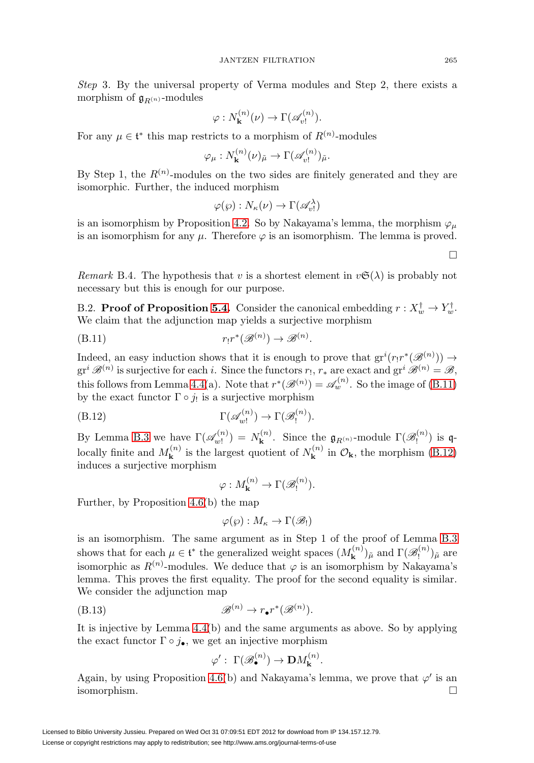Step 3. By the universal property of Verma modules and Step 2, there exists a morphism of  $\mathfrak{g}_{R(n)}$ -modules

$$
\varphi: N_{\mathbf{k}}^{(n)}(\nu) \to \Gamma(\mathscr{A}_{\nu!}^{(n)}).
$$

For any  $\mu \in \mathfrak{t}^*$  this map restricts to a morphism of  $R^{(n)}$ -modules

$$
\varphi_{\mu}: N_{\mathbf{k}}^{(n)}(\nu)_{\tilde{\mu}} \to \Gamma(\mathscr{A}_{v!}^{(n)})_{\tilde{\mu}}.
$$

By Step 1, the  $R^{(n)}$ -modules on the two sides are finitely generated and they are isomorphic. Further, the induced morphism

$$
\varphi(\wp): N_{\kappa}(\nu) \to \Gamma(\mathscr{A}_{v!}^{\lambda})
$$

is an isomorphism by Proposition [4.2.](#page-26-0) So by Nakayama's lemma, the morphism  $\varphi_{\mu}$ is an isomorphism for any  $\mu$ . Therefore  $\varphi$  is an isomorphism. The lemma is proved.

Remark B.4. The hypothesis that v is a shortest element in  $v\mathfrak{S}(\lambda)$  is probably not necessary but this is enough for our purpose.

B.2. **Proof of Proposition [5.4.](#page-31-0)** Consider the canonical embedding  $r : X_w^{\dagger} \to Y_w^{\dagger}$ . We claim that the adjunction map yields a surjective morphism

<span id="page-53-0"></span>
$$
(B.11) \t\t\t r_!r^*(\mathscr{B}^{(n)}) \to \mathscr{B}^{(n)}.
$$

Indeed, an easy induction shows that it is enough to prove that  $gr^i(r_1r^*(\mathscr{B}^{(n)})) \to$  $gr^i \mathcal{B}^{(n)}$  is surjective for each i. Since the functors  $r_1, r_*$  are exact and  $gr^i \mathcal{B}^{(n)} = \mathcal{B}$ , this follows from Lemma [4.4\(](#page-26-4)a). Note that  $r^*(\mathcal{B}^{(n)}) = \mathcal{A}_w^{(n)}$ . So the image of [\(B.11\)](#page-53-0) by the exact functor  $\Gamma \circ j_!$  is a surjective morphism

<span id="page-53-1"></span>(B.12) 
$$
\Gamma(\mathscr{A}_{w!}^{(n)}) \to \Gamma(\mathscr{B}_{!}^{(n)}).
$$

By Lemma [B.3](#page-51-0) we have  $\Gamma(\mathscr{A}_{w!}^{(n)}) = N_{\mathbf{k}}^{(n)}$ . Since the  $\mathfrak{g}_{R^{(n)}}$ -module  $\Gamma(\mathscr{B}_{!}^{(n)})$  is qlocally finite and  $M_{\mathbf{k}}^{(n)}$  is the largest quotient of  $N_{\mathbf{k}}^{(n)}$  in  $\mathcal{O}_{\mathbf{k}}$ , the morphism [\(B.12\)](#page-53-1) induces a surjective morphism

$$
\varphi: M_{\mathbf{k}}^{(n)} \to \Gamma(\mathcal{B}_!^{(n)}).
$$

Further, by Proposition [4.6\(](#page-27-3)b) the map

$$
\varphi(\wp): M_{\kappa} \to \Gamma(\mathscr{B}_!)
$$

is an isomorphism. The same argument as in Step 1 of the proof of Lemma [B.3](#page-51-0) shows that for each  $\mu \in \mathfrak{t}^*$  the generalized weight spaces  $(M_{\mathbf{k}}^{(n)})_{\tilde{\mu}}$  and  $\Gamma(\mathscr{B}_!^{(n)})_{\tilde{\mu}}$  are isomorphic as  $R^{(n)}$ -modules. We deduce that  $\varphi$  is an isomorphism by Nakayama's lemma. This proves the first equality. The proof for the second equality is similar. We consider the adjunction map

$$
\mathscr{B}^{(n)} \to r \bullet r^* (\mathscr{B}^{(n)}).
$$

It is injective by Lemma [4.4\(](#page-26-4)b) and the same arguments as above. So by applying the exact functor  $\Gamma \circ j_{\bullet}$ , we get an injective morphism

$$
\varphi': \Gamma(\mathscr{B}_{\bullet}^{(n)}) \to \mathbf{D}M_{\mathbf{k}}^{(n)}.
$$

Again, by using Proposition [4.6\(](#page-27-3)b) and Nakayama's lemma, we prove that  $\varphi'$  is an isomorphism.

 $\Box$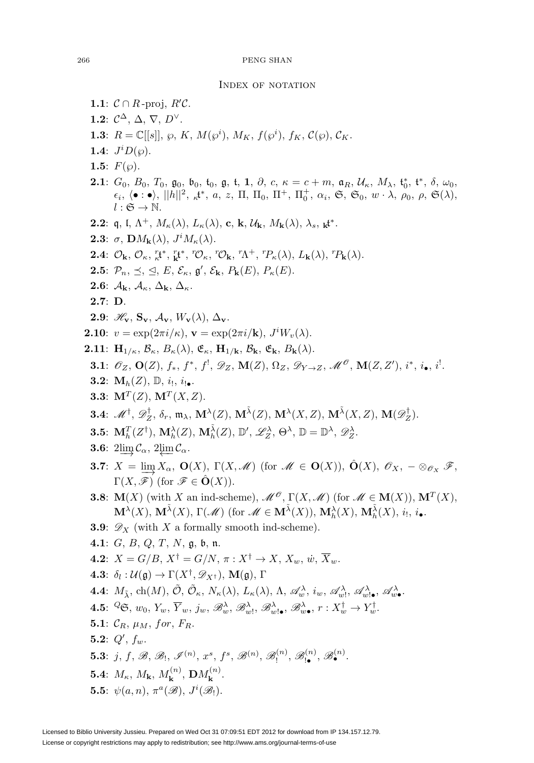### <span id="page-54-0"></span>INDEX OF NOTATION

**1.1**:  $C \cap R$ -proj,  $R'C$ . **1.2**:  $\mathcal{C}^{\Delta}$ ,  $\Delta$ ,  $\nabla$ ,  $D^{\vee}$ . **1.3**:  $R = \mathbb{C}[[s]], \wp, K, M(\wp^i), M_K, f(\wp^i), f_K, C(\wp), C_K.$ **1.4**:  $J^i D(\wp)$ . 1.5:  $F(\varphi)$ . **2.1**:  $G_0$ ,  $B_0$ ,  $T_0$ ,  $\mathfrak{g}_0$ ,  $\mathfrak{b}_0$ ,  $\mathfrak{t}_0$ ,  $\mathfrak{g}$ ,  $\mathfrak{t}$ ,  $\mathfrak{1}$ ,  $\partial$ ,  $c$ ,  $\kappa = c + m$ ,  $\mathfrak{a}_R$ ,  $\mathcal{U}_\kappa$ ,  $M_\lambda$ ,  $\mathfrak{t}_0^*,$   $\mathfrak{t}^*,$   $\delta$ ,  $\omega_0$ ,  $\epsilon_i, \langle \bullet : \bullet \rangle, ||h||^2, \ _{\kappa} \mathfrak{t}^*, a, z, \Pi, \Pi_0, \Pi^+, \Pi_0^+, \alpha_i, \mathfrak{S}, \mathfrak{S}_0, w \cdot \lambda, \rho_0, \rho, \mathfrak{S}(\lambda),$  $l : \mathfrak{S} \to \mathbb{N}.$ **2.2**:  $\mathfrak{q}, \mathfrak{l}, \Lambda^+, M_{\kappa}(\lambda), L_{\kappa}(\lambda), \mathbf{c}, \mathbf{k}, \mathcal{U}_{\mathbf{k}}, M_{\mathbf{k}}(\lambda), \lambda_s, \mathbf{k}^*$ . **2.3**:  $\sigma$ ,  $\mathbf{D}M_{\mathbf{k}}(\lambda)$ ,  $J^iM_{\kappa}(\lambda)$ . **2.4**:  $\mathcal{O}_{\mathbf{k}}, \mathcal{O}_{\kappa}, \mathop{\mathbb{R}}^{\mathsf{r}} t^*, \mathop{\mathbb{R}}^{\mathsf{r}} t^*, \mathop{\mathbb{C}}^{\mathsf{p}} \kappa, \mathop{\mathbb{C}}^{\mathsf{p}} \mathsf{C}_{\mathbf{k}}, \mathop{\mathbb{C}}^{\mathsf{p}} \mathsf{N}^+, \mathop{\mathbb{C}}^{\mathsf{p}} \kappa(\lambda), L_{\mathbf{k}}(\lambda), \mathop{\mathbb{C}}^{\mathsf{p}} \mathsf{R}(\lambda).$ **2.5**:  $\mathcal{P}_n, \preceq, \trianglelefteq, E, \mathcal{E}_\kappa, \mathfrak{g}', \mathcal{E}_\mathbf{k}, P_\mathbf{k}(E), P_\kappa(E).$ **2.6**:  $\mathcal{A}_k$ ,  $\mathcal{A}_k$ ,  $\Delta_k$ ,  $\Delta_k$ . **2.7**: **D**. **2.9**:  $\mathscr{H}_{\mathbf{v}}$ ,  $\mathbf{S}_{\mathbf{v}}$ ,  $\mathcal{A}_{\mathbf{v}}$ ,  $W_{\mathbf{v}}(\lambda)$ ,  $\Delta_{\mathbf{v}}$ . **2.10**:  $v = \exp(2\pi i/\kappa)$ ,  $\mathbf{v} = \exp(2\pi i/\mathbf{k})$ ,  $J^iW_v(\lambda)$ . **2.11**:  $\mathbf{H}_{1/k}$ ,  $\mathcal{B}_{\kappa}$ ,  $B_{\kappa}(\lambda)$ ,  $\mathfrak{E}_{\kappa}$ ,  $\mathbf{H}_{1/k}$ ,  $\mathcal{B}_{\mathbf{k}}$ ,  $\mathfrak{E}_{\mathbf{k}}$ ,  $B_{\mathbf{k}}(\lambda)$ . **3.1**:  $\mathscr{O}_Z$ , **O**(Z),  $f_*$ ,  $f^*$ ,  $f^!$ ,  $\mathscr{D}_Z$ , **M**(Z),  $\Omega_Z$ ,  $\mathscr{D}_{Y\to Z}$ ,  $\mathscr{M}^{\mathscr{O}}$ , **M**(Z, Z'),  $i^*$ ,  $i_{\bullet}$ ,  $i^!$ . **3.2:**  $M_h(Z)$ ,  $\mathbb{D}$ ,  $i_1$ ,  $i_{1\bullet}$ . **3.3**:  $M^T(Z)$ ,  $M^T(X, Z)$ .  $\mathbf{3.4}: \,\,\mathscr{M}^{\dagger}, \,\mathscr{D}^{\dagger}_Z, \,\delta_r, \, \mathfrak{m}_{\lambda}, \, \mathbf{M}^{\lambda}(Z), \, \mathbf{M}^{\tilde{\lambda}}(Z), \, \mathbf{M}^{\lambda}(X,Z), \, \mathbf{M}^{\tilde{\lambda}}(X,Z), \, \mathbf{M}(\mathscr{D}^{\dagger}_Z).$ **3.5**:  $\mathbf{M}_{h}^{T}(Z^{\dagger}), \, \mathbf{M}_{h}^{\lambda}(Z), \, \mathbf{M}_{h}^{\tilde{\lambda}}(Z), \, \mathbb{D}', \, \mathscr{L}_{Z}^{\lambda}, \, \Theta^{\lambda}, \, \mathbb{D} = \mathbb{D}^{\lambda}, \, \mathscr{D}_{Z}^{\lambda}.$ **3.6**:  $2\lim_{\alpha} C_{\alpha}$ ,  $2\lim_{\alpha} C_{\alpha}$ . **3.7**:  $X = \lim_{\longrightarrow} X_\alpha$ ,  $\mathbf{O}(X)$ ,  $\Gamma(X, \mathcal{M})$  (for  $\mathcal{M} \in \mathbf{O}(X)$ ),  $\hat{\mathbf{O}}(X)$ ,  $\mathcal{O}_X$ ,  $-\otimes_{\mathcal{O}_X} \mathcal{F}$ ,  $\Gamma(X,\mathscr{F})$  (for  $\mathscr{F} \in \mathbf{O}(X)$ ). **3.8**: **M**(X) (with X an ind-scheme),  $\mathcal{M}^{\mathcal{O}}$ ,  $\Gamma(X, \mathcal{M})$  (for  $\mathcal{M} \in M(X)$ ),  $\mathbf{M}^T(X)$ ,  $\mathbf{M}^{\lambda}(X)$ ,  $\mathbf{M}^{\tilde{\lambda}}(X)$ ,  $\Gamma(\mathscr{M})$  (for  $\mathscr{M} \in \mathbf{M}^{\tilde{\lambda}}(X)$ ),  $\mathbf{M}^{\lambda}_{h}(X)$ ,  $\mathbf{M}^{\tilde{\lambda}}_{h}(X)$ ,  $i_!$ ,  $i_{\bullet}$ . **3.9**:  $\mathscr{D}_X$  (with X a formally smooth ind-scheme). **4.1**: G, B, Q, T, N, g, b, n. **4.2**:  $X = G/B$ ,  $X^{\dagger} = G/N$ ,  $\pi : X^{\dagger} \rightarrow X$ ,  $X_w$ ,  $\dot{w}$ ,  $\overline{X}_w$ . **4.3**:  $\delta_l : \mathcal{U}(\mathfrak{a}) \to \Gamma(X^\dagger, \mathscr{D}_{X^\dagger}), \mathbf{M}(\mathfrak{a}), \Gamma$ **4.4**:  $M_{\tilde{\lambda}}$ , ch(M),  $\tilde{\mathcal{O}}$ ,  $\tilde{\mathcal{O}}_{\kappa}$ ,  $N_{\kappa}(\lambda)$ ,  $L_{\kappa}(\lambda)$ ,  $\Lambda$ ,  $\mathscr{A}_{w}^{\lambda}$ ,  $i_{w}$ ,  $\mathscr{A}_{w}^{\lambda}$ ,  $\mathscr{A}_{w}^{\lambda}$ ,  $\mathscr{A}_{w}^{\lambda}$ ,  $\mathscr{A}_{w}^{\lambda}$ **4.5**:  ${}^{\mathcal{Q}}\mathfrak{S}, w_0, Y_w, \overline{Y}_w, j_w, \mathscr{B}^{\lambda}_w, \mathscr{B}^{\lambda}_w, \mathscr{B}^{\lambda}_w, \mathscr{B}^{\lambda}_w$ ,  $\mathscr{B}^{\lambda}_w$ ,  $r: X_w^{\dagger} \to Y_w^{\dagger}$ . **5.1**:  $C_R$ ,  $\mu_M$ , for,  $F_R$ . **5.2**:  $Q'$ ,  $f_w$ . **5.3**: j, f, B, B<sub>1</sub>,  $\mathscr{I}^{(n)}$ ,  $x^s$ ,  $f^s$ ,  $\mathscr{B}^{(n)}$ ,  $\mathscr{B}^{(n)}_1$ ,  $\mathscr{B}^{(n)}_1$ ,  $\mathscr{B}^{(n)}$ . **5.4**:  $M_{\kappa}$ ,  $M_{\mathbf{k}}$ ,  $M_{\mathbf{k}}^{(n)}$ ,  $\mathbf{D}M_{\mathbf{k}}^{(n)}$ . **5.5**:  $\psi(a,n)$ ,  $\pi^a(\mathscr{B})$ ,  $J^i(\mathscr{B}_!)$ .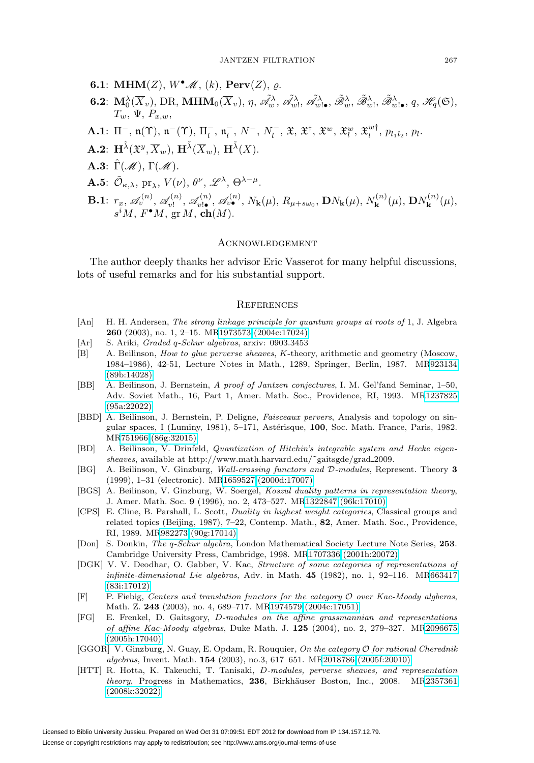- **6.1: MHM** $(Z)$ ,  $W^{\bullet}$  *M*,  $(k)$ , **Perv** $(Z)$ ,  $\varrho$ .
- **6.2**:  $\mathbf{M}_0^{\lambda}(\overline{X}_v)$ , DR,  $\mathbf{MHM}_0(\overline{X}_v)$ ,  $\eta$ ,  $\tilde{\mathscr{A}}_w^{\lambda}$ ,  $\tilde{\mathscr{A}}_w^{\lambda}$ ,  $\tilde{\mathscr{A}}_w^{\lambda}$ ,  $\tilde{\mathscr{B}}_w^{\lambda}$ ,  $\tilde{\mathscr{B}}_w^{\lambda}$ ,  $\tilde{\mathscr{B}}_w^{\lambda}$ ,  $\tilde{\mathscr{B}}_w^{\lambda}$ ,  $q$ ,  $\mathscr{H}_q(\mathfrak{S})$ ,  $T_w$ ,  $\Psi$ ,  $P_{x,w}$ ,
- **A.1**:  $\Pi^{-}$ ,  $\mathfrak{n}(T)$ ,  $\mathfrak{n}^{-}$ ( $T$ ),  $\Pi_{l}^{-}$ ,  $\mathfrak{n}_{l}^{-}$ ,  $N^{-}$ ,  $N_{l}^{-}$ ,  $\mathfrak{X}$ ,  $\mathfrak{X}^{\dagger}$ ,  $\mathfrak{X}^{w}_{u}$ ,  $\mathfrak{X}^{w}_{l}$ ,  $\mathfrak{X}^{w\dagger}_{l}$ ,  $p_{l_1l_2}$ ,  $p_l$ .
- $\mathbf{A.2:} \ \mathbf{H}^{\tilde{\lambda}}(\mathfrak{X}^y,\overline{X}_w), \ \mathbf{H}^{\tilde{\lambda}}(\overline{X}_w), \ \mathbf{H}^{\tilde{\lambda}}(X).$
- **A.3**:  $\hat{\Gamma}(\mathcal{M}), \overline{\Gamma}(\mathcal{M}).$
- **A.5**:  $\tilde{\mathcal{O}}_{\kappa,\lambda}$ , pr<sub> $\lambda$ </sub>,  $V(\nu)$ ,  $\theta^{\nu}$ ,  $\mathscr{L}^{\lambda}$ ,  $\Theta^{\lambda-\mu}$ .
- **B.1**:  $r_x$ ,  $\mathscr{A}_{v}^{(n)}$ ,  $\mathscr{A}_{v}^{(n)}$ ,  $\mathscr{A}_{v}^{(n)}$ ,  $\mathscr{A}_{v}^{(n)}$ ,  $N_{\mathbf{k}}(\mu)$ ,  $R_{\mu+s\omega_0}$ ,  $\mathbf{D}N_{\mathbf{k}}(\mu)$ ,  $N_{\mathbf{k}}^{(n)}(\mu)$ ,  $\mathbf{D}N_{\mathbf{k}}^{(n)}(\mu)$ ,  $s^iM$ ,  $F^{\bullet}M$ ,  $gr M$ ,  $ch(M)$ .

# <span id="page-55-0"></span>**ACKNOWLEDGEMENT**

The author deeply thanks her advisor Eric Vasserot for many helpful discussions, lots of useful remarks and for his substantial support.

#### <span id="page-55-1"></span>**REFERENCES**

- <span id="page-55-3"></span>[An] H. H. Andersen, The strong linkage principle for quantum groups at roots of 1, J. Algebra **260** (2003), no. 1, 2–15. M[R1973573 \(2004c:17024\)](http://www.ams.org/mathscinet-getitem?mr=1973573)
- <span id="page-55-11"></span>[Ar] S. Ariki, Graded q-Schur algebras, arxiv: 0903.3453
- <span id="page-55-10"></span>[B] A. Beilinson, *How to glue perverse sheaves, K*-theory, arithmetic and geometry (Moscow, 1984–1986), 42-51, Lecture Notes in Math., 1289, Springer, Berlin, 1987. M[R923134](http://www.ams.org/mathscinet-getitem?mr=923134) [\(89b:14028\)](http://www.ams.org/mathscinet-getitem?mr=923134)
- <span id="page-55-6"></span>[BB] A. Beilinson, J. Bernstein, A proof of Jantzen conjectures, I. M. Gel'fand Seminar, 1–50, Adv. Soviet Math., 16, Part 1, Amer. Math. Soc., Providence, RI, 1993. M[R1237825](http://www.ams.org/mathscinet-getitem?mr=1237825) [\(95a:22022\)](http://www.ams.org/mathscinet-getitem?mr=1237825)
- [BBD] A. Beilinson, J. Bernstein, P. Deligne, Faisceaux pervers, Analysis and topology on singular spaces, I (Luminy, 1981), 5-171, Astérisque, **100**, Soc. Math. France, Paris, 1982. M[R751966 \(86g:32015\)](http://www.ams.org/mathscinet-getitem?mr=751966)
- <span id="page-55-7"></span>[BD] A. Beilinson, V. Drinfeld, Quantization of Hitchin's integrable system and Hecke eigensheaves, available at http://www.math.harvard.edu/˜gaitsgde/grad 2009.
- <span id="page-55-12"></span>[BG] A. Beilinson, V. Ginzburg, Wall-crossing functors and D-modules, Represent. Theory **3** (1999), 1–31 (electronic). M[R1659527 \(2000d:17007\)](http://www.ams.org/mathscinet-getitem?mr=1659527)
- [BGS] A. Beilinson, V. Ginzburg, W. Soergel, Koszul duality patterns in representation theory, J. Amer. Math. Soc. **9** (1996), no. 2, 473–527. M[R1322847 \(96k:17010\)](http://www.ams.org/mathscinet-getitem?mr=1322847)
- <span id="page-55-4"></span>[CPS] E. Cline, B. Parshall, L. Scott, Duality in highest weight categories, Classical groups and related topics (Beijing, 1987), 7–22, Contemp. Math., **82**, Amer. Math. Soc., Providence, RI, 1989. M[R982273 \(90g:17014\)](http://www.ams.org/mathscinet-getitem?mr=982273)
- [Don] S. Donkin, The q-Schur algebra, London Mathematical Society Lecture Note Series, **253**. Cambridge University Press, Cambridge, 1998. M[R1707336 \(2001h:20072\)](http://www.ams.org/mathscinet-getitem?mr=1707336)
- <span id="page-55-13"></span>[DGK] V. V. Deodhar, O. Gabber, V. Kac, Structure of some categories of representations of infinite-dimensional Lie algebras, Adv. in Math. **45** (1982), no. 1, 92–116. M[R663417](http://www.ams.org/mathscinet-getitem?mr=663417) [\(83i:17012\)](http://www.ams.org/mathscinet-getitem?mr=663417)
- <span id="page-55-2"></span> $[F]$  P. Fiebig, Centers and translation functors for the category  $\mathcal O$  over Kac-Moody algberas, Math. Z. **243** (2003), no. 4, 689–717. M[R1974579 \(2004c:17051\)](http://www.ams.org/mathscinet-getitem?mr=1974579)
- <span id="page-55-9"></span>[FG] E. Frenkel, D. Gaitsgory, D-modules on the affine grassmannian and representations of affine Kac-Moody algebras, Duke Math. J. **125** (2004), no. 2, 279–327. M[R2096675](http://www.ams.org/mathscinet-getitem?mr=2096675) [\(2005h:17040\)](http://www.ams.org/mathscinet-getitem?mr=2096675)
- <span id="page-55-5"></span>[GGOR] V. Ginzburg, N. Guay, E. Opdam, R. Rouquier, On the category O for rational Cherednik algebras, Invent. Math. **154** (2003), no.3, 617–651. M[R2018786 \(2005f:20010\)](http://www.ams.org/mathscinet-getitem?mr=2018786)
- <span id="page-55-8"></span>[HTT] R. Hotta, K. Takeuchi, T. Tanisaki, D-modules, perverse sheaves, and representation theory, Progress in Mathematics, 236, Birkhäuser Boston, Inc., 2008. M[R2357361](http://www.ams.org/mathscinet-getitem?mr=2357361) [\(2008k:32022\)](http://www.ams.org/mathscinet-getitem?mr=2357361)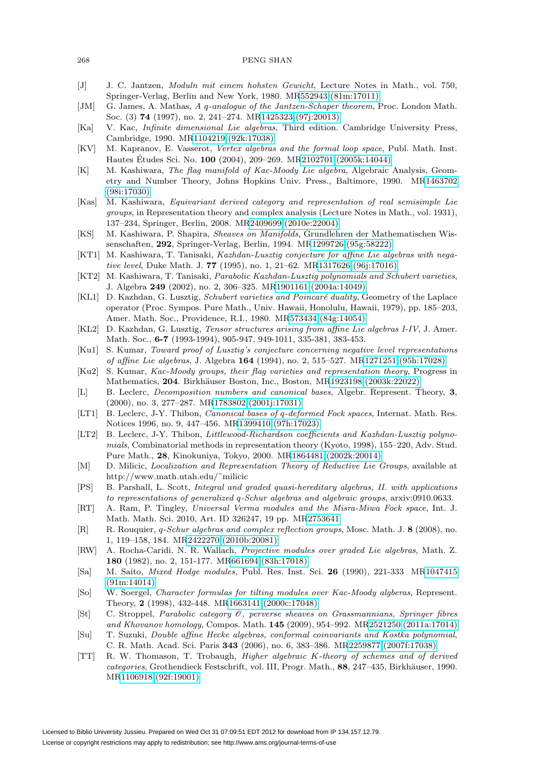#### 268 PENG SHAN

- <span id="page-56-3"></span>[J] J. C. Jantzen, Moduln mit einem hohsten Gewicht, Lecture Notes in Math., vol. 750, Springer-Verlag, Berlin and New York, 1980. M[R552943 \(81m:17011\)](http://www.ams.org/mathscinet-getitem?mr=552943)
- <span id="page-56-1"></span>[JM] G. James, A. Mathas, A q-analogue of the Jantzen-Schaper theorem, Proc. London Math. Soc. (3) **74** (1997), no. 2, 241–274. M[R1425323 \(97j:20013\)](http://www.ams.org/mathscinet-getitem?mr=1425323)
- <span id="page-56-25"></span>[Ka] V. Kac, Infinite dimensional Lie algebras, Third edition. Cambridge University Press, Cambridge, 1990. M[R1104219 \(92k:17038\)](http://www.ams.org/mathscinet-getitem?mr=1104219)
- <span id="page-56-9"></span>[KV] M. Kapranov, E. Vasserot, Vertex algebras and the formal loop space, Publ. Math. Inst. Hautes Études Sci. No. **100** (2004), 209–269. M[R2102701 \(2005k:14044\)](http://www.ams.org/mathscinet-getitem?mr=2102701)
- <span id="page-56-23"></span>[K] M. Kashiwara, The flag manifold of Kac-Moody Lie algebra, Algebraic Analysis, Geometry and Number Theory, Johns Hopkins Univ. Press., Baltimore, 1990. M[R1463702](http://www.ams.org/mathscinet-getitem?mr=1463702) [\(98i:17030\)](http://www.ams.org/mathscinet-getitem?mr=1463702)
- <span id="page-56-10"></span>[Kas] M. Kashiwara, Equivariant derived category and representation of real semisimple Lie groups, in Representation theory and complex analysis (Lecture Notes in Math., vol. 1931), 137–234, Springer, Berlin, 2008. M[R2409699 \(2010e:22004\)](http://www.ams.org/mathscinet-getitem?mr=2409699)
- <span id="page-56-12"></span>[KS] M. Kashiwara, P. Shapira, Sheaves on Manifolds, Grundlehren der Mathematischen Wissenschaften, **292**, Springer-Verlag, Berlin, 1994. M[R1299726 \(95g:58222\)](http://www.ams.org/mathscinet-getitem?mr=1299726)
- <span id="page-56-11"></span>[KT1] M. Kashiwara, T. Tanisaki, *Kazhdan-Lusztig conjecture for affine Lie algebras with nega*tive level, Duke Math. J. **77** (1995), no. 1, 21–62. M[R1317626 \(96j:17016\)](http://www.ams.org/mathscinet-getitem?mr=1317626)
- <span id="page-56-17"></span>[KT2] M. Kashiwara, T. Tanisaki, Parabolic Kazhdan-Lusztig polynomials and Schubert varieties, J. Algebra **249** (2002), no. 2, 306–325. M[R1901161 \(2004a:14049\)](http://www.ams.org/mathscinet-getitem?mr=1901161)
- <span id="page-56-18"></span>[KL1] D. Kazhdan, G. Lusztig, Schubert varieties and Poincaré duality, Geometry of the Laplace operator (Proc. Sympos. Pure Math., Univ. Hawaii, Honolulu, Hawaii, 1979), pp. 185–203, Amer. Math. Soc., Providence, R.I., 1980. M[R573434 \(84g:14054\)](http://www.ams.org/mathscinet-getitem?mr=573434)
- <span id="page-56-7"></span>[KL2] D. Kazhdan, G. Lusztig, Tensor structures arising from affine Lie algebras I-IV, J. Amer. Math. Soc., **6-7** (1993-1994), 905-947, 949-1011, 335-381, 383-453.
- <span id="page-56-24"></span>[Ku1] S. Kumar, Toward proof of Lusztig's conjecture concerning negative level representations of affine Lie algebras, J. Algebra **164** (1994), no. 2, 515–527. M[R1271251 \(95h:17028\)](http://www.ams.org/mathscinet-getitem?mr=1271251)
- <span id="page-56-13"></span>[Ku2] S. Kumar, Kac-Moody groups, their flag varieties and representation theory, Progress in Mathematics, 204. Birkhäuser Boston, Inc., Boston, M[R1923198 \(2003k:22022\)](http://www.ams.org/mathscinet-getitem?mr=1923198)
- <span id="page-56-19"></span>[L] B. Leclerc, Decomposition numbers and canonical bases, Algebr. Represent. Theory, **3**, (2000), no. 3, 277–287. M[R1783802 \(2001j:17031\)](http://www.ams.org/mathscinet-getitem?mr=1783802)
- <span id="page-56-0"></span>[LT1] B. Leclerc, J-Y. Thibon, *Canonical bases of q-deformed Fock spaces*, Internat. Math. Res. Notices 1996, no. 9, 447–456. M[R1399410 \(97h:17023\)](http://www.ams.org/mathscinet-getitem?mr=1399410)
- <span id="page-56-20"></span>[LT2] B. Leclerc, J-Y. Thibon, Littlewood-Richardson coefficients and Kazhdan-Lusztig polynomials, Combinatorial methods in representation theory (Kyoto, 1998), 155–220, Adv. Stud. Pure Math., **28**, Kinokuniya, Tokyo, 2000. M[R1864481 \(2002k:20014\)](http://www.ams.org/mathscinet-getitem?mr=1864481)
- <span id="page-56-15"></span>[M] D. Milicic, Localization and Representation Theory of Reductive Lie Groups, available at http://www.math.utah.edu/˜milicic
- <span id="page-56-22"></span>[PS] B. Parshall, L. Scott, Integral and graded quasi-hereditary algebras, II. with applications to representations of generalized q-Schur algebras and algebraic groups, arxiv:0910.0633.
- <span id="page-56-21"></span>[RT] A. Ram, P. Tingley, Universal Verma modules and the Misra-Miwa Fock space, Int. J. Math. Math. Sci. 2010, Art. ID 326247, 19 pp. M[R2753641](http://www.ams.org/mathscinet-getitem?mr=2753641)
- <span id="page-56-2"></span>[R] R. Rouquier, q-Schur algebras and complex reflection groups, Mosc. Math. J. **8** (2008), no. 1, 119–158, 184. M[R2422270 \(2010b:20081\)](http://www.ams.org/mathscinet-getitem?mr=2422270)
- <span id="page-56-4"></span>[RW] A. Rocha-Caridi, N. R. Wallach, Projective modules over graded Lie algebras, Math. Z. **180** (1982), no. 2, 151-177. M[R661694 \(83h:17018\)](http://www.ams.org/mathscinet-getitem?mr=661694)
- <span id="page-56-16"></span>[Sa] M. Saito, Mixed Hodge modules, Publ. Res. Inst. Sci. **26** (1990), 221-333 M[R1047415](http://www.ams.org/mathscinet-getitem?mr=1047415) [\(91m:14014\)](http://www.ams.org/mathscinet-getitem?mr=1047415)
- <span id="page-56-6"></span>[So] W. Soergel, Character formulas for tilting modules over Kac-Moody algberas, Represent. Theory, **2** (1998), 432-448. M[R1663141 \(2000c:17048\)](http://www.ams.org/mathscinet-getitem?mr=1663141)
- <span id="page-56-5"></span>[St] C. Stroppel, Parabolic category O, perverse sheaves on Grassmannians, Springer fibres and Khovanov homology, Compos. Math. **145** (2009), 954–992. M[R2521250 \(2011a:17014\)](http://www.ams.org/mathscinet-getitem?mr=2521250)
- <span id="page-56-8"></span>[Su] T. Suzuki, Double affine Hecke algebras, conformal coinvariants and Kostka polynomial, C. R. Math. Acad. Sci. Paris **343** (2006), no. 6, 383–386. M[R2259877 \(2007f:17038\)](http://www.ams.org/mathscinet-getitem?mr=2259877)
- <span id="page-56-14"></span>[TT] R. W. Thomason, T. Trobaugh, Higher algebraic K-theory of schemes and of derived categories, Grothendieck Festschrift, vol. III, Progr. Math., 88, 247–435, Birkhäuser, 1990. M[R1106918 \(92f:19001\)](http://www.ams.org/mathscinet-getitem?mr=1106918)